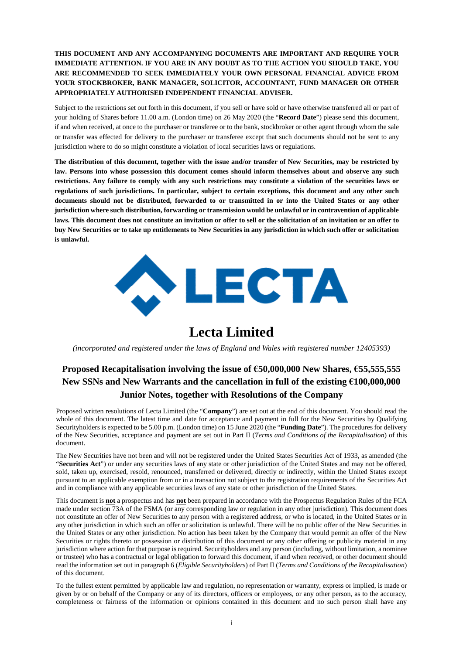## **THIS DOCUMENT AND ANY ACCOMPANYING DOCUMENTS ARE IMPORTANT AND REQUIRE YOUR IMMEDIATE ATTENTION. IF YOU ARE IN ANY DOUBT AS TO THE ACTION YOU SHOULD TAKE, YOU ARE RECOMMENDED TO SEEK IMMEDIATELY YOUR OWN PERSONAL FINANCIAL ADVICE FROM YOUR STOCKBROKER, BANK MANAGER, SOLICITOR, ACCOUNTANT, FUND MANAGER OR OTHER APPROPRIATELY AUTHORISED INDEPENDENT FINANCIAL ADVISER.**

Subject to the restrictions set out forth in this document, if you sell or have sold or have otherwise transferred all or part of your holding of Shares before 11.00 a.m. (London time) on 26 May 2020 (the "**Record Date**") please send this document, if and when received, at once to the purchaser or transferee or to the bank, stockbroker or other agent through whom the sale or transfer was effected for delivery to the purchaser or transferee except that such documents should not be sent to any jurisdiction where to do so might constitute a violation of local securities laws or regulations.

**The distribution of this document, together with the issue and/or transfer of New Securities, may be restricted by law. Persons into whose possession this document comes should inform themselves about and observe any such restrictions. Any failure to comply with any such restrictions may constitute a violation of the securities laws or regulations of such jurisdictions. In particular, subject to certain exceptions, this document and any other such documents should not be distributed, forwarded to or transmitted in or into the United States or any other jurisdiction where such distribution, forwarding or transmission would be unlawful or in contravention of applicable laws. This document does not constitute an invitation or offer to sell or the solicitation of an invitation or an offer to buy New Securities or to take up entitlements to New Securities in any jurisdiction in which such offer or solicitation is unlawful.**



# **Lecta Limited**

*(incorporated and registered under the laws of England and Wales with registered number 12405393)*

## **Proposed Recapitalisation involving the issue of €50,000,000 New Shares, €55,555,555 New SSNs and New Warrants and the cancellation in full of the existing €100,000,000 Junior Notes, together with Resolutions of the Company**

Proposed written resolutions of Lecta Limited (the "**Company**") are set out at the end of this document. You should read the whole of this document. The latest time and date for acceptance and payment in full for the New Securities by Qualifying Securityholders is expected to be 5.00 p.m. (London time) on 15 June 2020 (the "**Funding Date**"). The procedures for delivery of the New Securities, acceptance and payment are set out in Part II (*Terms and Conditions of the Recapitalisation*) of this document.

The New Securities have not been and will not be registered under the United States Securities Act of 1933, as amended (the "**Securities Act**") or under any securities laws of any state or other jurisdiction of the United States and may not be offered, sold, taken up, exercised, resold, renounced, transferred or delivered, directly or indirectly, within the United States except pursuant to an applicable exemption from or in a transaction not subject to the registration requirements of the Securities Act and in compliance with any applicable securities laws of any state or other jurisdiction of the United States.

This document is **not** a prospectus and has **not** been prepared in accordance with the Prospectus Regulation Rules of the FCA made under section 73A of the FSMA (or any corresponding law or regulation in any other jurisdiction). This document does not constitute an offer of New Securities to any person with a registered address, or who is located, in the United States or in any other jurisdiction in which such an offer or solicitation is unlawful. There will be no public offer of the New Securities in the United States or any other jurisdiction. No action has been taken by the Company that would permit an offer of the New Securities or rights thereto or possession or distribution of this document or any other offering or publicity material in any jurisdiction where action for that purpose is required. Securityholders and any person (including, without limitation, a nominee or trustee) who has a contractual or legal obligation to forward this document, if and when received, or other document should read the information set out in paragraph 6 (*Eligible Securityholders*) of Part II (*Terms and Conditions of the Recapitalisation*) of this document.

To the fullest extent permitted by applicable law and regulation, no representation or warranty, express or implied, is made or given by or on behalf of the Company or any of its directors, officers or employees, or any other person, as to the accuracy, completeness or fairness of the information or opinions contained in this document and no such person shall have any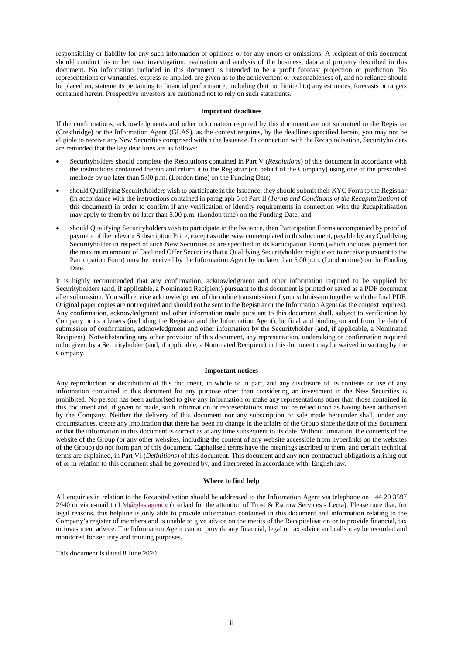responsibility or liability for any such information or opinions or for any errors or omissions. A recipient of this document should conduct his or her own investigation, evaluation and analysis of the business, data and property described in this document. No information included in this document is intended to be a profit forecast projection or prediction. No representations or warranties, express or implied, are given as to the achievement or reasonableness of, and no reliance should be placed on, statements pertaining to financial performance, including (but not limited to) any estimates, forecasts or targets contained herein. Prospective investors are cautioned not to rely on such statements.

#### **Important deadlines**

If the confirmations, acknowledgments and other information required by this document are not submitted to the Registrar (Crestbridge) or the Information Agent (GLAS), as the context requires, by the deadlines specified herein, you may not be eligible to receive any New Securities comprised within the Issuance. In connection with the Recapitalisation, Securityholders are reminded that the key deadlines are as follows:

- Securityholders should complete the Resolutions contained in Part V (*Resolutions*) of this document in accordance with the instructions contained therein and return it to the Registrar (on behalf of the Company) using one of the prescribed methods by no later than 5.00 p.m. (London time) on the Funding Date;
- should Qualifying Securityholders wish to participate in the Issuance, they should submit their KYC Form to the Registrar (in accordance with the instructions contained in paragraph [5 o](#page-22-0)f Part II (*Terms and Conditions of the Recapitalisation*) of this document) in order to confirm if any verification of identity requirements in connection with the Recapitalisation may apply to them by no later than 5.00 p.m. (London time) on the Funding Date; and
- should Qualifying Securityholders wish to participate in the Issuance, then Participation Forms accompanied by proof of payment of the relevant Subscription Price, except as otherwise contemplated in this document, payable by any Qualifying Securityholder in respect of such New Securities as are specified in its Participation Form (which includes payment for the maximum amount of Declined Offer Securities that a Qualifying Securityholder might elect to receive pursuant to the Participation Form) must be received by the Information Agent by no later than 5.00 p.m. (London time) on the Funding Date.

It is highly recommended that any confirmation, acknowledgment and other information required to be supplied by Securityholders (and, if applicable, a Nominated Recipient) pursuant to this document is printed or saved as a PDF document after submission. You will receive acknowledgment of the online transmission of your submission together with the final PDF. Original paper copies are not required and should not be sent to the Registrar or the Information Agent (as the context requires). Any confirmation, acknowledgment and other information made pursuant to this document shall, subject to verification by Company or its advisers (including the Registrar and the Information Agent), be final and binding on and from the date of submission of confirmation, acknowledgment and other information by the Securityholder (and, if applicable, a Nominated Recipient). Notwithstanding any other provision of this document, any representation, undertaking or confirmation required to be given by a Securityholder (and, if applicable, a Nominated Recipient) in this document may be waived in writing by the Company.

#### **Important notices**

Any reproduction or distribution of this document, in whole or in part, and any disclosure of its contents or use of any information contained in this document for any purpose other than considering an investment in the New Securities is prohibited. No person has been authorised to give any information or make any representations other than those contained in this document and, if given or made, such information or representations must not be relied upon as having been authorised by the Company. Neither the delivery of this document nor any subscription or sale made hereunder shall, under any circumstances, create any implication that there has been no change in the affairs of the Group since the date of this document or that the information in this document is correct as at any time subsequent to its date. Without limitation, the contents of the website of the Group (or any other websites, including the content of any website accessible from hyperlinks on the websites of the Group) do not form part of this document. Capitalised terms have the meanings ascribed to them, and certain technical terms are explained, in Part VI (*Definitions*) of this document. This document and any non-contractual obligations arising out of or in relation to this document shall be governed by, and interpreted in accordance with, English law.

#### **Where to find help**

All enquiries in relation to the Recapitalisation should be addressed to the Information Agent via telephone on +44 20 3597 2940 or via e-mail to [LM@glas.agency](mailto:LM@glas.agency) (marked for the attention of Trust & Escrow Services - Lecta). Please note that, for legal reasons, this helpline is only able to provide information contained in this document and information relating to the Company's register of members and is unable to give advice on the merits of the Recapitalisation or to provide financial, tax or investment advice. The Information Agent cannot provide any financial, legal or tax advice and calls may be recorded and monitored for security and training purposes.

This document is dated 8 June 2020.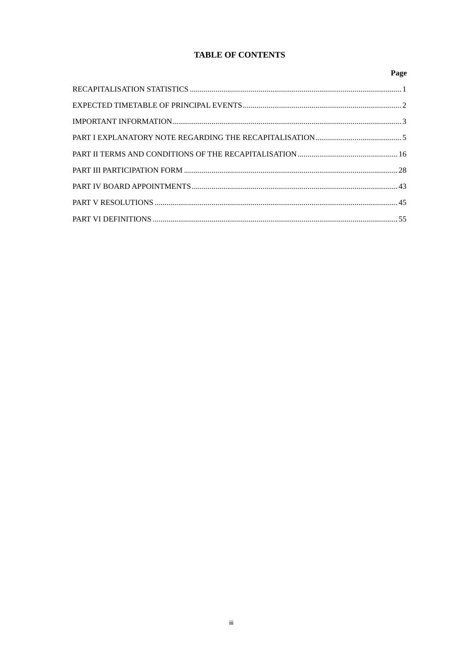## **TABLE OF CONTENTS**

| Page |
|------|
|      |
|      |
|      |
|      |
|      |
|      |
|      |
|      |
|      |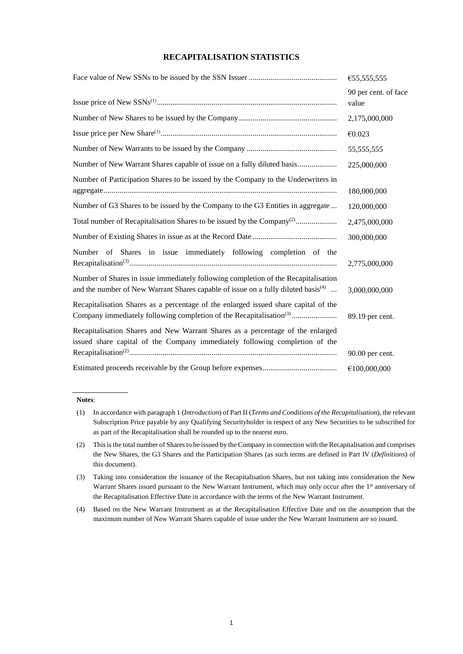## **RECAPITALISATION STATISTICS**

|                                                                                                                                                                                     | €55,555,555                   |
|-------------------------------------------------------------------------------------------------------------------------------------------------------------------------------------|-------------------------------|
|                                                                                                                                                                                     | 90 per cent. of face<br>value |
|                                                                                                                                                                                     | 2,175,000,000                 |
|                                                                                                                                                                                     | €0.023                        |
|                                                                                                                                                                                     | 55, 555, 555                  |
|                                                                                                                                                                                     | 225,000,000                   |
| Number of Participation Shares to be issued by the Company to the Underwriters in                                                                                                   | 180,000,000                   |
| Number of G3 Shares to be issued by the Company to the G3 Entities in aggregate                                                                                                     | 120,000,000                   |
|                                                                                                                                                                                     | 2,475,000,000                 |
|                                                                                                                                                                                     | 300,000,000                   |
| Number of Shares in issue immediately following completion of<br>the                                                                                                                | 2,775,000,000                 |
| Number of Shares in issue immediately following completion of the Recapitalisation<br>and the number of New Warrant Shares capable of issue on a fully diluted basis <sup>(4)</sup> | 3,000,000,000                 |
| Recapitalisation Shares as a percentage of the enlarged issued share capital of the<br>Company immediately following completion of the Recapitalisation <sup>(3)</sup>              | 89.19 per cent.               |
| Recapitalisation Shares and New Warrant Shares as a percentage of the enlarged<br>issued share capital of the Company immediately following completion of the                       |                               |
|                                                                                                                                                                                     | 90.00 per cent.               |
|                                                                                                                                                                                     | €100,000,000                  |

#### **Notes**:

<sup>(1)</sup> In accordance with paragrap[h 1 \(](#page-18-0)*Introduction*) of Part II (*Terms and Conditions of the Recapitalisation*), the relevant Subscription Price payable by any Qualifying Securityholder in respect of any New Securities to be subscribed for as part of the Recapitalisation shall be rounded up to the nearest euro.

<sup>(2)</sup> This is the total number of Shares to be issued by the Company in connection with the Recapitalisation and comprises the New Shares, the G3 Shares and the Participation Shares (as such terms are defined in Part IV (*Definitions*) of this document).

<sup>(3)</sup> Taking into consideration the issuance of the Recapitalisation Shares, but not taking into consideration the New Warrant Shares issued pursuant to the New Warrant Instrument, which may only occur after the 1<sup>st</sup> anniversary of the Recapitalisation Effective Date in accordance with the terms of the New Warrant Instrument.

<sup>(4)</sup> Based on the New Warrant Instrument as at the Recapitalisation Effective Date and on the assumption that the maximum number of New Warrant Shares capable of issue under the New Warrant Instrument are so issued.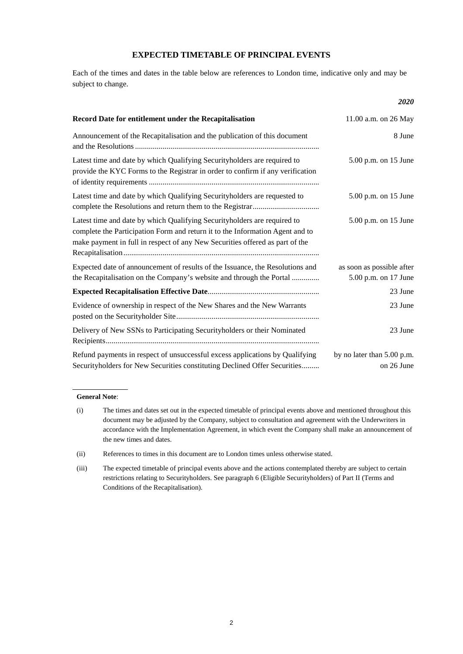## **EXPECTED TIMETABLE OF PRINCIPAL EVENTS**

Each of the times and dates in the table below are references to London time, indicative only and may be subject to change.

|                                                                                                                                                                                                                                           | <b>2020</b>                                       |
|-------------------------------------------------------------------------------------------------------------------------------------------------------------------------------------------------------------------------------------------|---------------------------------------------------|
| Record Date for entitlement under the Recapitalisation                                                                                                                                                                                    | 11.00 a.m. on 26 May                              |
| Announcement of the Recapitalisation and the publication of this document                                                                                                                                                                 | 8 June                                            |
| Latest time and date by which Qualifying Securityholders are required to<br>provide the KYC Forms to the Registrar in order to confirm if any verification                                                                                | 5.00 p.m. on 15 June                              |
| Latest time and date by which Qualifying Securityholders are requested to                                                                                                                                                                 | 5.00 p.m. on 15 June                              |
| Latest time and date by which Qualifying Securityholders are required to<br>complete the Participation Form and return it to the Information Agent and to<br>make payment in full in respect of any New Securities offered as part of the | 5.00 p.m. on 15 June                              |
| Expected date of announcement of results of the Issuance, the Resolutions and<br>the Recapitalisation on the Company's website and through the Portal                                                                                     | as soon as possible after<br>5.00 p.m. on 17 June |
|                                                                                                                                                                                                                                           | 23 June                                           |
| Evidence of ownership in respect of the New Shares and the New Warrants                                                                                                                                                                   | 23 June                                           |
| Delivery of New SSNs to Participating Securityholders or their Nominated                                                                                                                                                                  | 23 June                                           |
| Refund payments in respect of unsuccessful excess applications by Qualifying<br>Securityholders for New Securities constituting Declined Offer Securities                                                                                 | by no later than 5.00 p.m.<br>on 26 June          |

#### **General Note**:

(ii) References to times in this document are to London times unless otherwise stated.

<sup>(</sup>i) The times and dates set out in the expected timetable of principal events above and mentioned throughout this document may be adjusted by the Company, subject to consultation and agreement with the Underwriters in accordance with the Implementation Agreement, in which event the Company shall make an announcement of the new times and dates.

<sup>(</sup>iii) The expected timetable of principal events above and the actions contemplated thereby are subject to certain restrictions relating to Securityholders. See paragraph 6 (Eligible Securityholders) of Part II (Terms and Conditions of the Recapitalisation).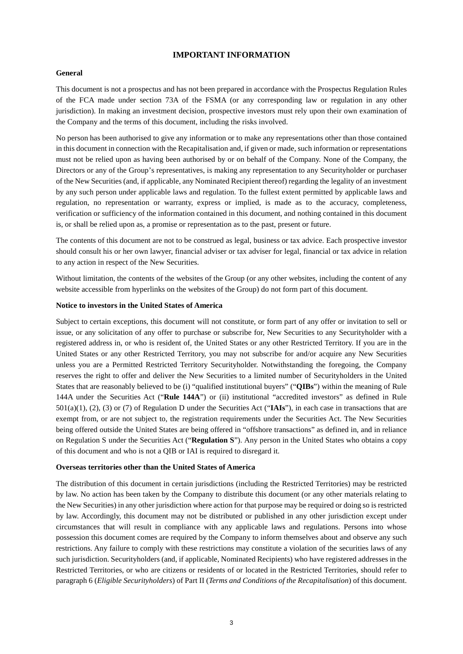## **IMPORTANT INFORMATION**

#### **General**

This document is not a prospectus and has not been prepared in accordance with the Prospectus Regulation Rules of the FCA made under section 73A of the FSMA (or any corresponding law or regulation in any other jurisdiction). In making an investment decision, prospective investors must rely upon their own examination of the Company and the terms of this document, including the risks involved.

No person has been authorised to give any information or to make any representations other than those contained in this document in connection with the Recapitalisation and, if given or made, such information or representations must not be relied upon as having been authorised by or on behalf of the Company. None of the Company, the Directors or any of the Group's representatives, is making any representation to any Securityholder or purchaser of the New Securities (and, if applicable, any Nominated Recipient thereof) regarding the legality of an investment by any such person under applicable laws and regulation. To the fullest extent permitted by applicable laws and regulation, no representation or warranty, express or implied, is made as to the accuracy, completeness, verification or sufficiency of the information contained in this document, and nothing contained in this document is, or shall be relied upon as, a promise or representation as to the past, present or future.

The contents of this document are not to be construed as legal, business or tax advice. Each prospective investor should consult his or her own lawyer, financial adviser or tax adviser for legal, financial or tax advice in relation to any action in respect of the New Securities.

Without limitation, the contents of the websites of the Group (or any other websites, including the content of any website accessible from hyperlinks on the websites of the Group) do not form part of this document.

## **Notice to investors in the United States of America**

Subject to certain exceptions, this document will not constitute, or form part of any offer or invitation to sell or issue, or any solicitation of any offer to purchase or subscribe for, New Securities to any Securityholder with a registered address in, or who is resident of, the United States or any other Restricted Territory. If you are in the United States or any other Restricted Territory, you may not subscribe for and/or acquire any New Securities unless you are a Permitted Restricted Territory Securityholder. Notwithstanding the foregoing, the Company reserves the right to offer and deliver the New Securities to a limited number of Securityholders in the United States that are reasonably believed to be (i) "qualified institutional buyers" ("**QIBs**") within the meaning of Rule 144A under the Securities Act ("**Rule 144A**") or (ii) institutional "accredited investors" as defined in Rule 501(a)(1), (2), (3) or (7) of Regulation D under the Securities Act ("**IAIs**"), in each case in transactions that are exempt from, or are not subject to, the registration requirements under the Securities Act. The New Securities being offered outside the United States are being offered in "offshore transactions" as defined in, and in reliance on Regulation S under the Securities Act ("**Regulation S**"). Any person in the United States who obtains a copy of this document and who is not a QIB or IAI is required to disregard it.

### **Overseas territories other than the United States of America**

The distribution of this document in certain jurisdictions (including the Restricted Territories) may be restricted by law. No action has been taken by the Company to distribute this document (or any other materials relating to the New Securities) in any other jurisdiction where action for that purpose may be required or doing so is restricted by law. Accordingly, this document may not be distributed or published in any other jurisdiction except under circumstances that will result in compliance with any applicable laws and regulations. Persons into whose possession this document comes are required by the Company to inform themselves about and observe any such restrictions. Any failure to comply with these restrictions may constitute a violation of the securities laws of any such jurisdiction. Securityholders (and, if applicable, Nominated Recipients) who have registered addresses in the Restricted Territories, or who are citizens or residents of or located in the Restricted Territories, should refer to paragraph 6 (*Eligible Securityholders*) of Part II (*Terms and Conditions of the Recapitalisation*) of this document.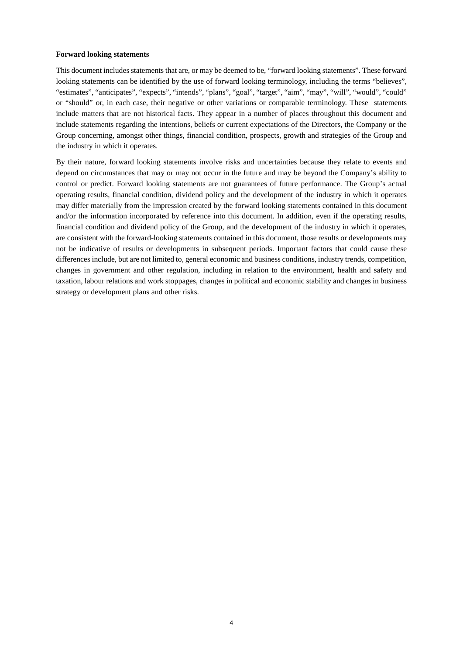#### **Forward looking statements**

This document includes statements that are, or may be deemed to be, "forward looking statements". These forward looking statements can be identified by the use of forward looking terminology, including the terms "believes", "estimates", "anticipates", "expects", "intends", "plans", "goal", "target", "aim", "may", "will", "would", "could" or "should" or, in each case, their negative or other variations or comparable terminology. These statements include matters that are not historical facts. They appear in a number of places throughout this document and include statements regarding the intentions, beliefs or current expectations of the Directors, the Company or the Group concerning, amongst other things, financial condition, prospects, growth and strategies of the Group and the industry in which it operates.

By their nature, forward looking statements involve risks and uncertainties because they relate to events and depend on circumstances that may or may not occur in the future and may be beyond the Company's ability to control or predict. Forward looking statements are not guarantees of future performance. The Group's actual operating results, financial condition, dividend policy and the development of the industry in which it operates may differ materially from the impression created by the forward looking statements contained in this document and/or the information incorporated by reference into this document. In addition, even if the operating results, financial condition and dividend policy of the Group, and the development of the industry in which it operates, are consistent with the forward-looking statements contained in this document, those results or developments may not be indicative of results or developments in subsequent periods. Important factors that could cause these differences include, but are not limited to, general economic and business conditions, industry trends, competition, changes in government and other regulation, including in relation to the environment, health and safety and taxation, labour relations and work stoppages, changes in political and economic stability and changes in business strategy or development plans and other risks.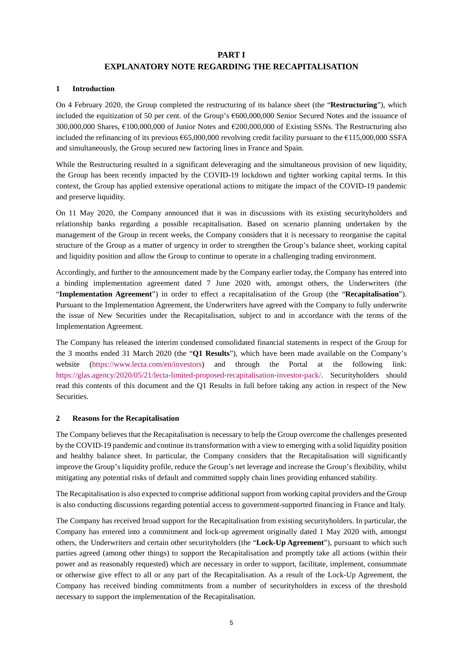## **PART I**

## **EXPLANATORY NOTE REGARDING THE RECAPITALISATION**

## <span id="page-7-0"></span>**1 Introduction**

On 4 February 2020, the Group completed the restructuring of its balance sheet (the "**Restructuring**"), which included the equitization of 50 per cent. of the Group's €600,000,000 Senior Secured Notes and the issuance of 300,000,000 Shares, €100,000,000 of Junior Notes and €200,000,000 of Existing SSNs. The Restructuring also included the refinancing of its previous €65,000,000 revolving credit facility pursuant to the €115,000,000 SSFA and simultaneously, the Group secured new factoring lines in France and Spain.

While the Restructuring resulted in a significant deleveraging and the simultaneous provision of new liquidity, the Group has been recently impacted by the COVID-19 lockdown and tighter working capital terms. In this context, the Group has applied extensive operational actions to mitigate the impact of the COVID-19 pandemic and preserve liquidity.

On 11 May 2020, the Company announced that it was in discussions with its existing securityholders and relationship banks regarding a possible recapitalisation. Based on scenario planning undertaken by the management of the Group in recent weeks, the Company considers that it is necessary to reorganise the capital structure of the Group as a matter of urgency in order to strengthen the Group's balance sheet, working capital and liquidity position and allow the Group to continue to operate in a challenging trading environment.

Accordingly, and further to the announcement made by the Company earlier today, the Company has entered into a binding implementation agreement dated 7 June 2020 with, amongst others, the Underwriters (the "**Implementation Agreement**") in order to effect a recapitalisation of the Group (the "**Recapitalisation**"). Pursuant to the Implementation Agreement, the Underwriters have agreed with the Company to fully underwrite the issue of New Securities under the Recapitalisation, subject to and in accordance with the terms of the Implementation Agreement.

The Company has released the interim condensed consolidated financial statements in respect of the Group for the 3 months ended 31 March 2020 (the "**Q1 Results**"), which have been made available on the Company's website [\(https://www.lecta.com/en/investors\)](https://www.lecta.com/en/investors) and through the Portal at the following link: [https://glas.agency/2020/05/21/lecta-limited-proposed-recapitalisation-investor-pack/.](https://glas.agency/2020/05/21/lecta-limited-proposed-recapitalisation-investor-pack/) Securityholders should read this contents of this document and the Q1 Results in full before taking any action in respect of the New Securities.

## **2 Reasons for the Recapitalisation**

The Company believes that the Recapitalisation is necessary to help the Group overcome the challenges presented by the COVID-19 pandemic and continue its transformation with a view to emerging with a solid liquidity position and healthy balance sheet. In particular, the Company considers that the Recapitalisation will significantly improve the Group's liquidity profile, reduce the Group's net leverage and increase the Group's flexibility, whilst mitigating any potential risks of default and committed supply chain lines providing enhanced stability.

The Recapitalisation is also expected to comprise additional support from working capital providers and the Group is also conducting discussions regarding potential access to government-supported financing in France and Italy.

The Company has received broad support for the Recapitalisation from existing securityholders. In particular, the Company has entered into a commitment and lock-up agreement originally dated 1 May 2020 with, amongst others, the Underwriters and certain other securityholders (the "**Lock-Up Agreement**"), pursuant to which such parties agreed (among other things) to support the Recapitalisation and promptly take all actions (within their power and as reasonably requested) which are necessary in order to support, facilitate, implement, consummate or otherwise give effect to all or any part of the Recapitalisation. As a result of the Lock-Up Agreement, the Company has received binding commitments from a number of securityholders in excess of the threshold necessary to support the implementation of the Recapitalisation.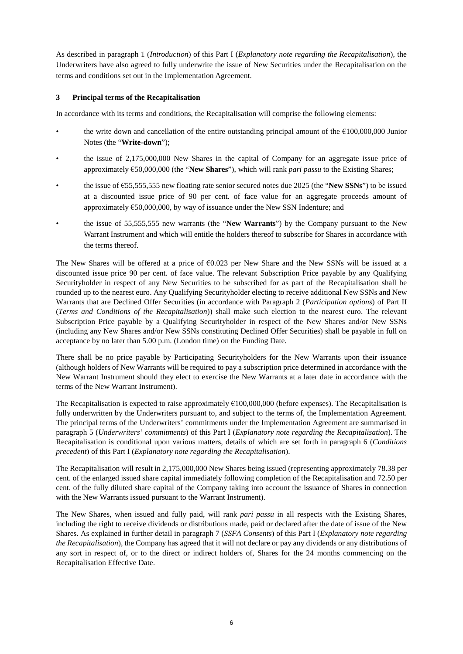As described in paragraph [1](#page-7-0) (*Introduction*) of this Part I (*Explanatory note regarding the Recapitalisation*), the Underwriters have also agreed to fully underwrite the issue of New Securities under the Recapitalisation on the terms and conditions set out in the Implementation Agreement.

## **3 Principal terms of the Recapitalisation**

In accordance with its terms and conditions, the Recapitalisation will comprise the following elements:

- the write down and cancellation of the entire outstanding principal amount of the  $\epsilon$ 100,000,000 Junior Notes (the "**Write-down**");
- the issue of 2,175,000,000 New Shares in the capital of Company for an aggregate issue price of approximately €50,000,000 (the "**New Shares**"), which will rank *pari passu* to the Existing Shares;
- the issue of €55,555,555 new floating rate senior secured notes due 2025 (the "**New SSNs**") to be issued at a discounted issue price of 90 per cent. of face value for an aggregate proceeds amount of approximately  $\epsilon$ 50,000,000, by way of issuance under the New SSN Indenture; and
- the issue of 55,555,555 new warrants (the "**New Warrants**") by the Company pursuant to the New Warrant Instrument and which will entitle the holders thereof to subscribe for Shares in accordance with the terms thereof.

The New Shares will be offered at a price of €0.023 per New Share and the New SSNs will be issued at a discounted issue price 90 per cent. of face value. The relevant Subscription Price payable by any Qualifying Securityholder in respect of any New Securities to be subscribed for as part of the Recapitalisation shall be rounded up to the nearest euro. Any Qualifying Securityholder electing to receive additional New SSNs and New Warrants that are Declined Offer Securities (in accordance with Paragraph [2](#page-19-0) (*Participation options*) of Part II (*Terms and Conditions of the Recapitalisation*)) shall make such election to the nearest euro. The relevant Subscription Price payable by a Qualifying Securityholder in respect of the New Shares and/or New SSNs (including any New Shares and/or New SSNs constituting Declined Offer Securities) shall be payable in full on acceptance by no later than 5.00 p.m. (London time) on the Funding Date.

There shall be no price payable by Participating Securityholders for the New Warrants upon their issuance (although holders of New Warrants will be required to pay a subscription price determined in accordance with the New Warrant Instrument should they elect to exercise the New Warrants at a later date in accordance with the terms of the New Warrant Instrument).

The Recapitalisation is expected to raise approximately  $\epsilon$ 100,000,000 (before expenses). The Recapitalisation is fully underwritten by the Underwriters pursuant to, and subject to the terms of, the Implementation Agreement. The principal terms of the Underwriters' commitments under the Implementation Agreement are summarised in paragraph [5](#page-9-0) (*Underwriters' commitments*) of this Part I (*Explanatory note regarding the Recapitalisation*). The Recapitalisation is conditional upon various matters, details of which are set forth in paragraph [6](#page-10-0) (*Conditions precedent*) of this Part I (*Explanatory note regarding the Recapitalisation*).

The Recapitalisation will result in 2,175,000,000 New Shares being issued (representing approximately 78.38 per cent. of the enlarged issued share capital immediately following completion of the Recapitalisation and 72.50 per cent. of the fully diluted share capital of the Company taking into account the issuance of Shares in connection with the New Warrants issued pursuant to the Warrant Instrument).

The New Shares, when issued and fully paid, will rank *pari passu* in all respects with the Existing Shares, including the right to receive dividends or distributions made, paid or declared after the date of issue of the New Shares. As explained in further detail in paragraph [7](#page-11-0) (*SSFA Consents*) of this Part I (*Explanatory note regarding the Recapitalisation*), the Company has agreed that it will not declare or pay any dividends or any distributions of any sort in respect of, or to the direct or indirect holders of, Shares for the 24 months commencing on the Recapitalisation Effective Date.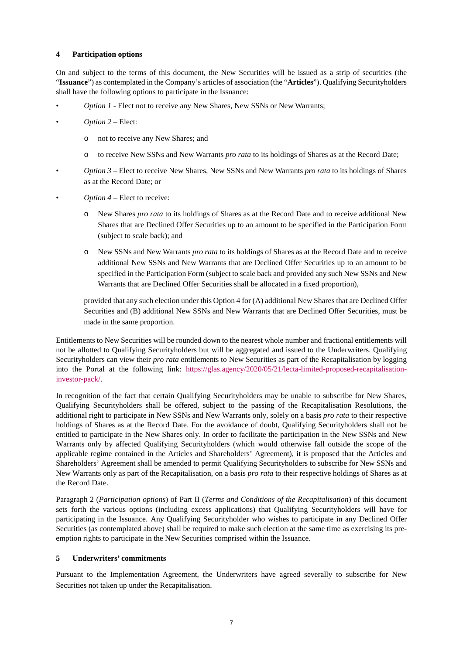## **4 Participation options**

On and subject to the terms of this document, the New Securities will be issued as a strip of securities (the "**Issuance**") as contemplated in the Company's articles of association (the "**Articles**"). Qualifying Securityholders shall have the following options to participate in the Issuance:

- *Option 1* Elect not to receive any New Shares, New SSNs or New Warrants;
- *Option 2* Elect:
	- o not to receive any New Shares; and
	- o to receive New SSNs and New Warrants *pro rata* to its holdings of Shares as at the Record Date;
- *Option 3* Elect to receive New Shares, New SSNs and New Warrants *pro rata* to its holdings of Shares as at the Record Date; or
- *Option 4* Elect to receive:
	- o New Shares *pro rata* to its holdings of Shares as at the Record Date and to receive additional New Shares that are Declined Offer Securities up to an amount to be specified in the Participation Form (subject to scale back); and
	- o New SSNs and New Warrants *pro rata* to its holdings of Shares as at the Record Date and to receive additional New SSNs and New Warrants that are Declined Offer Securities up to an amount to be specified in the Participation Form (subject to scale back and provided any such New SSNs and New Warrants that are Declined Offer Securities shall be allocated in a fixed proportion),

provided that any such election under this Option 4 for (A) additional New Shares that are Declined Offer Securities and (B) additional New SSNs and New Warrants that are Declined Offer Securities, must be made in the same proportion.

Entitlements to New Securities will be rounded down to the nearest whole number and fractional entitlements will not be allotted to Qualifying Securityholders but will be aggregated and issued to the Underwriters. Qualifying Securityholders can view their *pro rata* entitlements to New Securities as part of the Recapitalisation by logging into the Portal at the following link: [https://glas.agency/2020/05/21/lecta-limited-proposed-recapitalisation](https://glas.agency/2020/05/21/lecta-limited-proposed-recapitalisation-investor-pack/)[investor-pack/.](https://glas.agency/2020/05/21/lecta-limited-proposed-recapitalisation-investor-pack/)

In recognition of the fact that certain Qualifying Securityholders may be unable to subscribe for New Shares, Qualifying Securityholders shall be offered, subject to the passing of the Recapitalisation Resolutions, the additional right to participate in New SSNs and New Warrants only, solely on a basis *pro rata* to their respective holdings of Shares as at the Record Date. For the avoidance of doubt, Qualifying Securityholders shall not be entitled to participate in the New Shares only. In order to facilitate the participation in the New SSNs and New Warrants only by affected Qualifying Securityholders (which would otherwise fall outside the scope of the applicable regime contained in the Articles and Shareholders' Agreement), it is proposed that the Articles and Shareholders' Agreement shall be amended to permit Qualifying Securityholders to subscribe for New SSNs and New Warrants only as part of the Recapitalisation, on a basis *pro rata* to their respective holdings of Shares as at the Record Date.

Paragraph [2](#page-19-0) (*Participation options*) of Part II (*Terms and Conditions of the Recapitalisation*) of this document sets forth the various options (including excess applications) that Qualifying Securityholders will have for participating in the Issuance. Any Qualifying Securityholder who wishes to participate in any Declined Offer Securities (as contemplated above) shall be required to make such election at the same time as exercising its preemption rights to participate in the New Securities comprised within the Issuance.

## <span id="page-9-0"></span>**5 Underwriters' commitments**

Pursuant to the Implementation Agreement, the Underwriters have agreed severally to subscribe for New Securities not taken up under the Recapitalisation.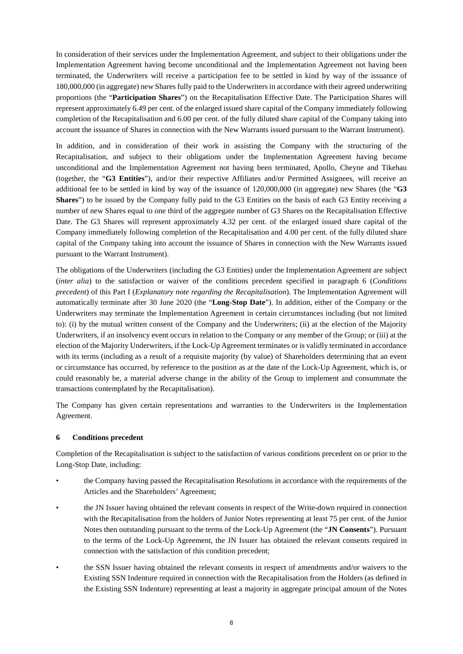In consideration of their services under the Implementation Agreement, and subject to their obligations under the Implementation Agreement having become unconditional and the Implementation Agreement not having been terminated, the Underwriters will receive a participation fee to be settled in kind by way of the issuance of 180,000,000 (in aggregate) new Shares fully paid to the Underwriters in accordance with their agreed underwriting proportions (the "**Participation Shares**") on the Recapitalisation Effective Date. The Participation Shares will represent approximately 6.49 per cent. of the enlarged issued share capital of the Company immediately following completion of the Recapitalisation and 6.00 per cent. of the fully diluted share capital of the Company taking into account the issuance of Shares in connection with the New Warrants issued pursuant to the Warrant Instrument).

In addition, and in consideration of their work in assisting the Company with the structuring of the Recapitalisation, and subject to their obligations under the Implementation Agreement having become unconditional and the Implementation Agreement not having been terminated, Apollo, Cheyne and Tikehau (together, the "**G3 Entities**"), and/or their respective Affiliates and/or Permitted Assignees, will receive an additional fee to be settled in kind by way of the issuance of 120,000,000 (in aggregate) new Shares (the "**G3 Shares**") to be issued by the Company fully paid to the G3 Entities on the basis of each G3 Entity receiving a number of new Shares equal to one third of the aggregate number of G3 Shares on the Recapitalisation Effective Date. The G3 Shares will represent approximately 4.32 per cent. of the enlarged issued share capital of the Company immediately following completion of the Recapitalisation and 4.00 per cent. of the fully diluted share capital of the Company taking into account the issuance of Shares in connection with the New Warrants issued pursuant to the Warrant Instrument).

The obligations of the Underwriters (including the G3 Entities) under the Implementation Agreement are subject (*inter alia*) to the satisfaction or waiver of the conditions precedent specified in paragraph [6](#page-10-0) (*Conditions precedent*) of this Part I (*Explanatory note regarding the Recapitalisation*). The Implementation Agreement will automatically terminate after 30 June 2020 (the "**Long-Stop Date**"). In addition, either of the Company or the Underwriters may terminate the Implementation Agreement in certain circumstances including (but not limited to): (i) by the mutual written consent of the Company and the Underwriters; (ii) at the election of the Majority Underwriters, if an insolvency event occurs in relation to the Company or any member of the Group; or (iii) at the election of the Majority Underwriters, if the Lock-Up Agreement terminates or is validly terminated in accordance with its terms (including as a result of a requisite majority (by value) of Shareholders determining that an event or circumstance has occurred, by reference to the position as at the date of the Lock-Up Agreement, which is, or could reasonably be, a material adverse change in the ability of the Group to implement and consummate the transactions contemplated by the Recapitalisation).

The Company has given certain representations and warranties to the Underwriters in the Implementation Agreement.

## <span id="page-10-0"></span>**6 Conditions precedent**

Completion of the Recapitalisation is subject to the satisfaction of various conditions precedent on or prior to the Long-Stop Date, including:

- the Company having passed the Recapitalisation Resolutions in accordance with the requirements of the Articles and the Shareholders' Agreement;
- the JN Issuer having obtained the relevant consents in respect of the Write-down required in connection with the Recapitalisation from the holders of Junior Notes representing at least 75 per cent. of the Junior Notes then outstanding pursuant to the terms of the Lock-Up Agreement (the "**JN Consents**"). Pursuant to the terms of the Lock-Up Agreement, the JN Issuer has obtained the relevant consents required in connection with the satisfaction of this condition precedent;
- the SSN Issuer having obtained the relevant consents in respect of amendments and/or waivers to the Existing SSN Indenture required in connection with the Recapitalisation from the Holders (as defined in the Existing SSN Indenture) representing at least a majority in aggregate principal amount of the Notes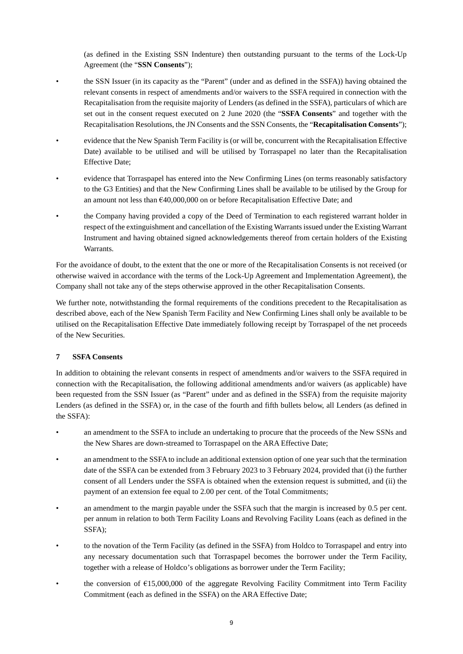(as defined in the Existing SSN Indenture) then outstanding pursuant to the terms of the Lock-Up Agreement (the "**SSN Consents**");

- the SSN Issuer (in its capacity as the "Parent" (under and as defined in the SSFA)) having obtained the relevant consents in respect of amendments and/or waivers to the SSFA required in connection with the Recapitalisation from the requisite majority of Lenders (as defined in the SSFA), particulars of which are set out in the consent request executed on 2 June 2020 (the "**SSFA Consents**" and together with the Recapitalisation Resolutions, the JN Consents and the SSN Consents, the "**Recapitalisation Consents**");
- evidence that the New Spanish Term Facility is (or will be, concurrent with the Recapitalisation Effective Date) available to be utilised and will be utilised by Torraspapel no later than the Recapitalisation Effective Date;
- evidence that Torraspapel has entered into the New Confirming Lines (on terms reasonably satisfactory to the G3 Entities) and that the New Confirming Lines shall be available to be utilised by the Group for an amount not less than €40,000,000 on or before Recapitalisation Effective Date; and
- the Company having provided a copy of the Deed of Termination to each registered warrant holder in respect of the extinguishment and cancellation of the Existing Warrants issued under the Existing Warrant Instrument and having obtained signed acknowledgements thereof from certain holders of the Existing Warrants.

For the avoidance of doubt, to the extent that the one or more of the Recapitalisation Consents is not received (or otherwise waived in accordance with the terms of the Lock-Up Agreement and Implementation Agreement), the Company shall not take any of the steps otherwise approved in the other Recapitalisation Consents.

We further note, notwithstanding the formal requirements of the conditions precedent to the Recapitalisation as described above, each of the New Spanish Term Facility and New Confirming Lines shall only be available to be utilised on the Recapitalisation Effective Date immediately following receipt by Torraspapel of the net proceeds of the New Securities.

## <span id="page-11-0"></span>**7 SSFA Consents**

In addition to obtaining the relevant consents in respect of amendments and/or waivers to the SSFA required in connection with the Recapitalisation, the following additional amendments and/or waivers (as applicable) have been requested from the SSN Issuer (as "Parent" under and as defined in the SSFA) from the requisite majority Lenders (as defined in the SSFA) or, in the case of the fourth and fifth bullets below, all Lenders (as defined in the SSFA):

- an amendment to the SSFA to include an undertaking to procure that the proceeds of the New SSNs and the New Shares are down-streamed to Torraspapel on the ARA Effective Date;
- an amendment to the SSFA to include an additional extension option of one year such that the termination date of the SSFA can be extended from 3 February 2023 to 3 February 2024, provided that (i) the further consent of all Lenders under the SSFA is obtained when the extension request is submitted, and (ii) the payment of an extension fee equal to 2.00 per cent. of the Total Commitments;
- an amendment to the margin payable under the SSFA such that the margin is increased by 0.5 per cent. per annum in relation to both Term Facility Loans and Revolving Facility Loans (each as defined in the SSFA);
- to the novation of the Term Facility (as defined in the SSFA) from Holdco to Torraspapel and entry into any necessary documentation such that Torraspapel becomes the borrower under the Term Facility, together with a release of Holdco's obligations as borrower under the Term Facility;
- the conversion of €15,000,000 of the aggregate Revolving Facility Commitment into Term Facility Commitment (each as defined in the SSFA) on the ARA Effective Date;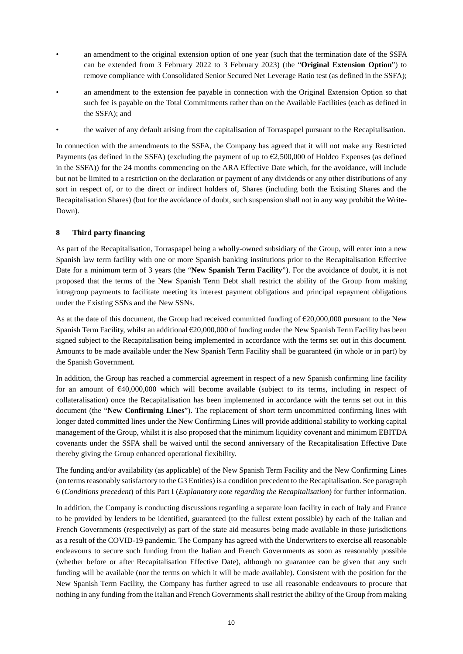- an amendment to the original extension option of one year (such that the termination date of the SSFA can be extended from 3 February 2022 to 3 February 2023) (the "**Original Extension Option**") to remove compliance with Consolidated Senior Secured Net Leverage Ratio test (as defined in the SSFA);
- an amendment to the extension fee payable in connection with the Original Extension Option so that such fee is payable on the Total Commitments rather than on the Available Facilities (each as defined in the SSFA); and
- the waiver of any default arising from the capitalisation of Torraspapel pursuant to the Recapitalisation.

In connection with the amendments to the SSFA, the Company has agreed that it will not make any Restricted Payments (as defined in the SSFA) (excluding the payment of up to €2,500,000 of Holdco Expenses (as defined in the SSFA)) for the 24 months commencing on the ARA Effective Date which, for the avoidance, will include but not be limited to a restriction on the declaration or payment of any dividends or any other distributions of any sort in respect of, or to the direct or indirect holders of, Shares (including both the Existing Shares and the Recapitalisation Shares) (but for the avoidance of doubt, such suspension shall not in any way prohibit the Write-Down).

## **8 Third party financing**

As part of the Recapitalisation, Torraspapel being a wholly-owned subsidiary of the Group, will enter into a new Spanish law term facility with one or more Spanish banking institutions prior to the Recapitalisation Effective Date for a minimum term of 3 years (the "**New Spanish Term Facility**"). For the avoidance of doubt, it is not proposed that the terms of the New Spanish Term Debt shall restrict the ability of the Group from making intragroup payments to facilitate meeting its interest payment obligations and principal repayment obligations under the Existing SSNs and the New SSNs.

As at the date of this document, the Group had received committed funding of  $\epsilon$ 20,000,000 pursuant to the New Spanish Term Facility, whilst an additional €20,000,000 of funding under the New Spanish Term Facility has been signed subject to the Recapitalisation being implemented in accordance with the terms set out in this document. Amounts to be made available under the New Spanish Term Facility shall be guaranteed (in whole or in part) by the Spanish Government.

In addition, the Group has reached a commercial agreement in respect of a new Spanish confirming line facility for an amount of €40,000,000 which will become available (subject to its terms, including in respect of collateralisation) once the Recapitalisation has been implemented in accordance with the terms set out in this document (the "**New Confirming Lines**"). The replacement of short term uncommitted confirming lines with longer dated committed lines under the New Confirming Lines will provide additional stability to working capital management of the Group, whilst it is also proposed that the minimum liquidity covenant and minimum EBITDA covenants under the SSFA shall be waived until the second anniversary of the Recapitalisation Effective Date thereby giving the Group enhanced operational flexibility.

The funding and/or availability (as applicable) of the New Spanish Term Facility and the New Confirming Lines (on terms reasonably satisfactory to the G3 Entities) is a condition precedent to the Recapitalisation. See paragraph [6](#page-10-0) (*Conditions precedent*) of this Part I (*Explanatory note regarding the Recapitalisation*) for further information.

In addition, the Company is conducting discussions regarding a separate loan facility in each of Italy and France to be provided by lenders to be identified, guaranteed (to the fullest extent possible) by each of the Italian and French Governments (respectively) as part of the state aid measures being made available in those jurisdictions as a result of the COVID-19 pandemic. The Company has agreed with the Underwriters to exercise all reasonable endeavours to secure such funding from the Italian and French Governments as soon as reasonably possible (whether before or after Recapitalisation Effective Date), although no guarantee can be given that any such funding will be available (nor the terms on which it will be made available). Consistent with the position for the New Spanish Term Facility, the Company has further agreed to use all reasonable endeavours to procure that nothing in any funding from the Italian and French Governments shall restrict the ability of the Group from making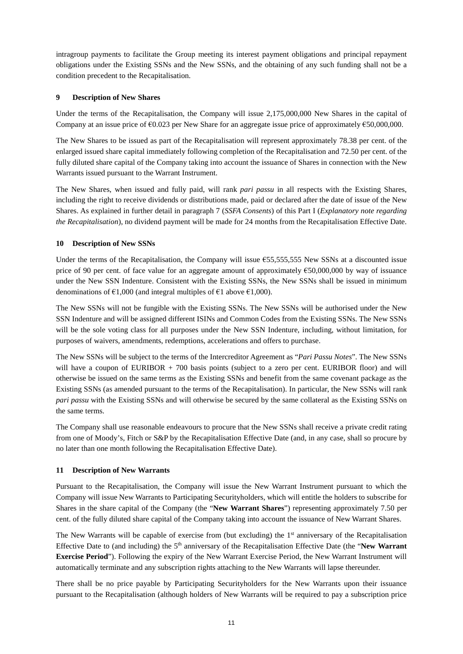intragroup payments to facilitate the Group meeting its interest payment obligations and principal repayment obligations under the Existing SSNs and the New SSNs, and the obtaining of any such funding shall not be a condition precedent to the Recapitalisation.

## **9 Description of New Shares**

Under the terms of the Recapitalisation, the Company will issue 2,175,000,000 New Shares in the capital of Company at an issue price of €0.023 per New Share for an aggregate issue price of approximately €50,000,000.

The New Shares to be issued as part of the Recapitalisation will represent approximately 78.38 per cent. of the enlarged issued share capital immediately following completion of the Recapitalisation and 72.50 per cent. of the fully diluted share capital of the Company taking into account the issuance of Shares in connection with the New Warrants issued pursuant to the Warrant Instrument.

The New Shares, when issued and fully paid, will rank *pari passu* in all respects with the Existing Shares, including the right to receive dividends or distributions made, paid or declared after the date of issue of the New Shares. As explained in further detail in paragraph [7](#page-11-0) (*SSFA Consents*) of this Part I (*Explanatory note regarding the Recapitalisation*), no dividend payment will be made for 24 months from the Recapitalisation Effective Date.

## **10 Description of New SSNs**

Under the terms of the Recapitalisation, the Company will issue  $655,555,555$  New SSNs at a discounted issue price of 90 per cent. of face value for an aggregate amount of approximately €50,000,000 by way of issuance under the New SSN Indenture. Consistent with the Existing SSNs, the New SSNs shall be issued in minimum denominations of  $\epsilon$ 1,000 (and integral multiples of  $\epsilon$ 1 above  $\epsilon$ 1,000).

The New SSNs will not be fungible with the Existing SSNs. The New SSNs will be authorised under the New SSN Indenture and will be assigned different ISINs and Common Codes from the Existing SSNs. The New SSNs will be the sole voting class for all purposes under the New SSN Indenture, including, without limitation, for purposes of waivers, amendments, redemptions, accelerations and offers to purchase.

The New SSNs will be subject to the terms of the Intercreditor Agreement as "*Pari Passu Notes*". The New SSNs will have a coupon of EURIBOR + 700 basis points (subject to a zero per cent. EURIBOR floor) and will otherwise be issued on the same terms as the Existing SSNs and benefit from the same covenant package as the Existing SSNs (as amended pursuant to the terms of the Recapitalisation). In particular, the New SSNs will rank *pari passu* with the Existing SSNs and will otherwise be secured by the same collateral as the Existing SSNs on the same terms.

The Company shall use reasonable endeavours to procure that the New SSNs shall receive a private credit rating from one of Moody's, Fitch or S&P by the Recapitalisation Effective Date (and, in any case, shall so procure by no later than one month following the Recapitalisation Effective Date).

## <span id="page-13-0"></span>**11 Description of New Warrants**

Pursuant to the Recapitalisation, the Company will issue the New Warrant Instrument pursuant to which the Company will issue New Warrants to Participating Securityholders, which will entitle the holders to subscribe for Shares in the share capital of the Company (the "**New Warrant Shares**") representing approximately 7.50 per cent. of the fully diluted share capital of the Company taking into account the issuance of New Warrant Shares.

The New Warrants will be capable of exercise from (but excluding) the  $1<sup>st</sup>$  anniversary of the Recapitalisation Effective Date to (and including) the 5th anniversary of the Recapitalisation Effective Date (the "**New Warrant Exercise Period**"). Following the expiry of the New Warrant Exercise Period, the New Warrant Instrument will automatically terminate and any subscription rights attaching to the New Warrants will lapse thereunder.

There shall be no price payable by Participating Securityholders for the New Warrants upon their issuance pursuant to the Recapitalisation (although holders of New Warrants will be required to pay a subscription price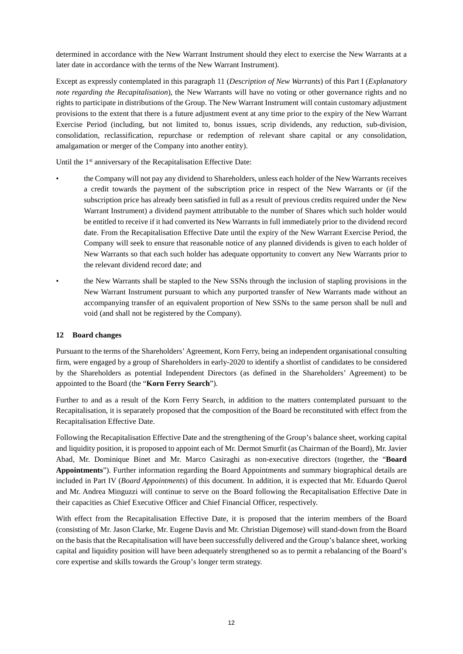determined in accordance with the New Warrant Instrument should they elect to exercise the New Warrants at a later date in accordance with the terms of the New Warrant Instrument).

Except as expressly contemplated in this paragrap[h 11 \(](#page-13-0)*Description of New Warrants*) of this Part I (*Explanatory note regarding the Recapitalisation*), the New Warrants will have no voting or other governance rights and no rights to participate in distributions of the Group. The New Warrant Instrument will contain customary adjustment provisions to the extent that there is a future adjustment event at any time prior to the expiry of the New Warrant Exercise Period (including, but not limited to, bonus issues, scrip dividends, any reduction, sub-division, consolidation, reclassification, repurchase or redemption of relevant share capital or any consolidation, amalgamation or merger of the Company into another entity).

Until the 1<sup>st</sup> anniversary of the Recapitalisation Effective Date:

- the Company will not pay any dividend to Shareholders, unless each holder of the New Warrants receives a credit towards the payment of the subscription price in respect of the New Warrants or (if the subscription price has already been satisfied in full as a result of previous credits required under the New Warrant Instrument) a dividend payment attributable to the number of Shares which such holder would be entitled to receive if it had converted its New Warrants in full immediately prior to the dividend record date. From the Recapitalisation Effective Date until the expiry of the New Warrant Exercise Period, the Company will seek to ensure that reasonable notice of any planned dividends is given to each holder of New Warrants so that each such holder has adequate opportunity to convert any New Warrants prior to the relevant dividend record date; and
- the New Warrants shall be stapled to the New SSNs through the inclusion of stapling provisions in the New Warrant Instrument pursuant to which any purported transfer of New Warrants made without an accompanying transfer of an equivalent proportion of New SSNs to the same person shall be null and void (and shall not be registered by the Company).

## <span id="page-14-0"></span>**12 Board changes**

Pursuant to the terms of the Shareholders' Agreement, Korn Ferry, being an independent organisational consulting firm, were engaged by a group of Shareholders in early-2020 to identify a shortlist of candidates to be considered by the Shareholders as potential Independent Directors (as defined in the Shareholders' Agreement) to be appointed to the Board (the "**Korn Ferry Search**").

Further to and as a result of the Korn Ferry Search, in addition to the matters contemplated pursuant to the Recapitalisation, it is separately proposed that the composition of the Board be reconstituted with effect from the Recapitalisation Effective Date.

Following the Recapitalisation Effective Date and the strengthening of the Group's balance sheet, working capital and liquidity position, it is proposed to appoint each of Mr. Dermot Smurfit (as Chairman of the Board), Mr. Javier Abad, Mr. Dominique Binet and Mr. Marco Casiraghi as non-executive directors (together, the "**Board Appointments**"). Further information regarding the Board Appointments and summary biographical details are included in Part IV (*Board Appointments*) of this document. In addition, it is expected that Mr. Eduardo Querol and Mr. Andrea Minguzzi will continue to serve on the Board following the Recapitalisation Effective Date in their capacities as Chief Executive Officer and Chief Financial Officer, respectively.

With effect from the Recapitalisation Effective Date, it is proposed that the interim members of the Board (consisting of Mr. Jason Clarke, Mr. Eugene Davis and Mr. Christian Digemose) will stand-down from the Board on the basis that the Recapitalisation will have been successfully delivered and the Group's balance sheet, working capital and liquidity position will have been adequately strengthened so as to permit a rebalancing of the Board's core expertise and skills towards the Group's longer term strategy.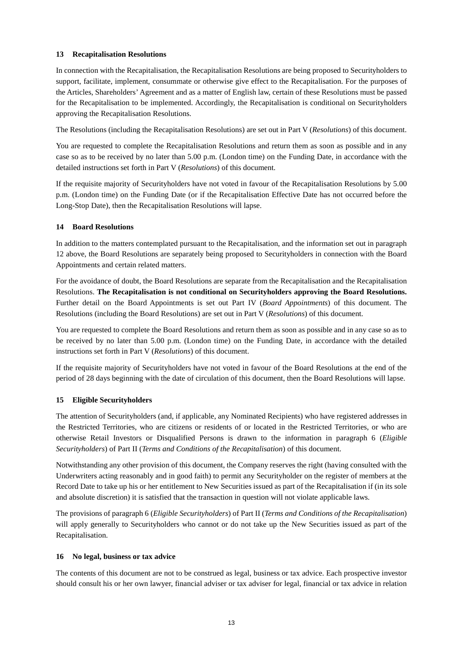## **13 Recapitalisation Resolutions**

In connection with the Recapitalisation, the Recapitalisation Resolutions are being proposed to Securityholders to support, facilitate, implement, consummate or otherwise give effect to the Recapitalisation. For the purposes of the Articles, Shareholders' Agreement and as a matter of English law, certain of these Resolutions must be passed for the Recapitalisation to be implemented. Accordingly, the Recapitalisation is conditional on Securityholders approving the Recapitalisation Resolutions.

The Resolutions (including the Recapitalisation Resolutions) are set out in Part V (*Resolutions*) of this document.

You are requested to complete the Recapitalisation Resolutions and return them as soon as possible and in any case so as to be received by no later than 5.00 p.m. (London time) on the Funding Date, in accordance with the detailed instructions set forth in Part V (*Resolutions*) of this document.

If the requisite majority of Securityholders have not voted in favour of the Recapitalisation Resolutions by 5.00 p.m. (London time) on the Funding Date (or if the Recapitalisation Effective Date has not occurred before the Long-Stop Date), then the Recapitalisation Resolutions will lapse.

## **14 Board Resolutions**

In addition to the matters contemplated pursuant to the Recapitalisation, and the information set out in paragraph [12](#page-14-0) above, the Board Resolutions are separately being proposed to Securityholders in connection with the Board Appointments and certain related matters.

For the avoidance of doubt, the Board Resolutions are separate from the Recapitalisation and the Recapitalisation Resolutions. **The Recapitalisation is not conditional on Securityholders approving the Board Resolutions.** Further detail on the Board Appointments is set out Part IV (*Board Appointments*) of this document. The Resolutions (including the Board Resolutions) are set out in Part V (*Resolutions*) of this document.

You are requested to complete the Board Resolutions and return them as soon as possible and in any case so as to be received by no later than 5.00 p.m. (London time) on the Funding Date, in accordance with the detailed instructions set forth in Part V (*Resolutions*) of this document.

If the requisite majority of Securityholders have not voted in favour of the Board Resolutions at the end of the period of 28 days beginning with the date of circulation of this document, then the Board Resolutions will lapse.

## **15 Eligible Securityholders**

The attention of Securityholders (and, if applicable, any Nominated Recipients) who have registered addresses in the Restricted Territories, who are citizens or residents of or located in the Restricted Territories, or who are otherwise Retail Investors or Disqualified Persons is drawn to the information in paragraph 6 (*Eligible Securityholders*) of Part II (*Terms and Conditions of the Recapitalisation*) of this document.

Notwithstanding any other provision of this document, the Company reserves the right (having consulted with the Underwriters acting reasonably and in good faith) to permit any Securityholder on the register of members at the Record Date to take up his or her entitlement to New Securities issued as part of the Recapitalisation if (in its sole and absolute discretion) it is satisfied that the transaction in question will not violate applicable laws.

The provisions of paragraph 6 (*Eligible Securityholders*) of Part II (*Terms and Conditions of the Recapitalisation*) will apply generally to Securityholders who cannot or do not take up the New Securities issued as part of the Recapitalisation.

## **16 No legal, business or tax advice**

The contents of this document are not to be construed as legal, business or tax advice. Each prospective investor should consult his or her own lawyer, financial adviser or tax adviser for legal, financial or tax advice in relation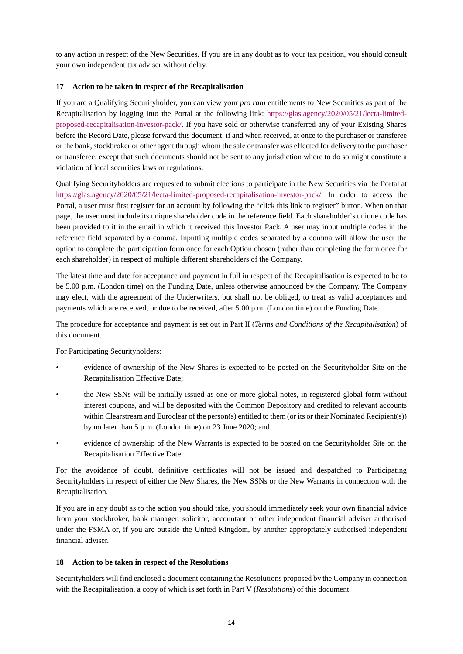to any action in respect of the New Securities. If you are in any doubt as to your tax position, you should consult your own independent tax adviser without delay.

## **17 Action to be taken in respect of the Recapitalisation**

If you are a Qualifying Securityholder, you can view your *pro rata* entitlements to New Securities as part of the Recapitalisation by logging into the Portal at the following link: [https://glas.agency/2020/05/21/lecta-limited](https://glas.agency/2020/05/21/lecta-limited-proposed-recapitalisation-investor-pack/)[proposed-recapitalisation-investor-pack/.](https://glas.agency/2020/05/21/lecta-limited-proposed-recapitalisation-investor-pack/) If you have sold or otherwise transferred any of your Existing Shares before the Record Date, please forward this document, if and when received, at once to the purchaser or transferee or the bank, stockbroker or other agent through whom the sale or transfer was effected for delivery to the purchaser or transferee, except that such documents should not be sent to any jurisdiction where to do so might constitute a violation of local securities laws or regulations.

Qualifying Securityholders are requested to submit elections to participate in the New Securities via the Portal at [https://glas.agency/2020/05/21/lecta-limited-proposed-recapitalisation-investor-pack/.](https://glas.agency/2020/05/21/lecta-limited-proposed-recapitalisation-investor-pack/) In order to access the Portal, a user must first register for an account by following the "click this link to register" button. When on that page, the user must include its unique shareholder code in the reference field. Each shareholder's unique code has been provided to it in the email in which it received this Investor Pack. A user may input multiple codes in the reference field separated by a comma. Inputting multiple codes separated by a comma will allow the user the option to complete the participation form once for each Option chosen (rather than completing the form once for each shareholder) in respect of multiple different shareholders of the Company.

The latest time and date for acceptance and payment in full in respect of the Recapitalisation is expected to be to be 5.00 p.m. (London time) on the Funding Date, unless otherwise announced by the Company. The Company may elect, with the agreement of the Underwriters, but shall not be obliged, to treat as valid acceptances and payments which are received, or due to be received, after 5.00 p.m. (London time) on the Funding Date.

The procedure for acceptance and payment is set out in Part II (*Terms and Conditions of the Recapitalisation*) of this document.

For Participating Securityholders:

- evidence of ownership of the New Shares is expected to be posted on the Securityholder Site on the Recapitalisation Effective Date;
- the New SSNs will be initially issued as one or more global notes, in registered global form without interest coupons, and will be deposited with the Common Depository and credited to relevant accounts within Clearstream and Euroclear of the person(s) entitled to them (or its or their Nominated Recipient(s)) by no later than 5 p.m. (London time) on 23 June 2020; and
- evidence of ownership of the New Warrants is expected to be posted on the Securityholder Site on the Recapitalisation Effective Date.

For the avoidance of doubt, definitive certificates will not be issued and despatched to Participating Securityholders in respect of either the New Shares, the New SSNs or the New Warrants in connection with the Recapitalisation.

If you are in any doubt as to the action you should take, you should immediately seek your own financial advice from your stockbroker, bank manager, solicitor, accountant or other independent financial adviser authorised under the FSMA or, if you are outside the United Kingdom, by another appropriately authorised independent financial adviser.

## **18 Action to be taken in respect of the Resolutions**

Securityholders will find enclosed a document containing the Resolutions proposed by the Company in connection with the Recapitalisation, a copy of which is set forth in Part V (*Resolutions*) of this document.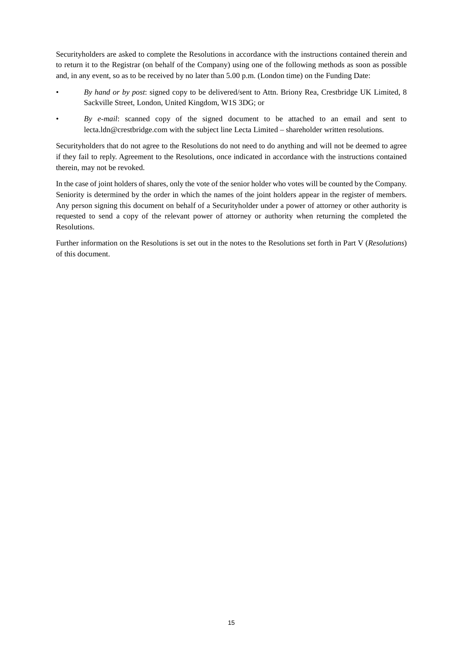Securityholders are asked to complete the Resolutions in accordance with the instructions contained therein and to return it to the Registrar (on behalf of the Company) using one of the following methods as soon as possible and, in any event, so as to be received by no later than 5.00 p.m. (London time) on the Funding Date:

- *By hand or by post*: signed copy to be delivered/sent to Attn. Briony Rea, Crestbridge UK Limited, 8 Sackville Street, London, United Kingdom, W1S 3DG; or
- *By e-mail*: scanned copy of the signed document to be attached to an email and sent to lecta.ldn@crestbridge.com with the subject line Lecta Limited – shareholder written resolutions.

Securityholders that do not agree to the Resolutions do not need to do anything and will not be deemed to agree if they fail to reply. Agreement to the Resolutions, once indicated in accordance with the instructions contained therein, may not be revoked.

In the case of joint holders of shares, only the vote of the senior holder who votes will be counted by the Company. Seniority is determined by the order in which the names of the joint holders appear in the register of members. Any person signing this document on behalf of a Securityholder under a power of attorney or other authority is requested to send a copy of the relevant power of attorney or authority when returning the completed the Resolutions.

Further information on the Resolutions is set out in the notes to the Resolutions set forth in Part V (*Resolutions*) of this document.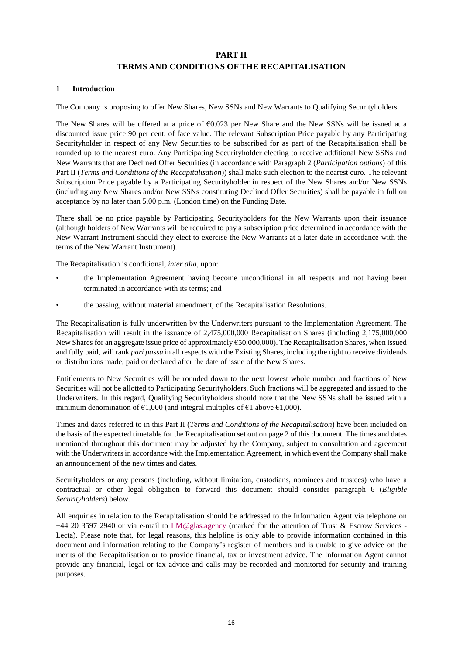## **PART II TERMS AND CONDITIONS OF THE RECAPITALISATION**

## <span id="page-18-0"></span>**1 Introduction**

The Company is proposing to offer New Shares, New SSNs and New Warrants to Qualifying Securityholders.

The New Shares will be offered at a price of €0.023 per New Share and the New SSNs will be issued at a discounted issue price 90 per cent. of face value. The relevant Subscription Price payable by any Participating Securityholder in respect of any New Securities to be subscribed for as part of the Recapitalisation shall be rounded up to the nearest euro. Any Participating Securityholder electing to receive additional New SSNs and New Warrants that are Declined Offer Securities (in accordance with Paragraph 2 (*Participation options*) of this Part II (*Terms and Conditions of the Recapitalisation*)) shall make such election to the nearest euro. The relevant Subscription Price payable by a Participating Securityholder in respect of the New Shares and/or New SSNs (including any New Shares and/or New SSNs constituting Declined Offer Securities) shall be payable in full on acceptance by no later than 5.00 p.m. (London time) on the Funding Date.

There shall be no price payable by Participating Securityholders for the New Warrants upon their issuance (although holders of New Warrants will be required to pay a subscription price determined in accordance with the New Warrant Instrument should they elect to exercise the New Warrants at a later date in accordance with the terms of the New Warrant Instrument).

The Recapitalisation is conditional, *inter alia*, upon:

- the Implementation Agreement having become unconditional in all respects and not having been terminated in accordance with its terms; and
- the passing, without material amendment, of the Recapitalisation Resolutions.

The Recapitalisation is fully underwritten by the Underwriters pursuant to the Implementation Agreement. The Recapitalisation will result in the issuance of 2,475,000,000 Recapitalisation Shares (including 2,175,000,000 New Shares for an aggregate issue price of approximately  $\epsilon$ 50,000,000). The Recapitalisation Shares, when issued and fully paid, will rank *pari passu* in all respects with the Existing Shares, including the right to receive dividends or distributions made, paid or declared after the date of issue of the New Shares.

Entitlements to New Securities will be rounded down to the next lowest whole number and fractions of New Securities will not be allotted to Participating Securityholders. Such fractions will be aggregated and issued to the Underwriters. In this regard, Qualifying Securityholders should note that the New SSNs shall be issued with a minimum denomination of  $\epsilon 1,000$  (and integral multiples of  $\epsilon 1$  above  $\epsilon 1,000$ ).

Times and dates referred to in this Part II (*Terms and Conditions of the Recapitalisation*) have been included on the basis of the expected timetable for the Recapitalisation set out on page 2 of this document. The times and dates mentioned throughout this document may be adjusted by the Company, subject to consultation and agreement with the Underwriters in accordance with the Implementation Agreement, in which event the Company shall make an announcement of the new times and dates.

Securityholders or any persons (including, without limitation, custodians, nominees and trustees) who have a contractual or other legal obligation to forward this document should consider paragraph 6 (*Eligible Securityholders*) below.

All enquiries in relation to the Recapitalisation should be addressed to the Information Agent via telephone on +44 20 3597 2940 or via e-mail to [LM@glas.agency](mailto:LM@glas.agency) (marked for the attention of Trust & Escrow Services - Lecta). Please note that, for legal reasons, this helpline is only able to provide information contained in this document and information relating to the Company's register of members and is unable to give advice on the merits of the Recapitalisation or to provide financial, tax or investment advice. The Information Agent cannot provide any financial, legal or tax advice and calls may be recorded and monitored for security and training purposes.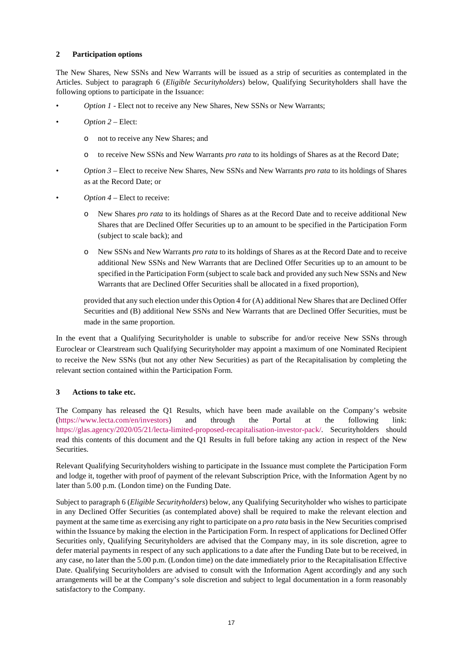## <span id="page-19-0"></span>**2 Participation options**

The New Shares, New SSNs and New Warrants will be issued as a strip of securities as contemplated in the Articles. Subject to paragraph 6 (*Eligible Securityholders*) below, Qualifying Securityholders shall have the following options to participate in the Issuance:

- *Option 1* Elect not to receive any New Shares, New SSNs or New Warrants;
- *Option 2* Elect:
	- o not to receive any New Shares; and
	- o to receive New SSNs and New Warrants *pro rata* to its holdings of Shares as at the Record Date;
- *Option 3* Elect to receive New Shares, New SSNs and New Warrants *pro rata* to its holdings of Shares as at the Record Date; or
- *Option 4* Elect to receive:
	- o New Shares *pro rata* to its holdings of Shares as at the Record Date and to receive additional New Shares that are Declined Offer Securities up to an amount to be specified in the Participation Form (subject to scale back); and
	- o New SSNs and New Warrants *pro rata* to its holdings of Shares as at the Record Date and to receive additional New SSNs and New Warrants that are Declined Offer Securities up to an amount to be specified in the Participation Form (subject to scale back and provided any such New SSNs and New Warrants that are Declined Offer Securities shall be allocated in a fixed proportion),

provided that any such election under this Option 4 for (A) additional New Shares that are Declined Offer Securities and (B) additional New SSNs and New Warrants that are Declined Offer Securities, must be made in the same proportion.

In the event that a Qualifying Securityholder is unable to subscribe for and/or receive New SSNs through Euroclear or Clearstream such Qualifying Securityholder may appoint a maximum of one Nominated Recipient to receive the New SSNs (but not any other New Securities) as part of the Recapitalisation by completing the relevant section contained within the Participation Form.

## **3 Actions to take etc.**

The Company has released the Q1 Results, which have been made available on the Company's website [\(https://www.lecta.com/en/investors\)](https://www.lecta.com/en/investors) and through the Portal at the following link: [https://glas.agency/2020/05/21/lecta-limited-proposed-recapitalisation-investor-pack/.](https://glas.agency/2020/05/21/lecta-limited-proposed-recapitalisation-investor-pack/) Securityholders should read this contents of this document and the Q1 Results in full before taking any action in respect of the New Securities.

Relevant Qualifying Securityholders wishing to participate in the Issuance must complete the Participation Form and lodge it, together with proof of payment of the relevant Subscription Price, with the Information Agent by no later than 5.00 p.m. (London time) on the Funding Date.

Subject to paragraph 6 (*Eligible Securityholders*) below, any Qualifying Securityholder who wishes to participate in any Declined Offer Securities (as contemplated above) shall be required to make the relevant election and payment at the same time as exercising any right to participate on a *pro rata* basis in the New Securities comprised within the Issuance by making the election in the Participation Form. In respect of applications for Declined Offer Securities only, Qualifying Securityholders are advised that the Company may, in its sole discretion, agree to defer material payments in respect of any such applications to a date after the Funding Date but to be received, in any case, no later than the 5.00 p.m. (London time) on the date immediately prior to the Recapitalisation Effective Date. Qualifying Securityholders are advised to consult with the Information Agent accordingly and any such arrangements will be at the Company's sole discretion and subject to legal documentation in a form reasonably satisfactory to the Company.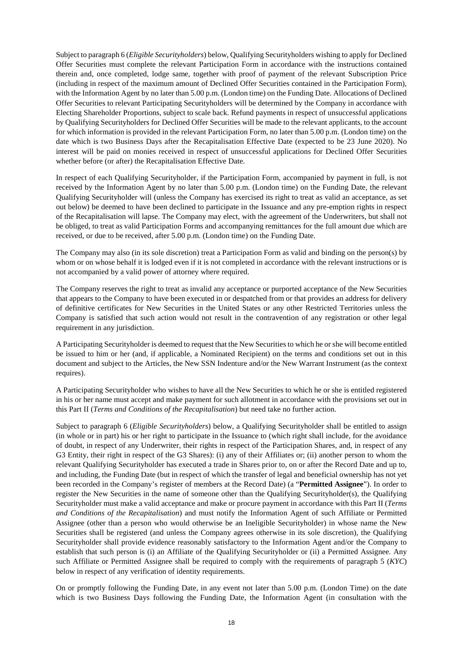Subject to paragraph 6 (*Eligible Securityholders*) below, Qualifying Securityholders wishing to apply for Declined Offer Securities must complete the relevant Participation Form in accordance with the instructions contained therein and, once completed, lodge same, together with proof of payment of the relevant Subscription Price (including in respect of the maximum amount of Declined Offer Securities contained in the Participation Form), with the Information Agent by no later than 5.00 p.m. (London time) on the Funding Date. Allocations of Declined Offer Securities to relevant Participating Securityholders will be determined by the Company in accordance with Electing Shareholder Proportions, subject to scale back. Refund payments in respect of unsuccessful applications by Qualifying Securityholders for Declined Offer Securities will be made to the relevant applicants, to the account for which information is provided in the relevant Participation Form, no later than 5.00 p.m. (London time) on the date which is two Business Days after the Recapitalisation Effective Date (expected to be 23 June 2020). No interest will be paid on monies received in respect of unsuccessful applications for Declined Offer Securities whether before (or after) the Recapitalisation Effective Date.

In respect of each Qualifying Securityholder, if the Participation Form, accompanied by payment in full, is not received by the Information Agent by no later than 5.00 p.m. (London time) on the Funding Date, the relevant Qualifying Securityholder will (unless the Company has exercised its right to treat as valid an acceptance, as set out below) be deemed to have been declined to participate in the Issuance and any pre-emption rights in respect of the Recapitalisation will lapse. The Company may elect, with the agreement of the Underwriters, but shall not be obliged, to treat as valid Participation Forms and accompanying remittances for the full amount due which are received, or due to be received, after 5.00 p.m. (London time) on the Funding Date.

The Company may also (in its sole discretion) treat a Participation Form as valid and binding on the person(s) by whom or on whose behalf it is lodged even if it is not completed in accordance with the relevant instructions or is not accompanied by a valid power of attorney where required.

The Company reserves the right to treat as invalid any acceptance or purported acceptance of the New Securities that appears to the Company to have been executed in or despatched from or that provides an address for delivery of definitive certificates for New Securities in the United States or any other Restricted Territories unless the Company is satisfied that such action would not result in the contravention of any registration or other legal requirement in any jurisdiction.

A Participating Securityholder is deemed to request that the New Securities to which he or she will become entitled be issued to him or her (and, if applicable, a Nominated Recipient) on the terms and conditions set out in this document and subject to the Articles, the New SSN Indenture and/or the New Warrant Instrument (as the context requires).

A Participating Securityholder who wishes to have all the New Securities to which he or she is entitled registered in his or her name must accept and make payment for such allotment in accordance with the provisions set out in this Part II (*Terms and Conditions of the Recapitalisation*) but need take no further action.

Subject to paragraph 6 (*Eligible Securityholders*) below, a Qualifying Securityholder shall be entitled to assign (in whole or in part) his or her right to participate in the Issuance to (which right shall include, for the avoidance of doubt, in respect of any Underwriter, their rights in respect of the Participation Shares, and, in respect of any G3 Entity, their right in respect of the G3 Shares): (i) any of their Affiliates or; (ii) another person to whom the relevant Qualifying Securityholder has executed a trade in Shares prior to, on or after the Record Date and up to, and including, the Funding Date (but in respect of which the transfer of legal and beneficial ownership has not yet been recorded in the Company's register of members at the Record Date) (a "**Permitted Assignee**"). In order to register the New Securities in the name of someone other than the Qualifying Securityholder(s), the Qualifying Securityholder must make a valid acceptance and make or procure payment in accordance with this Part II (*Terms and Conditions of the Recapitalisation*) and must notify the Information Agent of such Affiliate or Permitted Assignee (other than a person who would otherwise be an Ineligible Securityholder) in whose name the New Securities shall be registered (and unless the Company agrees otherwise in its sole discretion), the Qualifying Securityholder shall provide evidence reasonably satisfactory to the Information Agent and/or the Company to establish that such person is (i) an Affiliate of the Qualifying Securityholder or (ii) a Permitted Assignee. Any such Affiliate or Permitted Assignee shall be required to comply with the requirements of paragraph [5](#page-22-0) (*KYC*) below in respect of any verification of identity requirements.

On or promptly following the Funding Date, in any event not later than 5.00 p.m. (London Time) on the date which is two Business Days following the Funding Date, the Information Agent (in consultation with the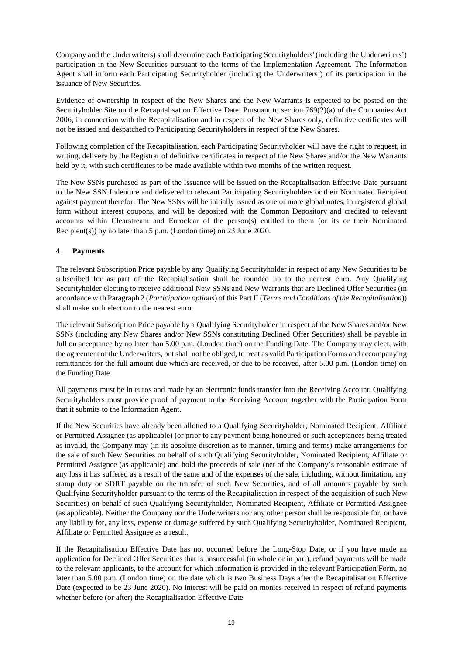Company and the Underwriters) shall determine each Participating Securityholders' (including the Underwriters') participation in the New Securities pursuant to the terms of the Implementation Agreement. The Information Agent shall inform each Participating Securityholder (including the Underwriters') of its participation in the issuance of New Securities.

Evidence of ownership in respect of the New Shares and the New Warrants is expected to be posted on the Securityholder Site on the Recapitalisation Effective Date. Pursuant to section 769(2)(a) of the Companies Act 2006, in connection with the Recapitalisation and in respect of the New Shares only, definitive certificates will not be issued and despatched to Participating Securityholders in respect of the New Shares.

Following completion of the Recapitalisation, each Participating Securityholder will have the right to request, in writing, delivery by the Registrar of definitive certificates in respect of the New Shares and/or the New Warrants held by it, with such certificates to be made available within two months of the written request.

The New SSNs purchased as part of the Issuance will be issued on the Recapitalisation Effective Date pursuant to the New SSN Indenture and delivered to relevant Participating Securityholders or their Nominated Recipient against payment therefor. The New SSNs will be initially issued as one or more global notes, in registered global form without interest coupons, and will be deposited with the Common Depository and credited to relevant accounts within Clearstream and Euroclear of the person(s) entitled to them (or its or their Nominated Recipient(s)) by no later than 5 p.m. (London time) on 23 June 2020.

## **4 Payments**

The relevant Subscription Price payable by any Qualifying Securityholder in respect of any New Securities to be subscribed for as part of the Recapitalisation shall be rounded up to the nearest euro. Any Qualifying Securityholder electing to receive additional New SSNs and New Warrants that are Declined Offer Securities (in accordance with Paragraph 2 (*Participation options*) of this Part II (*Terms and Conditions of the Recapitalisation*)) shall make such election to the nearest euro.

The relevant Subscription Price payable by a Qualifying Securityholder in respect of the New Shares and/or New SSNs (including any New Shares and/or New SSNs constituting Declined Offer Securities) shall be payable in full on acceptance by no later than 5.00 p.m. (London time) on the Funding Date. The Company may elect, with the agreement of the Underwriters, but shall not be obliged, to treat as valid Participation Forms and accompanying remittances for the full amount due which are received, or due to be received, after 5.00 p.m. (London time) on the Funding Date.

All payments must be in euros and made by an electronic funds transfer into the Receiving Account. Qualifying Securityholders must provide proof of payment to the Receiving Account together with the Participation Form that it submits to the Information Agent.

If the New Securities have already been allotted to a Qualifying Securityholder, Nominated Recipient, Affiliate or Permitted Assignee (as applicable) (or prior to any payment being honoured or such acceptances being treated as invalid, the Company may (in its absolute discretion as to manner, timing and terms) make arrangements for the sale of such New Securities on behalf of such Qualifying Securityholder, Nominated Recipient, Affiliate or Permitted Assignee (as applicable) and hold the proceeds of sale (net of the Company's reasonable estimate of any loss it has suffered as a result of the same and of the expenses of the sale, including, without limitation, any stamp duty or SDRT payable on the transfer of such New Securities, and of all amounts payable by such Qualifying Securityholder pursuant to the terms of the Recapitalisation in respect of the acquisition of such New Securities) on behalf of such Qualifying Securityholder, Nominated Recipient, Affiliate or Permitted Assignee (as applicable). Neither the Company nor the Underwriters nor any other person shall be responsible for, or have any liability for, any loss, expense or damage suffered by such Qualifying Securityholder, Nominated Recipient, Affiliate or Permitted Assignee as a result.

If the Recapitalisation Effective Date has not occurred before the Long-Stop Date, or if you have made an application for Declined Offer Securities that is unsuccessful (in whole or in part), refund payments will be made to the relevant applicants, to the account for which information is provided in the relevant Participation Form, no later than 5.00 p.m. (London time) on the date which is two Business Days after the Recapitalisation Effective Date (expected to be 23 June 2020). No interest will be paid on monies received in respect of refund payments whether before (or after) the Recapitalisation Effective Date.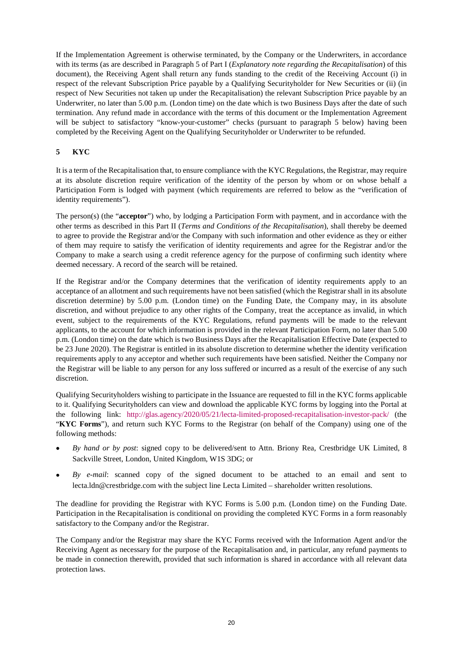If the Implementation Agreement is otherwise terminated, by the Company or the Underwriters, in accordance with its terms (as are described in Paragraph [5](#page-9-0) of Part I (*Explanatory note regarding the Recapitalisation*) of this document), the Receiving Agent shall return any funds standing to the credit of the Receiving Account (i) in respect of the relevant Subscription Price payable by a Qualifying Securityholder for New Securities or (ii) (in respect of New Securities not taken up under the Recapitalisation) the relevant Subscription Price payable by an Underwriter, no later than 5.00 p.m. (London time) on the date which is two Business Days after the date of such termination. Any refund made in accordance with the terms of this document or the Implementation Agreement will be subject to satisfactory "know-your-customer" checks (pursuant to paragraph [5](#page-22-0) below) having been completed by the Receiving Agent on the Qualifying Securityholder or Underwriter to be refunded.

## <span id="page-22-0"></span>**5 KYC**

It is a term of the Recapitalisation that, to ensure compliance with the KYC Regulations, the Registrar, may require at its absolute discretion require verification of the identity of the person by whom or on whose behalf a Participation Form is lodged with payment (which requirements are referred to below as the "verification of identity requirements").

The person(s) (the "**acceptor**") who, by lodging a Participation Form with payment, and in accordance with the other terms as described in this Part II (*Terms and Conditions of the Recapitalisation*), shall thereby be deemed to agree to provide the Registrar and/or the Company with such information and other evidence as they or either of them may require to satisfy the verification of identity requirements and agree for the Registrar and/or the Company to make a search using a credit reference agency for the purpose of confirming such identity where deemed necessary. A record of the search will be retained.

If the Registrar and/or the Company determines that the verification of identity requirements apply to an acceptance of an allotment and such requirements have not been satisfied (which the Registrar shall in its absolute discretion determine) by 5.00 p.m. (London time) on the Funding Date, the Company may, in its absolute discretion, and without prejudice to any other rights of the Company, treat the acceptance as invalid, in which event, subject to the requirements of the KYC Regulations, refund payments will be made to the relevant applicants, to the account for which information is provided in the relevant Participation Form, no later than 5.00 p.m. (London time) on the date which is two Business Days after the Recapitalisation Effective Date (expected to be 23 June 2020). The Registrar is entitled in its absolute discretion to determine whether the identity verification requirements apply to any acceptor and whether such requirements have been satisfied. Neither the Company nor the Registrar will be liable to any person for any loss suffered or incurred as a result of the exercise of any such discretion.

Qualifying Securityholders wishing to participate in the Issuance are requested to fill in the KYC forms applicable to it. Qualifying Securityholders can view and download the applicable KYC forms by logging into the Portal at the following link: <http://glas.agency/2020/05/21/lecta-limited-proposed-recapitalisation-investor-pack/>(the "**KYC Forms**"), and return such KYC Forms to the Registrar (on behalf of the Company) using one of the following methods:

- *By hand or by post*: signed copy to be delivered/sent to Attn. Briony Rea, Crestbridge UK Limited, 8 Sackville Street, London, United Kingdom, W1S 3DG; or
- *By e-mail*: scanned copy of the signed document to be attached to an email and sent to lecta.ldn@crestbridge.com with the subject line Lecta Limited – shareholder written resolutions.

The deadline for providing the Registrar with KYC Forms is 5.00 p.m. (London time) on the Funding Date. Participation in the Recapitalisation is conditional on providing the completed KYC Forms in a form reasonably satisfactory to the Company and/or the Registrar.

The Company and/or the Registrar may share the KYC Forms received with the Information Agent and/or the Receiving Agent as necessary for the purpose of the Recapitalisation and, in particular, any refund payments to be made in connection therewith, provided that such information is shared in accordance with all relevant data protection laws.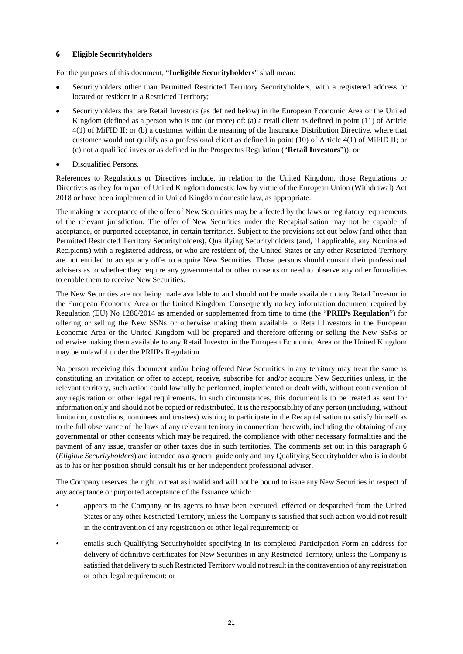## <span id="page-23-0"></span>**6 Eligible Securityholders**

For the purposes of this document, "**Ineligible Securityholders**" shall mean:

- Securityholders other than Permitted Restricted Territory Securityholders, with a registered address or located or resident in a Restricted Territory;
- Securityholders that are Retail Investors (as defined below) in the European Economic Area or the United Kingdom (defined as a person who is one (or more) of: (a) a retail client as defined in point (11) of Article 4(1) of MiFID II; or (b) a customer within the meaning of the Insurance Distribution Directive, where that customer would not qualify as a professional client as defined in point (10) of Article 4(1) of MiFID II; or (c) not a qualified investor as defined in the Prospectus Regulation ("**Retail Investors**")); or
- Disqualified Persons.

References to Regulations or Directives include, in relation to the United Kingdom, those Regulations or Directives as they form part of United Kingdom domestic law by virtue of the European Union (Withdrawal) Act 2018 or have been implemented in United Kingdom domestic law, as appropriate.

The making or acceptance of the offer of New Securities may be affected by the laws or regulatory requirements of the relevant jurisdiction. The offer of New Securities under the Recapitalisation may not be capable of acceptance, or purported acceptance, in certain territories. Subject to the provisions set out below (and other than Permitted Restricted Territory Securityholders), Qualifying Securityholders (and, if applicable, any Nominated Recipients) with a registered address, or who are resident of, the United States or any other Restricted Territory are not entitled to accept any offer to acquire New Securities. Those persons should consult their professional advisers as to whether they require any governmental or other consents or need to observe any other formalities to enable them to receive New Securities.

The New Securities are not being made available to and should not be made available to any Retail Investor in the European Economic Area or the United Kingdom. Consequently no key information document required by Regulation (EU) No 1286/2014 as amended or supplemented from time to time (the "**PRIIPs Regulation**") for offering or selling the New SSNs or otherwise making them available to Retail Investors in the European Economic Area or the United Kingdom will be prepared and therefore offering or selling the New SSNs or otherwise making them available to any Retail Investor in the European Economic Area or the United Kingdom may be unlawful under the PRIIPs Regulation.

No person receiving this document and/or being offered New Securities in any territory may treat the same as constituting an invitation or offer to accept, receive, subscribe for and/or acquire New Securities unless, in the relevant territory, such action could lawfully be performed, implemented or dealt with, without contravention of any registration or other legal requirements. In such circumstances, this document is to be treated as sent for information only and should not be copied or redistributed. It is the responsibility of any person (including, without limitation, custodians, nominees and trustees) wishing to participate in the Recapitalisation to satisfy himself as to the full observance of the laws of any relevant territory in connection therewith, including the obtaining of any governmental or other consents which may be required, the compliance with other necessary formalities and the payment of any issue, transfer or other taxes due in such territories. The comments set out in this paragraph 6 (*Eligible Securityholders*) are intended as a general guide only and any Qualifying Securityholder who is in doubt as to his or her position should consult his or her independent professional adviser.

The Company reserves the right to treat as invalid and will not be bound to issue any New Securities in respect of any acceptance or purported acceptance of the Issuance which:

- appears to the Company or its agents to have been executed, effected or despatched from the United States or any other Restricted Territory, unless the Company is satisfied that such action would not result in the contravention of any registration or other legal requirement; or
- entails such Qualifying Securityholder specifying in its completed Participation Form an address for delivery of definitive certificates for New Securities in any Restricted Territory, unless the Company is satisfied that delivery to such Restricted Territory would not result in the contravention of any registration or other legal requirement; or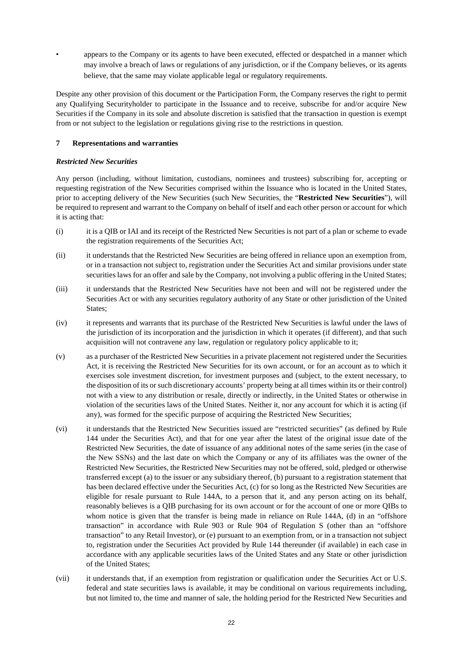• appears to the Company or its agents to have been executed, effected or despatched in a manner which may involve a breach of laws or regulations of any jurisdiction, or if the Company believes, or its agents believe, that the same may violate applicable legal or regulatory requirements.

Despite any other provision of this document or the Participation Form, the Company reserves the right to permit any Qualifying Securityholder to participate in the Issuance and to receive, subscribe for and/or acquire New Securities if the Company in its sole and absolute discretion is satisfied that the transaction in question is exempt from or not subject to the legislation or regulations giving rise to the restrictions in question.

## **7 Representations and warranties**

## *Restricted New Securities*

Any person (including, without limitation, custodians, nominees and trustees) subscribing for, accepting or requesting registration of the New Securities comprised within the Issuance who is located in the United States, prior to accepting delivery of the New Securities (such New Securities, the "**Restricted New Securities**"), will be required to represent and warrant to the Company on behalf of itself and each other person or account for which it is acting that:

- (i) it is a QIB or IAI and its receipt of the Restricted New Securities is not part of a plan or scheme to evade the registration requirements of the Securities Act;
- (ii) it understands that the Restricted New Securities are being offered in reliance upon an exemption from, or in a transaction not subject to, registration under the Securities Act and similar provisions under state securities laws for an offer and sale by the Company, not involving a public offering in the United States;
- (iii) it understands that the Restricted New Securities have not been and will not be registered under the Securities Act or with any securities regulatory authority of any State or other jurisdiction of the United States;
- (iv) it represents and warrants that its purchase of the Restricted New Securities is lawful under the laws of the jurisdiction of its incorporation and the jurisdiction in which it operates (if different), and that such acquisition will not contravene any law, regulation or regulatory policy applicable to it;
- (v) as a purchaser of the Restricted New Securities in a private placement not registered under the Securities Act, it is receiving the Restricted New Securities for its own account, or for an account as to which it exercises sole investment discretion, for investment purposes and (subject, to the extent necessary, to the disposition of its or such discretionary accounts' property being at all times within its or their control) not with a view to any distribution or resale, directly or indirectly, in the United States or otherwise in violation of the securities laws of the United States. Neither it, nor any account for which it is acting (if any), was formed for the specific purpose of acquiring the Restricted New Securities;
- (vi) it understands that the Restricted New Securities issued are "restricted securities" (as defined by Rule 144 under the Securities Act), and that for one year after the latest of the original issue date of the Restricted New Securities, the date of issuance of any additional notes of the same series (in the case of the New SSNs) and the last date on which the Company or any of its affiliates was the owner of the Restricted New Securities, the Restricted New Securities may not be offered, sold, pledged or otherwise transferred except (a) to the issuer or any subsidiary thereof, (b) pursuant to a registration statement that has been declared effective under the Securities Act, (c) for so long as the Restricted New Securities are eligible for resale pursuant to Rule 144A, to a person that it, and any person acting on its behalf, reasonably believes is a QIB purchasing for its own account or for the account of one or more QIBs to whom notice is given that the transfer is being made in reliance on Rule 144A, (d) in an "offshore transaction" in accordance with Rule 903 or Rule 904 of Regulation S (other than an "offshore transaction" to any Retail Investor), or (e) pursuant to an exemption from, or in a transaction not subject to, registration under the Securities Act provided by Rule 144 thereunder (if available) in each case in accordance with any applicable securities laws of the United States and any State or other jurisdiction of the United States;
- (vii) it understands that, if an exemption from registration or qualification under the Securities Act or U.S. federal and state securities laws is available, it may be conditional on various requirements including, but not limited to, the time and manner of sale, the holding period for the Restricted New Securities and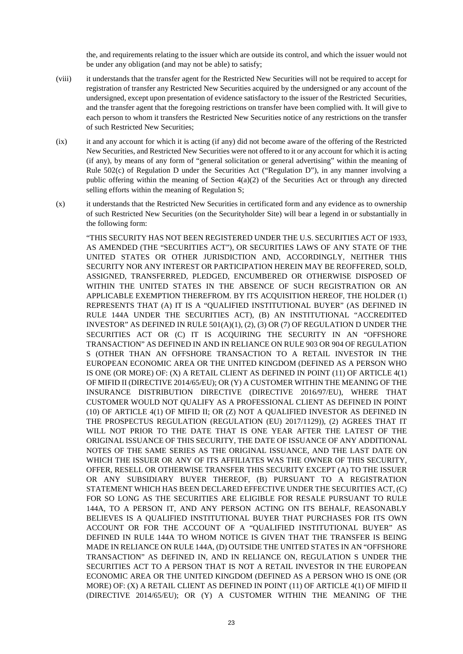the, and requirements relating to the issuer which are outside its control, and which the issuer would not be under any obligation (and may not be able) to satisfy;

- (viii) it understands that the transfer agent for the Restricted New Securities will not be required to accept for registration of transfer any Restricted New Securities acquired by the undersigned or any account of the undersigned, except upon presentation of evidence satisfactory to the issuer of the Restricted Securities, and the transfer agent that the foregoing restrictions on transfer have been complied with. It will give to each person to whom it transfers the Restricted New Securities notice of any restrictions on the transfer of such Restricted New Securities;
- (ix) it and any account for which it is acting (if any) did not become aware of the offering of the Restricted New Securities, and Restricted New Securities were not offered to it or any account for which it is acting (if any), by means of any form of "general solicitation or general advertising" within the meaning of Rule 502(c) of Regulation D under the Securities Act ("Regulation D"), in any manner involving a public offering within the meaning of Section  $4(a)(2)$  of the Securities Act or through any directed selling efforts within the meaning of Regulation S;
- (x) it understands that the Restricted New Securities in certificated form and any evidence as to ownership of such Restricted New Securities (on the Securityholder Site) will bear a legend in or substantially in the following form:

"THIS SECURITY HAS NOT BEEN REGISTERED UNDER THE U.S. SECURITIES ACT OF 1933, AS AMENDED (THE "SECURITIES ACT"), OR SECURITIES LAWS OF ANY STATE OF THE UNITED STATES OR OTHER JURISDICTION AND, ACCORDINGLY, NEITHER THIS SECURITY NOR ANY INTEREST OR PARTICIPATION HEREIN MAY BE REOFFERED, SOLD, ASSIGNED, TRANSFERRED, PLEDGED, ENCUMBERED OR OTHERWISE DISPOSED OF WITHIN THE UNITED STATES IN THE ABSENCE OF SUCH REGISTRATION OR AN APPLICABLE EXEMPTION THEREFROM. BY ITS ACQUISITION HEREOF, THE HOLDER (1) REPRESENTS THAT (A) IT IS A "QUALIFIED INSTITUTIONAL BUYER" (AS DEFINED IN RULE 144A UNDER THE SECURITIES ACT), (B) AN INSTITUTIONAL "ACCREDITED INVESTOR" AS DEFINED IN RULE 501(A)(1), (2), (3) OR (7) OF REGULATION D UNDER THE SECURITIES ACT OR (C) IT IS ACQUIRING THE SECURITY IN AN "OFFSHORE TRANSACTION" AS DEFINED IN AND IN RELIANCE ON RULE 903 OR 904 OF REGULATION S (OTHER THAN AN OFFSHORE TRANSACTION TO A RETAIL INVESTOR IN THE EUROPEAN ECONOMIC AREA OR THE UNITED KINGDOM (DEFINED AS A PERSON WHO IS ONE (OR MORE) OF: (X) A RETAIL CLIENT AS DEFINED IN POINT (11) OF ARTICLE 4(1) OF MIFID II (DIRECTIVE 2014/65/EU); OR (Y) A CUSTOMER WITHIN THE MEANING OF THE INSURANCE DISTRIBUTION DIRECTIVE (DIRECTIVE 2016/97/EU), WHERE THAT CUSTOMER WOULD NOT QUALIFY AS A PROFESSIONAL CLIENT AS DEFINED IN POINT (10) OF ARTICLE 4(1) OF MIFID II; OR (Z) NOT A QUALIFIED INVESTOR AS DEFINED IN THE PROSPECTUS REGULATION (REGULATION (EU) 2017/1129)), (2) AGREES THAT IT WILL NOT PRIOR TO THE DATE THAT IS ONE YEAR AFTER THE LATEST OF THE ORIGINAL ISSUANCE OF THIS SECURITY, THE DATE OF ISSUANCE OF ANY ADDITIONAL NOTES OF THE SAME SERIES AS THE ORIGINAL ISSUANCE, AND THE LAST DATE ON WHICH THE ISSUER OR ANY OF ITS AFFILIATES WAS THE OWNER OF THIS SECURITY. OFFER, RESELL OR OTHERWISE TRANSFER THIS SECURITY EXCEPT (A) TO THE ISSUER OR ANY SUBSIDIARY BUYER THEREOF, (B) PURSUANT TO A REGISTRATION STATEMENT WHICH HAS BEEN DECLARED EFFECTIVE UNDER THE SECURITIES ACT, (C) FOR SO LONG AS THE SECURITIES ARE ELIGIBLE FOR RESALE PURSUANT TO RULE 144A, TO A PERSON IT, AND ANY PERSON ACTING ON ITS BEHALF, REASONABLY BELIEVES IS A QUALIFIED INSTITUTIONAL BUYER THAT PURCHASES FOR ITS OWN ACCOUNT OR FOR THE ACCOUNT OF A "QUALIFIED INSTITUTIONAL BUYER" AS DEFINED IN RULE 144A TO WHOM NOTICE IS GIVEN THAT THE TRANSFER IS BEING MADE IN RELIANCE ON RULE 144A, (D) OUTSIDE THE UNITED STATES IN AN "OFFSHORE TRANSACTION" AS DEFINED IN, AND IN RELIANCE ON, REGULATION S UNDER THE SECURITIES ACT TO A PERSON THAT IS NOT A RETAIL INVESTOR IN THE EUROPEAN ECONOMIC AREA OR THE UNITED KINGDOM (DEFINED AS A PERSON WHO IS ONE (OR MORE) OF: (X) A RETAIL CLIENT AS DEFINED IN POINT (11) OF ARTICLE 4(1) OF MIFID II (DIRECTIVE 2014/65/EU); OR (Y) A CUSTOMER WITHIN THE MEANING OF THE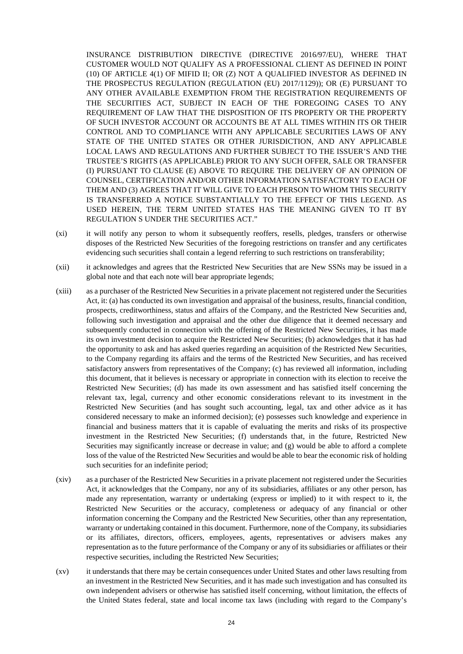INSURANCE DISTRIBUTION DIRECTIVE (DIRECTIVE 2016/97/EU), WHERE THAT CUSTOMER WOULD NOT QUALIFY AS A PROFESSIONAL CLIENT AS DEFINED IN POINT (10) OF ARTICLE 4(1) OF MIFID II; OR (Z) NOT A QUALIFIED INVESTOR AS DEFINED IN THE PROSPECTUS REGULATION (REGULATION (EU) 2017/1129)); OR (E) PURSUANT TO ANY OTHER AVAILABLE EXEMPTION FROM THE REGISTRATION REQUIREMENTS OF THE SECURITIES ACT, SUBJECT IN EACH OF THE FOREGOING CASES TO ANY REQUIREMENT OF LAW THAT THE DISPOSITION OF ITS PROPERTY OR THE PROPERTY OF SUCH INVESTOR ACCOUNT OR ACCOUNTS BE AT ALL TIMES WITHIN ITS OR THEIR CONTROL AND TO COMPLIANCE WITH ANY APPLICABLE SECURITIES LAWS OF ANY STATE OF THE UNITED STATES OR OTHER JURISDICTION, AND ANY APPLICABLE LOCAL LAWS AND REGULATIONS AND FURTHER SUBJECT TO THE ISSUER'S AND THE TRUSTEE'S RIGHTS (AS APPLICABLE) PRIOR TO ANY SUCH OFFER, SALE OR TRANSFER (I) PURSUANT TO CLAUSE (E) ABOVE TO REQUIRE THE DELIVERY OF AN OPINION OF COUNSEL, CERTIFICATION AND/OR OTHER INFORMATION SATISFACTORY TO EACH OF THEM AND (3) AGREES THAT IT WILL GIVE TO EACH PERSON TO WHOM THIS SECURITY IS TRANSFERRED A NOTICE SUBSTANTIALLY TO THE EFFECT OF THIS LEGEND. AS USED HEREIN, THE TERM UNITED STATES HAS THE MEANING GIVEN TO IT BY REGULATION S UNDER THE SECURITIES ACT."

- (xi) it will notify any person to whom it subsequently reoffers, resells, pledges, transfers or otherwise disposes of the Restricted New Securities of the foregoing restrictions on transfer and any certificates evidencing such securities shall contain a legend referring to such restrictions on transferability;
- (xii) it acknowledges and agrees that the Restricted New Securities that are New SSNs may be issued in a global note and that each note will bear appropriate legends;
- (xiii) as a purchaser of the Restricted New Securities in a private placement not registered under the Securities Act, it: (a) has conducted its own investigation and appraisal of the business, results, financial condition, prospects, creditworthiness, status and affairs of the Company, and the Restricted New Securities and, following such investigation and appraisal and the other due diligence that it deemed necessary and subsequently conducted in connection with the offering of the Restricted New Securities, it has made its own investment decision to acquire the Restricted New Securities; (b) acknowledges that it has had the opportunity to ask and has asked queries regarding an acquisition of the Restricted New Securities, to the Company regarding its affairs and the terms of the Restricted New Securities, and has received satisfactory answers from representatives of the Company; (c) has reviewed all information, including this document, that it believes is necessary or appropriate in connection with its election to receive the Restricted New Securities; (d) has made its own assessment and has satisfied itself concerning the relevant tax, legal, currency and other economic considerations relevant to its investment in the Restricted New Securities (and has sought such accounting, legal, tax and other advice as it has considered necessary to make an informed decision); (e) possesses such knowledge and experience in financial and business matters that it is capable of evaluating the merits and risks of its prospective investment in the Restricted New Securities; (f) understands that, in the future, Restricted New Securities may significantly increase or decrease in value; and (g) would be able to afford a complete loss of the value of the Restricted New Securities and would be able to bear the economic risk of holding such securities for an indefinite period;
- (xiv) as a purchaser of the Restricted New Securities in a private placement not registered under the Securities Act, it acknowledges that the Company, nor any of its subsidiaries, affiliates or any other person, has made any representation, warranty or undertaking (express or implied) to it with respect to it, the Restricted New Securities or the accuracy, completeness or adequacy of any financial or other information concerning the Company and the Restricted New Securities, other than any representation, warranty or undertaking contained in this document. Furthermore, none of the Company, its subsidiaries or its affiliates, directors, officers, employees, agents, representatives or advisers makes any representation as to the future performance of the Company or any of its subsidiaries or affiliates or their respective securities, including the Restricted New Securities;
- (xv) it understands that there may be certain consequences under United States and other laws resulting from an investment in the Restricted New Securities, and it has made such investigation and has consulted its own independent advisers or otherwise has satisfied itself concerning, without limitation, the effects of the United States federal, state and local income tax laws (including with regard to the Company's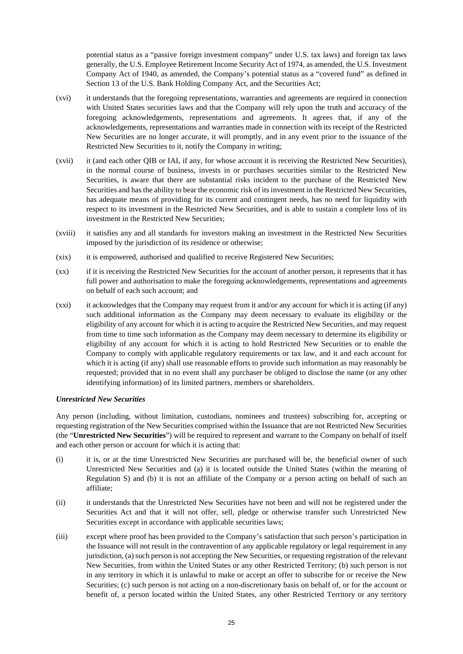potential status as a "passive foreign investment company" under U.S. tax laws) and foreign tax laws generally, the U.S. Employee Retirement Income Security Act of 1974, as amended, the U.S. Investment Company Act of 1940, as amended, the Company's potential status as a "covered fund" as defined in Section 13 of the U.S. Bank Holding Company Act, and the Securities Act;

- (xvi) it understands that the foregoing representations, warranties and agreements are required in connection with United States securities laws and that the Company will rely upon the truth and accuracy of the foregoing acknowledgements, representations and agreements. It agrees that, if any of the acknowledgements, representations and warranties made in connection with its receipt of the Restricted New Securities are no longer accurate, it will promptly, and in any event prior to the issuance of the Restricted New Securities to it, notify the Company in writing;
- (xvii) it (and each other QIB or IAI, if any, for whose account it is receiving the Restricted New Securities), in the normal course of business, invests in or purchases securities similar to the Restricted New Securities, is aware that there are substantial risks incident to the purchase of the Restricted New Securities and has the ability to bear the economic risk of its investment in the Restricted New Securities, has adequate means of providing for its current and contingent needs, has no need for liquidity with respect to its investment in the Restricted New Securities, and is able to sustain a complete loss of its investment in the Restricted New Securities;
- (xviii) it satisfies any and all standards for investors making an investment in the Restricted New Securities imposed by the jurisdiction of its residence or otherwise;
- (xix) it is empowered, authorised and qualified to receive Registered New Securities;
- (xx) if it is receiving the Restricted New Securities for the account of another person, it represents that it has full power and authorisation to make the foregoing acknowledgements, representations and agreements on behalf of each such account; and
- (xxi) it acknowledges that the Company may request from it and/or any account for which it is acting (if any) such additional information as the Company may deem necessary to evaluate its eligibility or the eligibility of any account for which it is acting to acquire the Restricted New Securities, and may request from time to time such information as the Company may deem necessary to determine its eligibility or eligibility of any account for which it is acting to hold Restricted New Securities or to enable the Company to comply with applicable regulatory requirements or tax law, and it and each account for which it is acting (if any) shall use reasonable efforts to provide such information as may reasonably be requested; provided that in no event shall any purchaser be obliged to disclose the name (or any other identifying information) of its limited partners, members or shareholders.

## *Unrestricted New Securities*

Any person (including, without limitation, custodians, nominees and trustees) subscribing for, accepting or requesting registration of the New Securities comprised within the Issuance that are not Restricted New Securities (the "**Unrestricted New Securities**") will be required to represent and warrant to the Company on behalf of itself and each other person or account for which it is acting that:

- (i) it is, or at the time Unrestricted New Securities are purchased will be, the beneficial owner of such Unrestricted New Securities and (a) it is located outside the United States (within the meaning of Regulation S) and (b) it is not an affiliate of the Company or a person acting on behalf of such an affiliate;
- (ii) it understands that the Unrestricted New Securities have not been and will not be registered under the Securities Act and that it will not offer, sell, pledge or otherwise transfer such Unrestricted New Securities except in accordance with applicable securities laws;
- (iii) except where proof has been provided to the Company's satisfaction that such person's participation in the Issuance will not result in the contravention of any applicable regulatory or legal requirement in any jurisdiction, (a) such person is not accepting the New Securities, or requesting registration of the relevant New Securities, from within the United States or any other Restricted Territory; (b) such person is not in any territory in which it is unlawful to make or accept an offer to subscribe for or receive the New Securities; (c) such person is not acting on a non-discretionary basis on behalf of, or for the account or benefit of, a person located within the United States, any other Restricted Territory or any territory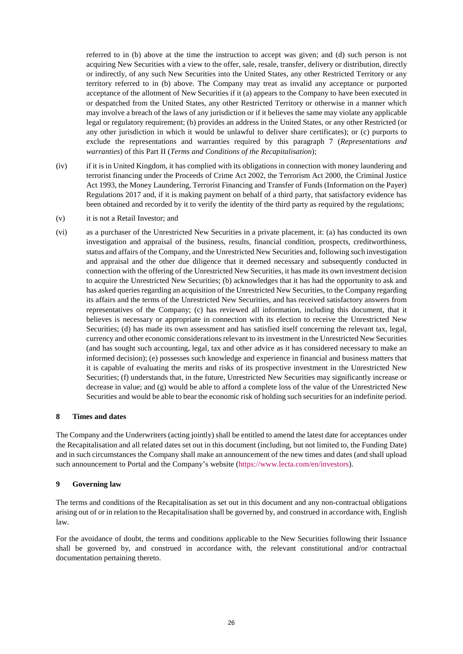referred to in (b) above at the time the instruction to accept was given; and (d) such person is not acquiring New Securities with a view to the offer, sale, resale, transfer, delivery or distribution, directly or indirectly, of any such New Securities into the United States, any other Restricted Territory or any territory referred to in (b) above. The Company may treat as invalid any acceptance or purported acceptance of the allotment of New Securities if it (a) appears to the Company to have been executed in or despatched from the United States, any other Restricted Territory or otherwise in a manner which may involve a breach of the laws of any jurisdiction or if it believes the same may violate any applicable legal or regulatory requirement; (b) provides an address in the United States, or any other Restricted (or any other jurisdiction in which it would be unlawful to deliver share certificates); or (c) purports to exclude the representations and warranties required by this paragraph 7 (*Representations and warranties*) of this Part II (*Terms and Conditions of the Recapitalisation*);

- (iv) if it is in United Kingdom, it has complied with its obligations in connection with money laundering and terrorist financing under the Proceeds of Crime Act 2002, the Terrorism Act 2000, the Criminal Justice Act 1993, the Money Laundering, Terrorist Financing and Transfer of Funds (Information on the Payer) Regulations 2017 and, if it is making payment on behalf of a third party, that satisfactory evidence has been obtained and recorded by it to verify the identity of the third party as required by the regulations;
- (v) it is not a Retail Investor; and
- (vi) as a purchaser of the Unrestricted New Securities in a private placement, it: (a) has conducted its own investigation and appraisal of the business, results, financial condition, prospects, creditworthiness, status and affairs of the Company, and the Unrestricted New Securities and, following such investigation and appraisal and the other due diligence that it deemed necessary and subsequently conducted in connection with the offering of the Unrestricted New Securities, it has made its own investment decision to acquire the Unrestricted New Securities; (b) acknowledges that it has had the opportunity to ask and has asked queries regarding an acquisition of the Unrestricted New Securities, to the Company regarding its affairs and the terms of the Unrestricted New Securities, and has received satisfactory answers from representatives of the Company; (c) has reviewed all information, including this document, that it believes is necessary or appropriate in connection with its election to receive the Unrestricted New Securities; (d) has made its own assessment and has satisfied itself concerning the relevant tax, legal, currency and other economic considerations relevant to its investment in the Unrestricted New Securities (and has sought such accounting, legal, tax and other advice as it has considered necessary to make an informed decision); (e) possesses such knowledge and experience in financial and business matters that it is capable of evaluating the merits and risks of its prospective investment in the Unrestricted New Securities; (f) understands that, in the future, Unrestricted New Securities may significantly increase or decrease in value; and (g) would be able to afford a complete loss of the value of the Unrestricted New Securities and would be able to bear the economic risk of holding such securities for an indefinite period.

#### **8 Times and dates**

The Company and the Underwriters (acting jointly) shall be entitled to amend the latest date for acceptances under the Recapitalisation and all related dates set out in this document (including, but not limited to, the Funding Date) and in such circumstances the Company shall make an announcement of the new times and dates (and shall upload such announcement to Portal and the Company's website [\(https://www.lecta.com/en/investors\)](https://www.lecta.com/en/investors).

## **9 Governing law**

The terms and conditions of the Recapitalisation as set out in this document and any non-contractual obligations arising out of or in relation to the Recapitalisation shall be governed by, and construed in accordance with, English law.

For the avoidance of doubt, the terms and conditions applicable to the New Securities following their Issuance shall be governed by, and construed in accordance with, the relevant constitutional and/or contractual documentation pertaining thereto.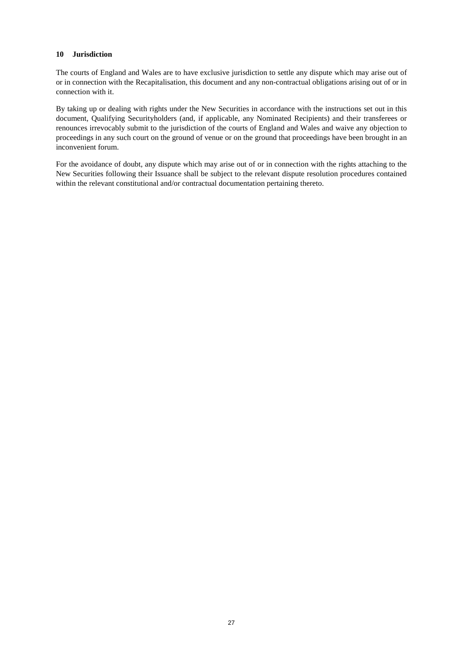### **10 Jurisdiction**

The courts of England and Wales are to have exclusive jurisdiction to settle any dispute which may arise out of or in connection with the Recapitalisation, this document and any non-contractual obligations arising out of or in connection with it.

By taking up or dealing with rights under the New Securities in accordance with the instructions set out in this document, Qualifying Securityholders (and, if applicable, any Nominated Recipients) and their transferees or renounces irrevocably submit to the jurisdiction of the courts of England and Wales and waive any objection to proceedings in any such court on the ground of venue or on the ground that proceedings have been brought in an inconvenient forum.

For the avoidance of doubt, any dispute which may arise out of or in connection with the rights attaching to the New Securities following their Issuance shall be subject to the relevant dispute resolution procedures contained within the relevant constitutional and/or contractual documentation pertaining thereto.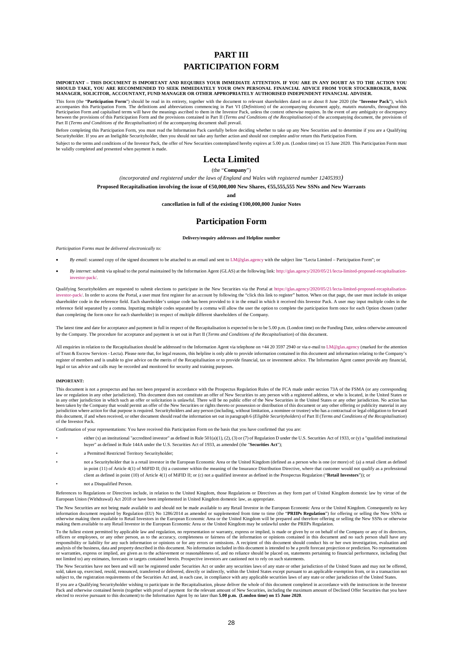## **PART III PARTICIPATION FORM**

IMPORTANT – THIS DOCUMENT IS IMPORTANT AND REQUIRES YOUR IMMEDIATE ATTENTION. IF YOU ARE IN ANY DOUBT AS TO THE ACTION YOU<br>SHOULD TAKE, YOU ARE RECOMMENDED TO SEEK IMMEDIATELY YOUR OWN PERSONAL FINANCIAL ADVICE FROM YOUR S **MANAGER, SOLICITOR, ACCOUNTANT, FUND MANAGER OR OTHER APPROPRIATELY AUTHORISED INDEPENDENT FINANCIAL ADVISER.** 

This form (the "**Participation Form**") should be read in its entirety, together with the document to relevant shareholders dated on or about 8 June 2020 (the "**Investor Pack**"), which<br>accompanies this Participation Form. T en the provisions of this Participation Form and the provisions contained in Part II (*Terms and Conditions of the Recapitalisation*) of the accompanying document, the provisions of Part II (*Terms and Conditions of the Recapitalisation*) of the accompanying document shall prevail.

Before completing this Participation Form, you must read the Information Pack carefully before deciding whether to take up any New Securities and to determine if you are a Qualifying<br>Securityholder. If you are an Ineligibl

Subject to the terms and conditions of the Investor Pack, the offer of New Securities contemplated hereby expires at 5.00 p.m. (London time) on 15 June 2020. This Participation Form must be validly completed and presented when payment is made.

## **Lecta Limited**

(the "**Company**")

*(incorporated and registered under the laws of England and Wales with registered number 12405393)*

**Proposed Recapitalisation involving the issue of €50,000,000 New Shares, €55,555,555 New SSNs and New Warrants** 

**and** 

**cancellation in full of the existing €100,000,000 Junior Notes** 

## **Participation Form**

**Delivery/enquiry addresses and Helpline number**

*Participation Forms must be delivered electronically to:* 

- *By email*: scanned copy of the signed document to be attached to an email and sent t[o LM@glas.agency w](mailto:LM@glas.agency)ith the subject line "Lecta Limited Participation Form"; or
- *By internet*: submit via upload to the portal maintained by the Information Agent (GLAS) at the following link[: http://glas.agency/2020/05/21/lecta-limited-proposed-recapitalisation](http://glas.agency/2020/05/21/lecta-limited-proposed-recapitalisation-investor-pack/)[investor-pack/.](http://glas.agency/2020/05/21/lecta-limited-proposed-recapitalisation-investor-pack/)

Qualifying Securityholders are requested to submit elections to participate in the New Securities via the Portal at [https://glas.agency/2020/05/21/lecta-limited-proposed-recapitalisation](https://glas.agency/2020/05/21/lecta-limited-proposed-recapitalisation-investor-pack/)[investor-pack/.](https://glas.agency/2020/05/21/lecta-limited-proposed-recapitalisation-investor-pack/) In order to access the Portal, a user must first register for an account by following the "click this link to register" button. When on that page, the user must include its unique shareholder code in the reference field. Each shareholder's unique code has been provided to it in the email in which it received this Investor Pack. A user may input multiple codes in the reference field separated by a comma. Inputting multiple codes separated by a comma will allow the user the option to complete the participation form once for each Option chosen (rather than completing the form once for each shareholder) in respect of multiple different shareholders of the Company.

The latest time and date for acceptance and payment in full in respect of the Recapitalisation is expected to be to be 5.00 p.m. (London time) on the Funding Date, unless otherwise announced by the Company. The procedure for acceptance and payment is set out in Part II (*Terms and Conditions of the Recapitalisation*) of this document.

All enquiries in relation to the Recapitalisation should be addressed to the Information Agent via telephone on  $+44$  20 3597 2940 or via e-mail t[o LM@glas.agency \(](mailto:LM@glas.agency)marked for the attention of Trust & Escrow Services - Lecta). Please note that, for legal reasons, this helpline is only able to provide information contained in this document and information relating to the Company's register of members and is unable to give advice on the merits of the Recapitalisation or to provide financial, tax or investment advice. The Information Agent cannot provide any financial, legal or tax advice and calls may be recorded and monitored for security and training purposes.

#### **IMPORTANT:**

This document is not a prospectus and has not been prepared in accordance with the Prospectus Regulation Rules of the FCA made under section 73A of the FSMA (or any corresponding I aw or regulation in any other jurisdiction). This document does not constitute an offer of New Securities to any person with a registered address, or who is located, in the United States or law person with a registered a in any other jurisdiction in which such an offer or solicitation is unlawful. There will be no public offer of the New Securities in the United States or any other jurisdiction. No action has been taken by the Company that of the Investor Pack.

Confirmation of your representations: You have received this Participation Form on the basis that you have confirmed that you are:

- either (x) an institutional "accredited investor" as defined in Rule 501(a)(1), (2), (3) or (7) of Regulation D under the U.S. Securities Act of 1933, or (y) a "qualified institutional buyer" as defined in Rule 144A under the U.S. Securities Act of 1933, as amended (the "**Securities Act**");
- a Permitted Restricted Territory Securityholder;
- not a Securityholder that is a retail investor in the European Economic Area or the United Kingdom (defined as a person who is one (or more) of: (a) a retail client as defined in point (11) of Article 4(1) of MiFID II; (b) a customer within the meaning of the Insurance Distribution Directive, where that customer would not qualify as a professional client as defined in point (10) of Article 4(1) of MiFID II; or (c) not a qualified investor as defined in the Prospectus Regulation ("**Retail Investors**")); or
- not a Disqualified Person.

References to Regulations or Directives include, in relation to the United Kingdom, those Regulations or Directives as they form part of United Kingdom domestic law by virtue of the European Union (Withdrawal) Act 2018 or have been implemented in United Kingdom domestic law, as appropriate.

The New Securities are not being made available to and should not be made available to any Retail Investor in the European Economic Area or the United Kingdom. Consequently no key<br>information document required by Regulatio otherwise making them available to Retail Investors in the European Economic Area or the United Kingdom will be prepared and therefore offering or selling the New SSNs or otherwise making them available to any Retail Investor in the European Economic Area or the United Kingdom may be unlawful under the PRIIPs Regulation.

To the fullest extent permitted by applicable law and regulation, no representation or warranty, express or implied, is made or given by or on behalf of the Company or any of its directors, officers or employees, or any other person, as to the accuracy, completeness or fairness of the information or opinions contained in this document and no such person shall have any such person shall have any such person sh or warranties, express or implied, are given as to the achievement or reasonableness of, and no reliance should be placed on, statements pertaining to financial performance, including (but<br>not limited to) any estimates, fo

The New Securities have not been and will not be registered under Securities Act or under any securities laws of any state or other jurisdiction of the United States and may not be offered,<br>sold, taken up, exercised, resol subject to, the registration requirements of the Securities Act and, in each case, in compliance with any applicable securities laws of any state or other jurisdiction of the United States.

If you are a Qualifying Securityholder wishing to participate in the Recapitalisation, please deliver the whole of this document completed in accordance with the instructions in the Investor Pack and otherwise contained herein (together with proof of payment for the relevant amount of New Securities, including the maximum amount of Declined Offer Securities that you have<br>elected to receive pursuant to this doc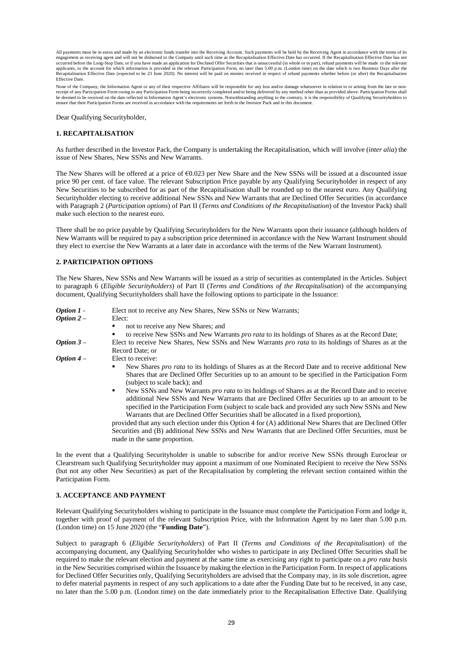All payments must be in euros and made by an electronic funds transfer into the Receiving Account. Such payments will be held by the Receiving Agent in accordance with the terms of its engagement as receiving agent and will not be disbursed to the Company until such time as the Recapitalisation Effective Date has occurred. If the Recapitalisation Effective Date has not<br>occurred before the Long-Stop Date, exapitalisation Effective Date (expected to be 23 June 2020). No interest will be paid on monies received in respect of refund payments whether before (or after) the Recapitalisation Effective Date.

None of the Company, the Information Agent or any of their respective Affiliates will be responsible for any loss and/or damage whatsoever in relation to or arising from the late or non-<br>receipt of any Participation Form o

Dear Qualifying Securityholder,

#### **1. RECAPITALISATION**

As further described in the Investor Pack, the Company is undertaking the Recapitalisation, which will involve (*inter alia*) the issue of New Shares, New SSNs and New Warrants.

The New Shares will be offered at a price of  $60.023$  per New Share and the New SSNs will be issued at a discounted issue price 90 per cent. of face value. The relevant Subscription Price payable by any Qualifying Securityholder in respect of any New Securities to be subscribed for as part of the Recapitalisation shall be rounded up to the nearest euro. Any Qualifying Securityholder electing to receive additional New SSNs and New Warrants that are Declined Offer Securities (in accordance with Paragraph 2 (*Participation options*) of Part II (*Terms and Conditions of the Recapitalisation*) of the Investor Pack) shall make such election to the nearest euro.

There shall be no price payable by Qualifying Securityholders for the New Warrants upon their issuance (although holders of New Warrants will be required to pay a subscription price determined in accordance with the New Warrant Instrument should they elect to exercise the New Warrants at a later date in accordance with the terms of the New Warrant Instrument).

#### **2. PARTICIPATION OPTIONS**

The New Shares, New SSNs and New Warrants will be issued as a strip of securities as contemplated in the Articles. Subject to paragraph [6](#page-23-0) (*Eligible Securityholders*) of Part II (*Terms and Conditions of the Recapitalisation*) of the accompanying document, Qualifying Securityholders shall have the following options to participate in the Issuance:

| Elect not to receive any New Shares, New SSNs or New Warrants;                                                                                                                                                                                                                                                                                                                                                                                                                                                                                                                                                                                                                                                                                                                                                                                                                                         |
|--------------------------------------------------------------------------------------------------------------------------------------------------------------------------------------------------------------------------------------------------------------------------------------------------------------------------------------------------------------------------------------------------------------------------------------------------------------------------------------------------------------------------------------------------------------------------------------------------------------------------------------------------------------------------------------------------------------------------------------------------------------------------------------------------------------------------------------------------------------------------------------------------------|
| Elect:                                                                                                                                                                                                                                                                                                                                                                                                                                                                                                                                                                                                                                                                                                                                                                                                                                                                                                 |
| not to receive any New Shares; and<br>٠                                                                                                                                                                                                                                                                                                                                                                                                                                                                                                                                                                                                                                                                                                                                                                                                                                                                |
| to receive New SSNs and New Warrants pro rata to its holdings of Shares as at the Record Date;<br>٠                                                                                                                                                                                                                                                                                                                                                                                                                                                                                                                                                                                                                                                                                                                                                                                                    |
| Elect to receive New Shares, New SSNs and New Warrants <i>pro rata</i> to its holdings of Shares as at the                                                                                                                                                                                                                                                                                                                                                                                                                                                                                                                                                                                                                                                                                                                                                                                             |
| Record Date: or                                                                                                                                                                                                                                                                                                                                                                                                                                                                                                                                                                                                                                                                                                                                                                                                                                                                                        |
| Elect to receive:                                                                                                                                                                                                                                                                                                                                                                                                                                                                                                                                                                                                                                                                                                                                                                                                                                                                                      |
| New Shares pro rata to its holdings of Shares as at the Record Date and to receive additional New<br>٠<br>Shares that are Declined Offer Securities up to an amount to be specified in the Participation Form<br>(subject to scale back); and<br>New SSNs and New Warrants pro rata to its holdings of Shares as at the Record Date and to receive<br>additional New SSNs and New Warrants that are Declined Offer Securities up to an amount to be<br>specified in the Participation Form (subject to scale back and provided any such New SSNs and New<br>Warrants that are Declined Offer Securities shall be allocated in a fixed proportion).<br>provided that any such election under this Option 4 for (A) additional New Shares that are Declined Offer<br>Securities and (B) additional New SSNs and New Warrants that are Declined Offer Securities, must be<br>made in the same proportion. |
|                                                                                                                                                                                                                                                                                                                                                                                                                                                                                                                                                                                                                                                                                                                                                                                                                                                                                                        |

In the event that a Qualifying Securityholder is unable to subscribe for and/or receive New SSNs through Euroclear or Clearstream such Qualifying Securityholder may appoint a maximum of one Nominated Recipient to receive the New SSNs (but not any other New Securities) as part of the Recapitalisation by completing the relevant section contained within the Participation Form.

#### **3. ACCEPTANCE AND PAYMENT**

Relevant Qualifying Securityholders wishing to participate in the Issuance must complete the Participation Form and lodge it, together with proof of payment of the relevant Subscription Price, with the Information Agent by no later than 5.00 p.m. (London time) on 15 June 2020 (the "**Funding Date**").

Subject to paragraph [6](#page-23-0) (*Eligible Securityholders*) of Part II (*Terms and Conditions of the Recapitalisation*) of the accompanying document, any Qualifying Securityholder who wishes to participate in any Declined Offer Securities shall be required to make the relevant election and payment at the same time as exercising any right to participate on a *pro rata basis* in the New Securities comprised within the Issuance by making the election in the Participation Form. In respect of applications for Declined Offer Securities only, Qualifying Securityholders are advised that the Company may, in its sole discretion, agree to defer material payments in respect of any such applications to a date after the Funding Date but to be received, in any case, no later than the 5.00 p.m. (London time) on the date immediately prior to the Recapitalisation Effective Date. Qualifying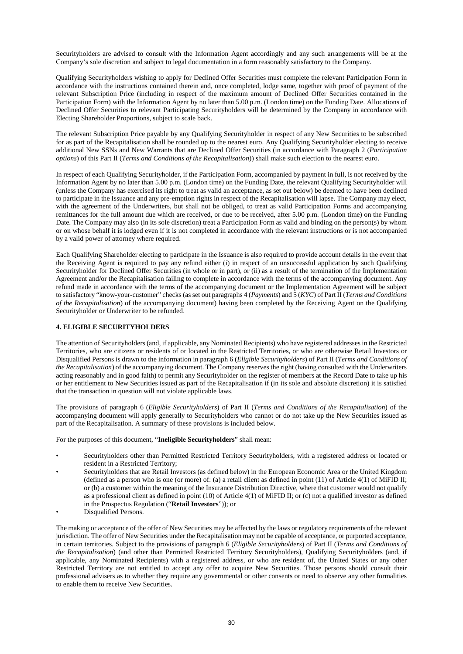Securityholders are advised to consult with the Information Agent accordingly and any such arrangements will be at the Company's sole discretion and subject to legal documentation in a form reasonably satisfactory to the Company.

Qualifying Securityholders wishing to apply for Declined Offer Securities must complete the relevant Participation Form in accordance with the instructions contained therein and, once completed, lodge same, together with proof of payment of the relevant Subscription Price (including in respect of the maximum amount of Declined Offer Securities contained in the Participation Form) with the Information Agent by no later than 5.00 p.m. (London time) on the Funding Date. Allocations of Declined Offer Securities to relevant Participating Securityholders will be determined by the Company in accordance with Electing Shareholder Proportions, subject to scale back.

The relevant Subscription Price payable by any Qualifying Securityholder in respect of any New Securities to be subscribed for as part of the Recapitalisation shall be rounded up to the nearest euro. Any Qualifying Securityholder electing to receive additional New SSNs and New Warrants that are Declined Offer Securities (in accordance with Paragraph 2 (*Participation options*) of this Part II (*Terms and Conditions of the Recapitalisation*)) shall make such election to the nearest euro.

In respect of each Qualifying Securityholder, if the Participation Form, accompanied by payment in full, is not received by the Information Agent by no later than 5.00 p.m. (London time) on the Funding Date, the relevant Qualifying Securityholder will (unless the Company has exercised its right to treat as valid an acceptance, as set out below) be deemed to have been declined to participate in the Issuance and any pre-emption rights in respect of the Recapitalisation will lapse. The Company may elect, with the agreement of the Underwriters, but shall not be obliged, to treat as valid Participation Forms and accompanying remittances for the full amount due which are received, or due to be received, after 5.00 p.m. (London time) on the Funding Date. The Company may also (in its sole discretion) treat a Participation Form as valid and binding on the person(s) by whom or on whose behalf it is lodged even if it is not completed in accordance with the relevant instructions or is not accompanied by a valid power of attorney where required.

Each Qualifying Shareholder electing to participate in the Issuance is also required to provide account details in the event that the Receiving Agent is required to pay any refund either (i) in respect of an unsuccessful application by such Qualifying Securityholder for Declined Offer Securities (in whole or in part), or (ii) as a result of the termination of the Implementation Agreement and/or the Recapitalisation failing to complete in accordance with the terms of the accompanying document. Any refund made in accordance with the terms of the accompanying document or the Implementation Agreement will be subject to satisfactory "know-your-customer" checks (as set out paragraphs 4 (*Payments*) and 5 (*KYC*) of Part II (*Terms and Conditions of the Recapitalisation*) of the accompanying document) having been completed by the Receiving Agent on the Qualifying Securityholder or Underwriter to be refunded.

#### **4. ELIGIBLE SECURITYHOLDERS**

The attention of Securityholders (and, if applicable, any Nominated Recipients) who have registered addresses in the Restricted Territories, who are citizens or residents of or located in the Restricted Territories, or who are otherwise Retail Investors or Disqualified Persons is drawn to the information in paragraph 6 (*Eligible Securityholders*) of Part II (*Terms and Conditions of the Recapitalisation*) of the accompanying document. The Company reserves the right (having consulted with the Underwriters acting reasonably and in good faith) to permit any Securityholder on the register of members at the Record Date to take up his or her entitlement to New Securities issued as part of the Recapitalisation if (in its sole and absolute discretion) it is satisfied that the transaction in question will not violate applicable laws.

The provisions of paragraph 6 (*Eligible Securityholders*) of Part II (*Terms and Conditions of the Recapitalisation*) of the accompanying document will apply generally to Securityholders who cannot or do not take up the New Securities issued as part of the Recapitalisation. A summary of these provisions is included below.

For the purposes of this document, "**Ineligible Securityholders**" shall mean:

- Securityholders other than Permitted Restricted Territory Securityholders, with a registered address or located or resident in a Restricted Territory;
- Securityholders that are Retail Investors (as defined below) in the European Economic Area or the United Kingdom (defined as a person who is one (or more) of: (a) a retail client as defined in point (11) of Article 4(1) of MiFID II; or (b) a customer within the meaning of the Insurance Distribution Directive, where that customer would not qualify as a professional client as defined in point (10) of Article 4(1) of MiFID II; or (c) not a qualified investor as defined in the Prospectus Regulation ("**Retail Investors**")); or
- Disqualified Persons.

The making or acceptance of the offer of New Securities may be affected by the laws or regulatory requirements of the relevant jurisdiction. The offer of New Securities under the Recapitalisation may not be capable of acceptance, or purported acceptance, in certain territories. Subject to the provisions of paragraph 6 (*Eligible Securityholders*) of Part II (*Terms and Conditions of the Recapitalisation*) (and other than Permitted Restricted Territory Securityholders), Qualifying Securityholders (and, if applicable, any Nominated Recipients) with a registered address, or who are resident of, the United States or any other Restricted Territory are not entitled to accept any offer to acquire New Securities. Those persons should consult their professional advisers as to whether they require any governmental or other consents or need to observe any other formalities to enable them to receive New Securities.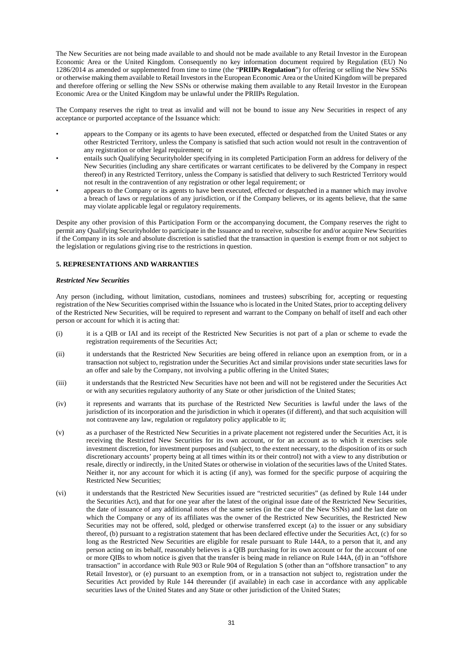The New Securities are not being made available to and should not be made available to any Retail Investor in the European Economic Area or the United Kingdom. Consequently no key information document required by Regulation (EU) No 1286/2014 as amended or supplemented from time to time (the "**PRIIPs Regulation**") for offering or selling the New SSNs or otherwise making them available to Retail Investors in the European Economic Area or the United Kingdom will be prepared and therefore offering or selling the New SSNs or otherwise making them available to any Retail Investor in the European Economic Area or the United Kingdom may be unlawful under the PRIIPs Regulation.

The Company reserves the right to treat as invalid and will not be bound to issue any New Securities in respect of any acceptance or purported acceptance of the Issuance which:

- appears to the Company or its agents to have been executed, effected or despatched from the United States or any other Restricted Territory, unless the Company is satisfied that such action would not result in the contravention of any registration or other legal requirement; or
- entails such Qualifying Securityholder specifying in its completed Participation Form an address for delivery of the New Securities (including any share certificates or warrant certificates to be delivered by the Company in respect thereof) in any Restricted Territory, unless the Company is satisfied that delivery to such Restricted Territory would not result in the contravention of any registration or other legal requirement; or
- appears to the Company or its agents to have been executed, effected or despatched in a manner which may involve a breach of laws or regulations of any jurisdiction, or if the Company believes, or its agents believe, that the same may violate applicable legal or regulatory requirements.

Despite any other provision of this Participation Form or the accompanying document, the Company reserves the right to permit any Qualifying Securityholder to participate in the Issuance and to receive, subscribe for and/or acquire New Securities if the Company in its sole and absolute discretion is satisfied that the transaction in question is exempt from or not subject to the legislation or regulations giving rise to the restrictions in question.

#### **5. REPRESENTATIONS AND WARRANTIES**

#### *Restricted New Securities*

Any person (including, without limitation, custodians, nominees and trustees) subscribing for, accepting or requesting registration of the New Securities comprised within the Issuance who is located in the United States, prior to accepting delivery of the Restricted New Securities, will be required to represent and warrant to the Company on behalf of itself and each other person or account for which it is acting that:

- (i) it is a QIB or IAI and its receipt of the Restricted New Securities is not part of a plan or scheme to evade the registration requirements of the Securities Act;
- (ii) it understands that the Restricted New Securities are being offered in reliance upon an exemption from, or in a transaction not subject to, registration under the Securities Act and similar provisions under state securities laws for an offer and sale by the Company, not involving a public offering in the United States;
- (iii) it understands that the Restricted New Securities have not been and will not be registered under the Securities Act or with any securities regulatory authority of any State or other jurisdiction of the United States;
- (iv) it represents and warrants that its purchase of the Restricted New Securities is lawful under the laws of the jurisdiction of its incorporation and the jurisdiction in which it operates (if different), and that such acquisition will not contravene any law, regulation or regulatory policy applicable to it;
- (v) as a purchaser of the Restricted New Securities in a private placement not registered under the Securities Act, it is receiving the Restricted New Securities for its own account, or for an account as to which it exercises sole investment discretion, for investment purposes and (subject, to the extent necessary, to the disposition of its or such discretionary accounts' property being at all times within its or their control) not with a view to any distribution or resale, directly or indirectly, in the United States or otherwise in violation of the securities laws of the United States. Neither it, nor any account for which it is acting (if any), was formed for the specific purpose of acquiring the Restricted New Securities;
- (vi) it understands that the Restricted New Securities issued are "restricted securities" (as defined by Rule 144 under the Securities Act), and that for one year after the latest of the original issue date of the Restricted New Securities, the date of issuance of any additional notes of the same series (in the case of the New SSNs) and the last date on which the Company or any of its affiliates was the owner of the Restricted New Securities, the Restricted New Securities may not be offered, sold, pledged or otherwise transferred except (a) to the issuer or any subsidiary thereof, (b) pursuant to a registration statement that has been declared effective under the Securities Act, (c) for so long as the Restricted New Securities are eligible for resale pursuant to Rule 144A, to a person that it, and any person acting on its behalf, reasonably believes is a QIB purchasing for its own account or for the account of one or more QIBs to whom notice is given that the transfer is being made in reliance on Rule 144A, (d) in an "offshore transaction" in accordance with Rule 903 or Rule 904 of Regulation S (other than an "offshore transaction" to any Retail Investor), or (e) pursuant to an exemption from, or in a transaction not subject to, registration under the Securities Act provided by Rule 144 thereunder (if available) in each case in accordance with any applicable securities laws of the United States and any State or other jurisdiction of the United States;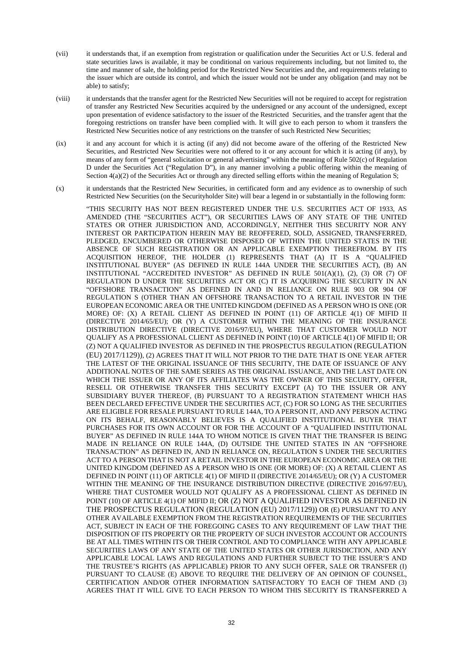- (vii) it understands that, if an exemption from registration or qualification under the Securities Act or U.S. federal and state securities laws is available, it may be conditional on various requirements including, but not limited to, the time and manner of sale, the holding period for the Restricted New Securities and the, and requirements relating to the issuer which are outside its control, and which the issuer would not be under any obligation (and may not be able) to satisfy;
- (viii) it understands that the transfer agent for the Restricted New Securities will not be required to accept for registration of transfer any Restricted New Securities acquired by the undersigned or any account of the undersigned, except upon presentation of evidence satisfactory to the issuer of the Restricted Securities, and the transfer agent that the foregoing restrictions on transfer have been complied with. It will give to each person to whom it transfers the Restricted New Securities notice of any restrictions on the transfer of such Restricted New Securities;
- (ix) it and any account for which it is acting (if any) did not become aware of the offering of the Restricted New Securities, and Restricted New Securities were not offered to it or any account for which it is acting (if any), by means of any form of "general solicitation or general advertising" within the meaning of Rule 502(c) of Regulation D under the Securities Act ("Regulation D"), in any manner involving a public offering within the meaning of Section  $4(a)(2)$  of the Securities Act or through any directed selling efforts within the meaning of Regulation S;
- (x) it understands that the Restricted New Securities, in certificated form and any evidence as to ownership of such Restricted New Securities (on the Securityholder Site) will bear a legend in or substantially in the following form:

"THIS SECURITY HAS NOT BEEN REGISTERED UNDER THE U.S. SECURITIES ACT OF 1933, AS AMENDED (THE "SECURITIES ACT"), OR SECURITIES LAWS OF ANY STATE OF THE UNITED STATES OR OTHER JURISDICTION AND, ACCORDINGLY, NEITHER THIS SECURITY NOR ANY INTEREST OR PARTICIPATION HEREIN MAY BE REOFFERED, SOLD, ASSIGNED, TRANSFERRED, PLEDGED, ENCUMBERED OR OTHERWISE DISPOSED OF WITHIN THE UNITED STATES IN THE ABSENCE OF SUCH REGISTRATION OR AN APPLICABLE EXEMPTION THEREFROM. BY ITS ACQUISITION HEREOF, THE HOLDER (1) REPRESENTS THAT (A) IT IS A "QUALIFIED INSTITUTIONAL BUYER" (AS DEFINED IN RULE 144A UNDER THE SECURITIES ACT), (B) AN INSTITUTIONAL "ACCREDITED INVESTOR" AS DEFINED IN RULE 501(A)(1), (2), (3) OR (7) OF REGULATION D UNDER THE SECURITIES ACT OR (C) IT IS ACQUIRING THE SECURITY IN AN "OFFSHORE TRANSACTION" AS DEFINED IN AND IN RELIANCE ON RULE 903 OR 904 OF REGULATION S (OTHER THAN AN OFFSHORE TRANSACTION TO A RETAIL INVESTOR IN THE EUROPEAN ECONOMIC AREA OR THE UNITED KINGDOM (DEFINED AS A PERSON WHO IS ONE (OR MORE) OF: (X) A RETAIL CLIENT AS DEFINED IN POINT (11) OF ARTICLE 4(1) OF MIFID II (DIRECTIVE 2014/65/EU); OR (Y) A CUSTOMER WITHIN THE MEANING OF THE INSURANCE DISTRIBUTION DIRECTIVE (DIRECTIVE 2016/97/EU), WHERE THAT CUSTOMER WOULD NOT QUALIFY AS A PROFESSIONAL CLIENT AS DEFINED IN POINT (10) OF ARTICLE 4(1) OF MIFID II; OR (Z) NOT A QUALIFIED INVESTOR AS DEFINED IN THE PROSPECTUS REGULATION (REGULATION (EU) 2017/1129)), (2) AGREES THAT IT WILL NOT PRIOR TO THE DATE THAT IS ONE YEAR AFTER THE LATEST OF THE ORIGINAL ISSUANCE OF THIS SECURITY, THE DATE OF ISSUANCE OF ANY ADDITIONAL NOTES OF THE SAME SERIES AS THE ORIGINAL ISSUANCE, AND THE LAST DATE ON WHICH THE ISSUER OR ANY OF ITS AFFILIATES WAS THE OWNER OF THIS SECURITY, OFFER, RESELL OR OTHERWISE TRANSFER THIS SECURITY EXCEPT (A) TO THE ISSUER OR ANY SUBSIDIARY BUYER THEREOF, (B) PURSUANT TO A REGISTRATION STATEMENT WHICH HAS BEEN DECLARED EFFECTIVE UNDER THE SECURITIES ACT, (C) FOR SO LONG AS THE SECURITIES ARE ELIGIBLE FOR RESALE PURSUANT TO RULE 144A, TO A PERSON IT, AND ANY PERSON ACTING ON ITS BEHALF, REASONABLY BELIEVES IS A QUALIFIED INSTITUTIONAL BUYER THAT PURCHASES FOR ITS OWN ACCOUNT OR FOR THE ACCOUNT OF A "QUALIFIED INSTITUTIONAL BUYER" AS DEFINED IN RULE 144A TO WHOM NOTICE IS GIVEN THAT THE TRANSFER IS BEING MADE IN RELIANCE ON RULE 144A, (D) OUTSIDE THE UNITED STATES IN AN "OFFSHORE TRANSACTION" AS DEFINED IN, AND IN RELIANCE ON, REGULATION S UNDER THE SECURITIES ACT TO A PERSON THAT IS NOT A RETAIL INVESTOR IN THE EUROPEAN ECONOMIC AREA OR THE UNITED KINGDOM (DEFINED AS A PERSON WHO IS ONE (OR MORE) OF: (X) A RETAIL CLIENT AS DEFINED IN POINT (11) OF ARTICLE 4(1) OF MIFID II (DIRECTIVE 2014/65/EU); OR (Y) A CUSTOMER WITHIN THE MEANING OF THE INSURANCE DISTRIBUTION DIRECTIVE (DIRECTIVE 2016/97/EU), WHERE THAT CUSTOMER WOULD NOT QUALIFY AS A PROFESSIONAL CLIENT AS DEFINED IN POINT (10) OF ARTICLE 4(1) OF MIFID II; OR (Z) NOT A QUALIFIED INVESTOR AS DEFINED IN THE PROSPECTUS REGULATION (REGULATION (EU) 2017/1129)) OR (E) PURSUANT TO ANY OTHER AVAILABLE EXEMPTION FROM THE REGISTRATION REQUIREMENTS OF THE SECURITIES ACT, SUBJECT IN EACH OF THE FOREGOING CASES TO ANY REQUIREMENT OF LAW THAT THE DISPOSITION OF ITS PROPERTY OR THE PROPERTY OF SUCH INVESTOR ACCOUNT OR ACCOUNTS BE AT ALL TIMES WITHIN ITS OR THEIR CONTROL AND TO COMPLIANCE WITH ANY APPLICABLE SECURITIES LAWS OF ANY STATE OF THE UNITED STATES OR OTHER JURISDICTION, AND ANY APPLICABLE LOCAL LAWS AND REGULATIONS AND FURTHER SUBJECT TO THE ISSUER'S AND THE TRUSTEE'S RIGHTS (AS APPLICABLE) PRIOR TO ANY SUCH OFFER, SALE OR TRANSFER (I) PURSUANT TO CLAUSE (E) ABOVE TO REQUIRE THE DELIVERY OF AN OPINION OF COUNSEL, CERTIFICATION AND/OR OTHER INFORMATION SATISFACTORY TO EACH OF THEM AND (3) AGREES THAT IT WILL GIVE TO EACH PERSON TO WHOM THIS SECURITY IS TRANSFERRED A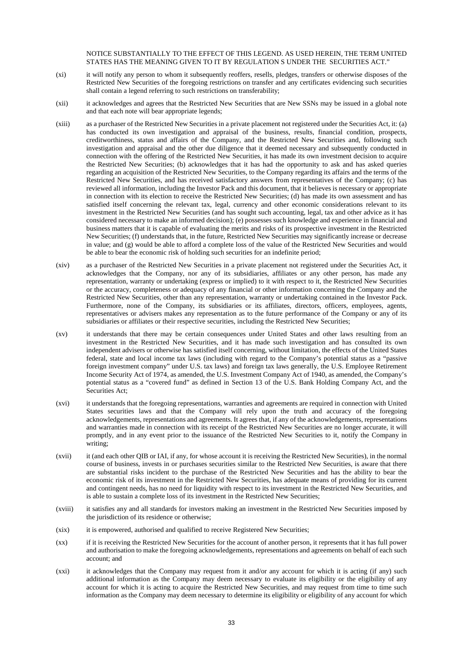NOTICE SUBSTANTIALLY TO THE EFFECT OF THIS LEGEND. AS USED HEREIN, THE TERM UNITED STATES HAS THE MEANING GIVEN TO IT BY REGULATION S UNDER THE SECURITIES ACT."

- (xi) it will notify any person to whom it subsequently reoffers, resells, pledges, transfers or otherwise disposes of the Restricted New Securities of the foregoing restrictions on transfer and any certificates evidencing such securities shall contain a legend referring to such restrictions on transferability;
- (xii) it acknowledges and agrees that the Restricted New Securities that are New SSNs may be issued in a global note and that each note will bear appropriate legends;
- (xiii) as a purchaser of the Restricted New Securities in a private placement not registered under the Securities Act, it: (a) has conducted its own investigation and appraisal of the business, results, financial condition, prospects, creditworthiness, status and affairs of the Company, and the Restricted New Securities and, following such investigation and appraisal and the other due diligence that it deemed necessary and subsequently conducted in connection with the offering of the Restricted New Securities, it has made its own investment decision to acquire the Restricted New Securities; (b) acknowledges that it has had the opportunity to ask and has asked queries regarding an acquisition of the Restricted New Securities, to the Company regarding its affairs and the terms of the Restricted New Securities, and has received satisfactory answers from representatives of the Company; (c) has reviewed all information, including the Investor Pack and this document, that it believes is necessary or appropriate in connection with its election to receive the Restricted New Securities; (d) has made its own assessment and has satisfied itself concerning the relevant tax, legal, currency and other economic considerations relevant to its investment in the Restricted New Securities (and has sought such accounting, legal, tax and other advice as it has considered necessary to make an informed decision); (e) possesses such knowledge and experience in financial and business matters that it is capable of evaluating the merits and risks of its prospective investment in the Restricted New Securities; (f) understands that, in the future, Restricted New Securities may significantly increase or decrease in value; and (g) would be able to afford a complete loss of the value of the Restricted New Securities and would be able to bear the economic risk of holding such securities for an indefinite period;
- (xiv) as a purchaser of the Restricted New Securities in a private placement not registered under the Securities Act, it acknowledges that the Company, nor any of its subsidiaries, affiliates or any other person, has made any representation, warranty or undertaking (express or implied) to it with respect to it, the Restricted New Securities or the accuracy, completeness or adequacy of any financial or other information concerning the Company and the Restricted New Securities, other than any representation, warranty or undertaking contained in the Investor Pack. Furthermore, none of the Company, its subsidiaries or its affiliates, directors, officers, employees, agents, representatives or advisers makes any representation as to the future performance of the Company or any of its subsidiaries or affiliates or their respective securities, including the Restricted New Securities;
- (xv) it understands that there may be certain consequences under United States and other laws resulting from an investment in the Restricted New Securities, and it has made such investigation and has consulted its own independent advisers or otherwise has satisfied itself concerning, without limitation, the effects of the United States federal, state and local income tax laws (including with regard to the Company's potential status as a "passive foreign investment company" under U.S. tax laws) and foreign tax laws generally, the U.S. Employee Retirement Income Security Act of 1974, as amended, the U.S. Investment Company Act of 1940, as amended, the Company's potential status as a "covered fund" as defined in Section 13 of the U.S. Bank Holding Company Act, and the Securities Act;
- (xvi) it understands that the foregoing representations, warranties and agreements are required in connection with United States securities laws and that the Company will rely upon the truth and accuracy of the foregoing acknowledgements, representations and agreements. It agrees that, if any of the acknowledgements, representations and warranties made in connection with its receipt of the Restricted New Securities are no longer accurate, it will promptly, and in any event prior to the issuance of the Restricted New Securities to it, notify the Company in writing;
- (xvii) it (and each other QIB or IAI, if any, for whose account it is receiving the Restricted New Securities), in the normal course of business, invests in or purchases securities similar to the Restricted New Securities, is aware that there are substantial risks incident to the purchase of the Restricted New Securities and has the ability to bear the economic risk of its investment in the Restricted New Securities, has adequate means of providing for its current and contingent needs, has no need for liquidity with respect to its investment in the Restricted New Securities, and is able to sustain a complete loss of its investment in the Restricted New Securities;
- (xviii) it satisfies any and all standards for investors making an investment in the Restricted New Securities imposed by the jurisdiction of its residence or otherwise;
- (xix) it is empowered, authorised and qualified to receive Registered New Securities;
- (xx) if it is receiving the Restricted New Securities for the account of another person, it represents that it has full power and authorisation to make the foregoing acknowledgements, representations and agreements on behalf of each such account; and
- (xxi) it acknowledges that the Company may request from it and/or any account for which it is acting (if any) such additional information as the Company may deem necessary to evaluate its eligibility or the eligibility of any account for which it is acting to acquire the Restricted New Securities, and may request from time to time such information as the Company may deem necessary to determine its eligibility or eligibility of any account for which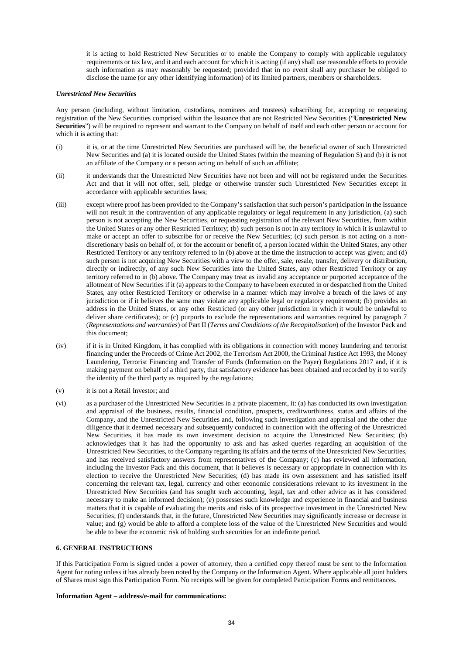it is acting to hold Restricted New Securities or to enable the Company to comply with applicable regulatory requirements or tax law, and it and each account for which it is acting (if any) shall use reasonable efforts to provide such information as may reasonably be requested; provided that in no event shall any purchaser be obliged to disclose the name (or any other identifying information) of its limited partners, members or shareholders.

#### *Unrestricted New Securities*

Any person (including, without limitation, custodians, nominees and trustees) subscribing for, accepting or requesting registration of the New Securities comprised within the Issuance that are not Restricted New Securities ("**Unrestricted New Securities**") will be required to represent and warrant to the Company on behalf of itself and each other person or account for which it is acting that:

- (i) it is, or at the time Unrestricted New Securities are purchased will be, the beneficial owner of such Unrestricted New Securities and (a) it is located outside the United States (within the meaning of Regulation S) and (b) it is not an affiliate of the Company or a person acting on behalf of such an affiliate;
- (ii) it understands that the Unrestricted New Securities have not been and will not be registered under the Securities Act and that it will not offer, sell, pledge or otherwise transfer such Unrestricted New Securities except in accordance with applicable securities laws;
- (iii) except where proof has been provided to the Company's satisfaction that such person's participation in the Issuance will not result in the contravention of any applicable regulatory or legal requirement in any jurisdiction, (a) such person is not accepting the New Securities, or requesting registration of the relevant New Securities, from within the United States or any other Restricted Territory; (b) such person is not in any territory in which it is unlawful to make or accept an offer to subscribe for or receive the New Securities; (c) such person is not acting on a nondiscretionary basis on behalf of, or for the account or benefit of, a person located within the United States, any other Restricted Territory or any territory referred to in (b) above at the time the instruction to accept was given; and (d) such person is not acquiring New Securities with a view to the offer, sale, resale, transfer, delivery or distribution, directly or indirectly, of any such New Securities into the United States, any other Restricted Territory or any territory referred to in (b) above. The Company may treat as invalid any acceptance or purported acceptance of the allotment of New Securities if it (a) appears to the Company to have been executed in or despatched from the United States, any other Restricted Territory or otherwise in a manner which may involve a breach of the laws of any jurisdiction or if it believes the same may violate any applicable legal or regulatory requirement; (b) provides an address in the United States, or any other Restricted (or any other jurisdiction in which it would be unlawful to deliver share certificates); or (c) purports to exclude the representations and warranties required by paragraph 7 (*Representations and warranties*) of Part II (*Terms and Conditions of the Recapitalisation*) of the Investor Pack and this document;
- (iv) if it is in United Kingdom, it has complied with its obligations in connection with money laundering and terrorist financing under the Proceeds of Crime Act 2002, the Terrorism Act 2000, the Criminal Justice Act 1993, the Money Laundering, Terrorist Financing and Transfer of Funds (Information on the Payer) Regulations 2017 and, if it is making payment on behalf of a third party, that satisfactory evidence has been obtained and recorded by it to verify the identity of the third party as required by the regulations;
- (v) it is not a Retail Investor; and
- (vi) as a purchaser of the Unrestricted New Securities in a private placement, it: (a) has conducted its own investigation and appraisal of the business, results, financial condition, prospects, creditworthiness, status and affairs of the Company, and the Unrestricted New Securities and, following such investigation and appraisal and the other due diligence that it deemed necessary and subsequently conducted in connection with the offering of the Unrestricted New Securities, it has made its own investment decision to acquire the Unrestricted New Securities; (b) acknowledges that it has had the opportunity to ask and has asked queries regarding an acquisition of the Unrestricted New Securities, to the Company regarding its affairs and the terms of the Unrestricted New Securities, and has received satisfactory answers from representatives of the Company; (c) has reviewed all information, including the Investor Pack and this document, that it believes is necessary or appropriate in connection with its election to receive the Unrestricted New Securities; (d) has made its own assessment and has satisfied itself concerning the relevant tax, legal, currency and other economic considerations relevant to its investment in the Unrestricted New Securities (and has sought such accounting, legal, tax and other advice as it has considered necessary to make an informed decision); (e) possesses such knowledge and experience in financial and business matters that it is capable of evaluating the merits and risks of its prospective investment in the Unrestricted New Securities; (f) understands that, in the future, Unrestricted New Securities may significantly increase or decrease in value; and (g) would be able to afford a complete loss of the value of the Unrestricted New Securities and would be able to bear the economic risk of holding such securities for an indefinite period.

#### **6. GENERAL INSTRUCTIONS**

If this Participation Form is signed under a power of attorney, then a certified copy thereof must be sent to the Information Agent for noting unless it has already been noted by the Company or the Information Agent. Where applicable all joint holders of Shares must sign this Participation Form. No receipts will be given for completed Participation Forms and remittances.

#### **Information Agent – address/e-mail for communications:**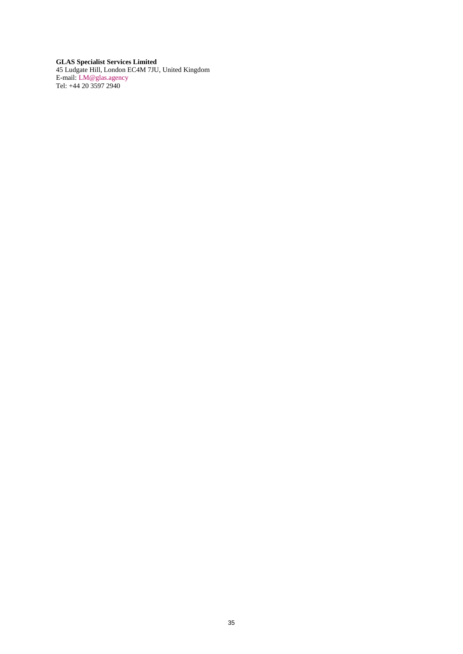**GLAS Specialist Services Limited**  45 Ludgate Hill, London EC4M 7JU, United Kingdom E-mail: [LM@glas.agency](mailto:LM@glas.agency) Tel: +44 20 3597 2940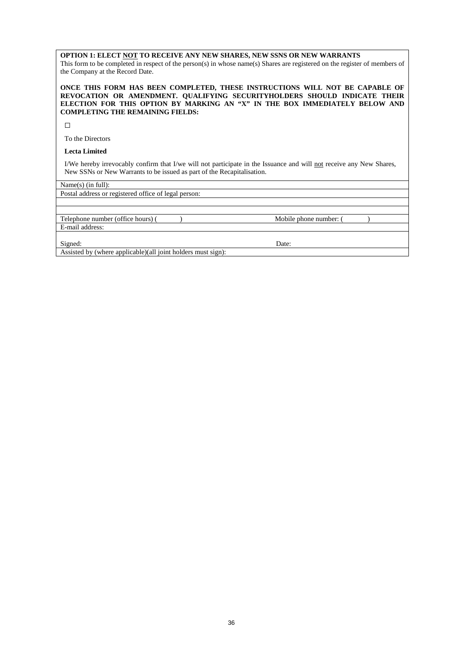### **OPTION 1: ELECT NOT TO RECEIVE ANY NEW SHARES, NEW SSNS OR NEW WARRANTS**

This form to be completed in respect of the person(s) in whose name(s) Shares are registered on the register of members of the Company at the Record Date.

#### **ONCE THIS FORM HAS BEEN COMPLETED, THESE INSTRUCTIONS WILL NOT BE CAPABLE OF REVOCATION OR AMENDMENT. QUALIFYING SECURITYHOLDERS SHOULD INDICATE THEIR ELECTION FOR THIS OPTION BY MARKING AN "X" IN THE BOX IMMEDIATELY BELOW AND COMPLETING THE REMAINING FIELDS:**

 $\Box$ 

To the Directors

## **Lecta Limited**

I/We hereby irrevocably confirm that I/we will not participate in the Issuance and will not receive any New Shares, New SSNs or New Warrants to be issued as part of the Recapitalisation.

Name(s) (in full):

Postal address or registered office of legal person:

| Telephone number (office hours) (                             | Mobile phone number: |  |
|---------------------------------------------------------------|----------------------|--|
| E-mail address:                                               |                      |  |
|                                                               |                      |  |
| Signed:                                                       | Date:                |  |
| Assisted by (where applicable) (all joint holders must sign): |                      |  |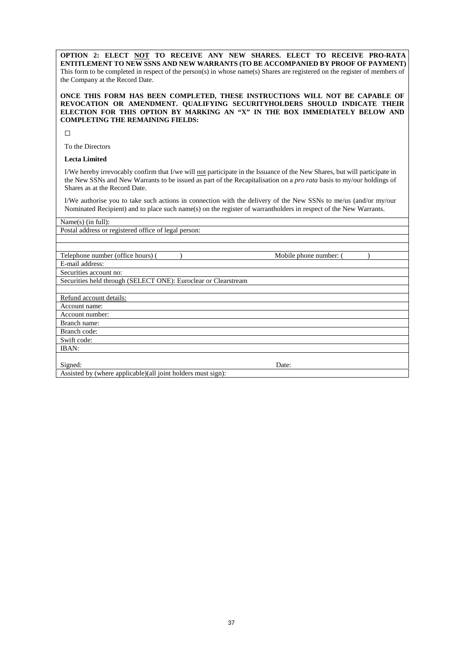**OPTION 2: ELECT NOT TO RECEIVE ANY NEW SHARES. ELECT TO RECEIVE PRO-RATA ENTITLEMENT TO NEW SSNS AND NEW WARRANTS (TO BE ACCOMPANIED BY PROOF OF PAYMENT)** This form to be completed in respect of the person(s) in whose name(s) Shares are registered on the register of members of the Company at the Record Date.

#### **ONCE THIS FORM HAS BEEN COMPLETED, THESE INSTRUCTIONS WILL NOT BE CAPABLE OF REVOCATION OR AMENDMENT. QUALIFYING SECURITYHOLDERS SHOULD INDICATE THEIR ELECTION FOR THIS OPTION BY MARKING AN "X" IN THE BOX IMMEDIATELY BELOW AND COMPLETING THE REMAINING FIELDS:**

 $\Box$ 

To the Directors

## **Lecta Limited**

I/We hereby irrevocably confirm that I/we will not participate in the Issuance of the New Shares, but will participate in the New SSNs and New Warrants to be issued as part of the Recapitalisation on a *pro rata* basis to my/our holdings of Shares as at the Record Date.

I/We authorise you to take such actions in connection with the delivery of the New SSNs to me/us (and/or my/our Nominated Recipient) and to place such name(s) on the register of warrantholders in respect of the New Warrants.

| Name $(s)$ (in full):                                          |                        |  |
|----------------------------------------------------------------|------------------------|--|
| Postal address or registered office of legal person:           |                        |  |
|                                                                |                        |  |
|                                                                |                        |  |
| Telephone number (office hours) (                              | Mobile phone number: ( |  |
| E-mail address:                                                |                        |  |
| Securities account no:                                         |                        |  |
| Securities held through (SELECT ONE): Euroclear or Clearstream |                        |  |
|                                                                |                        |  |
| Refund account details:                                        |                        |  |
| Account name:                                                  |                        |  |
| Account number:                                                |                        |  |
| Branch name:                                                   |                        |  |
| Branch code:                                                   |                        |  |
| Swift code:                                                    |                        |  |
| IBAN:                                                          |                        |  |
|                                                                |                        |  |
| Signed:                                                        | Date:                  |  |
| Assisted by (where applicable)(all joint holders must sign):   |                        |  |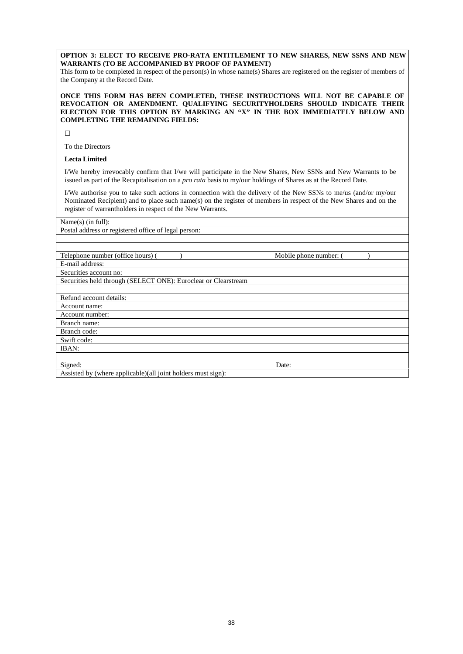**OPTION 3: ELECT TO RECEIVE PRO-RATA ENTITLEMENT TO NEW SHARES, NEW SSNS AND NEW WARRANTS (TO BE ACCOMPANIED BY PROOF OF PAYMENT)**

This form to be completed in respect of the person(s) in whose name(s) Shares are registered on the register of members of the Company at the Record Date.

**ONCE THIS FORM HAS BEEN COMPLETED, THESE INSTRUCTIONS WILL NOT BE CAPABLE OF REVOCATION OR AMENDMENT. QUALIFYING SECURITYHOLDERS SHOULD INDICATE THEIR ELECTION FOR THIS OPTION BY MARKING AN "X" IN THE BOX IMMEDIATELY BELOW AND COMPLETING THE REMAINING FIELDS:** 

 $\Box$ 

To the Directors

## **Lecta Limited**

I/We hereby irrevocably confirm that I/we will participate in the New Shares, New SSNs and New Warrants to be issued as part of the Recapitalisation on a *pro rata* basis to my/our holdings of Shares as at the Record Date.

I/We authorise you to take such actions in connection with the delivery of the New SSNs to me/us (and/or my/our Nominated Recipient) and to place such name(s) on the register of members in respect of the New Shares and on the register of warrantholders in respect of the New Warrants.

| Name(s) (in full):                                             |                        |  |
|----------------------------------------------------------------|------------------------|--|
| Postal address or registered office of legal person:           |                        |  |
|                                                                |                        |  |
|                                                                |                        |  |
| Telephone number (office hours) (                              | Mobile phone number: ( |  |
| E-mail address:                                                |                        |  |
| Securities account no:                                         |                        |  |
| Securities held through (SELECT ONE): Euroclear or Clearstream |                        |  |
|                                                                |                        |  |
| Refund account details:                                        |                        |  |
| Account name:                                                  |                        |  |
| Account number:                                                |                        |  |
| Branch name:                                                   |                        |  |
| Branch code:                                                   |                        |  |
| Swift code:                                                    |                        |  |
| IBAN:                                                          |                        |  |
|                                                                |                        |  |
| Signed:                                                        | Date:                  |  |
| Assisted by (where applicable)(all joint holders must sign):   |                        |  |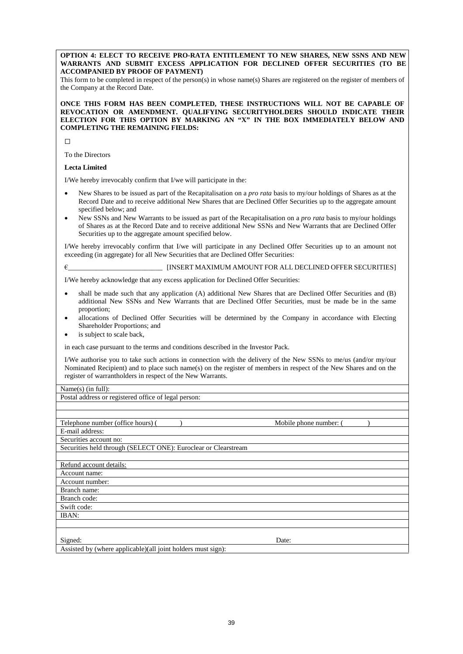**OPTION 4: ELECT TO RECEIVE PRO-RATA ENTITLEMENT TO NEW SHARES, NEW SSNS AND NEW WARRANTS AND SUBMIT EXCESS APPLICATION FOR DECLINED OFFER SECURITIES (TO BE ACCOMPANIED BY PROOF OF PAYMENT)**

This form to be completed in respect of the person(s) in whose name(s) Shares are registered on the register of members of the Company at the Record Date.

#### **ONCE THIS FORM HAS BEEN COMPLETED, THESE INSTRUCTIONS WILL NOT BE CAPABLE OF REVOCATION OR AMENDMENT. QUALIFYING SECURITYHOLDERS SHOULD INDICATE THEIR ELECTION FOR THIS OPTION BY MARKING AN "X" IN THE BOX IMMEDIATELY BELOW AND COMPLETING THE REMAINING FIELDS:**

 $\Box$ 

To the Directors

#### **Lecta Limited**

I/We hereby irrevocably confirm that I/we will participate in the:

- New Shares to be issued as part of the Recapitalisation on a *pro rata* basis to my/our holdings of Shares as at the Record Date and to receive additional New Shares that are Declined Offer Securities up to the aggregate amount specified below; and
- New SSNs and New Warrants to be issued as part of the Recapitalisation on a *pro rata* basis to my/our holdings of Shares as at the Record Date and to receive additional New SSNs and New Warrants that are Declined Offer Securities up to the aggregate amount specified below.

I/We hereby irrevocably confirm that I/we will participate in any Declined Offer Securities up to an amount not exceeding (in aggregate) for all New Securities that are Declined Offer Securities:

€\_\_\_\_\_\_\_\_\_\_\_\_\_\_\_\_\_\_\_\_\_\_\_\_\_\_\_ [INSERT MAXIMUM AMOUNT FOR ALL DECLINED OFFER SECURITIES]

I/We hereby acknowledge that any excess application for Declined Offer Securities:

- shall be made such that any application (A) additional New Shares that are Declined Offer Securities and (B) additional New SSNs and New Warrants that are Declined Offer Securities, must be made be in the same proportion;
- allocations of Declined Offer Securities will be determined by the Company in accordance with Electing Shareholder Proportions; and
- is subject to scale back,

in each case pursuant to the terms and conditions described in the Investor Pack.

I/We authorise you to take such actions in connection with the delivery of the New SSNs to me/us (and/or my/our Nominated Recipient) and to place such name(s) on the register of members in respect of the New Shares and on the register of warrantholders in respect of the New Warrants.

#### Name(s) (in full):

Postal address or registered office of legal person:

| Telephone number (office hours) (                              | Mobile phone number: ( |  |
|----------------------------------------------------------------|------------------------|--|
| E-mail address:                                                |                        |  |
| Securities account no:                                         |                        |  |
| Securities held through (SELECT ONE): Euroclear or Clearstream |                        |  |
|                                                                |                        |  |
| Refund account details:                                        |                        |  |
| Account name:                                                  |                        |  |
| Account number:                                                |                        |  |
| Branch name:                                                   |                        |  |
| Branch code:                                                   |                        |  |
| Swift code:                                                    |                        |  |
| IBAN:                                                          |                        |  |
|                                                                |                        |  |
|                                                                |                        |  |
| Signed:                                                        | Date:                  |  |
| Assisted by (where applicable)(all joint holders must sign):   |                        |  |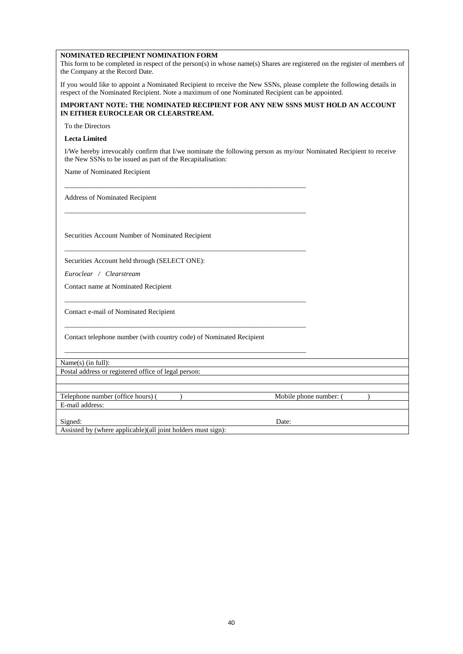#### **NOMINATED RECIPIENT NOMINATION FORM**

This form to be completed in respect of the person(s) in whose name(s) Shares are registered on the register of members of the Company at the Record Date.

If you would like to appoint a Nominated Recipient to receive the New SSNs, please complete the following details in respect of the Nominated Recipient. Note a maximum of one Nominated Recipient can be appointed.

#### **IMPORTANT NOTE: THE NOMINATED RECIPIENT FOR ANY NEW SSNS MUST HOLD AN ACCOUNT IN EITHER EUROCLEAR OR CLEARSTREAM.**

To the Directors

#### **Lecta Limited**

I/We hereby irrevocably confirm that I/we nominate the following person as my/our Nominated Recipient to receive the New SSNs to be issued as part of the Recapitalisation:

\_\_\_\_\_\_\_\_\_\_\_\_\_\_\_\_\_\_\_\_\_\_\_\_\_\_\_\_\_\_\_\_\_\_\_\_\_\_\_\_\_\_\_\_\_\_\_\_\_\_\_\_\_\_\_\_\_\_\_\_\_\_\_\_\_\_\_\_\_

\_\_\_\_\_\_\_\_\_\_\_\_\_\_\_\_\_\_\_\_\_\_\_\_\_\_\_\_\_\_\_\_\_\_\_\_\_\_\_\_\_\_\_\_\_\_\_\_\_\_\_\_\_\_\_\_\_\_\_\_\_\_\_\_\_\_\_\_\_

\_\_\_\_\_\_\_\_\_\_\_\_\_\_\_\_\_\_\_\_\_\_\_\_\_\_\_\_\_\_\_\_\_\_\_\_\_\_\_\_\_\_\_\_\_\_\_\_\_\_\_\_\_\_\_\_\_\_\_\_\_\_\_\_\_\_\_\_\_

\_\_\_\_\_\_\_\_\_\_\_\_\_\_\_\_\_\_\_\_\_\_\_\_\_\_\_\_\_\_\_\_\_\_\_\_\_\_\_\_\_\_\_\_\_\_\_\_\_\_\_\_\_\_\_\_\_\_\_\_\_\_\_\_\_\_\_\_\_

\_\_\_\_\_\_\_\_\_\_\_\_\_\_\_\_\_\_\_\_\_\_\_\_\_\_\_\_\_\_\_\_\_\_\_\_\_\_\_\_\_\_\_\_\_\_\_\_\_\_\_\_\_\_\_\_\_\_\_\_\_\_\_\_\_\_\_\_\_

\_\_\_\_\_\_\_\_\_\_\_\_\_\_\_\_\_\_\_\_\_\_\_\_\_\_\_\_\_\_\_\_\_\_\_\_\_\_\_\_\_\_\_\_\_\_\_\_\_\_\_\_\_\_\_\_\_\_\_\_\_\_\_\_\_\_\_\_\_

Name of Nominated Recipient

Address of Nominated Recipient

Securities Account Number of Nominated Recipient

Securities Account held through (SELECT ONE):

*Euroclear / Clearstream*

Contact name at Nominated Recipient

Contact e-mail of Nominated Recipient

Contact telephone number (with country code) of Nominated Recipient

Name(s) (in full):

Postal address or registered office of legal person:

Telephone number (office hours) ( ) and a Mobile phone number: ( ) and Mobile phone number: ( E-mail address:

Signed: Date:

Assisted by (where applicable)(all joint holders must sign):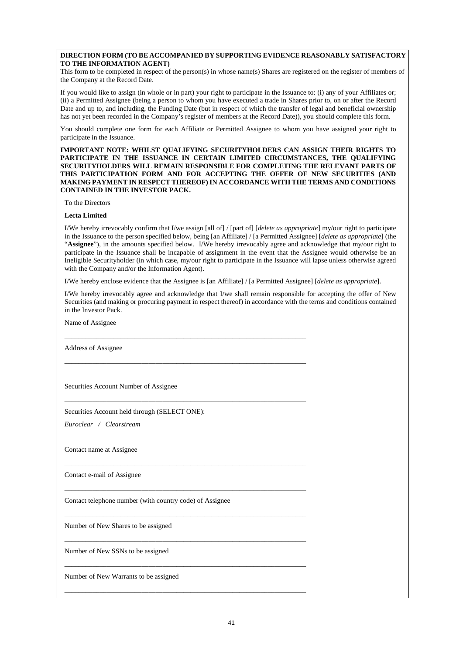#### **DIRECTION FORM (TO BE ACCOMPANIED BY SUPPORTING EVIDENCE REASONABLY SATISFACTORY TO THE INFORMATION AGENT)**

This form to be completed in respect of the person(s) in whose name(s) Shares are registered on the register of members of the Company at the Record Date.

If you would like to assign (in whole or in part) your right to participate in the Issuance to: (i) any of your Affiliates or; (ii) a Permitted Assignee (being a person to whom you have executed a trade in Shares prior to, on or after the Record Date and up to, and including, the Funding Date (but in respect of which the transfer of legal and beneficial ownership has not yet been recorded in the Company's register of members at the Record Date)), you should complete this form.

You should complete one form for each Affiliate or Permitted Assignee to whom you have assigned your right to participate in the Issuance.

**IMPORTANT NOTE: WHILST QUALIFYING SECURITYHOLDERS CAN ASSIGN THEIR RIGHTS TO PARTICIPATE IN THE ISSUANCE IN CERTAIN LIMITED CIRCUMSTANCES, THE QUALIFYING SECURITYHOLDERS WILL REMAIN RESPONSIBLE FOR COMPLETING THE RELEVANT PARTS OF THIS PARTICIPATION FORM AND FOR ACCEPTING THE OFFER OF NEW SECURITIES (AND MAKING PAYMENT IN RESPECT THEREOF) IN ACCORDANCE WITH THE TERMS AND CONDITIONS CONTAINED IN THE INVESTOR PACK.** 

To the Directors

**Lecta Limited** 

I/We hereby irrevocably confirm that I/we assign [all of] / [part of] [*delete as appropriate*] my/our right to participate in the Issuance to the person specified below, being [an Affiliate] / [a Permitted Assignee] [*delete as appropriate*] (the "**Assignee**"), in the amounts specified below. I/We hereby irrevocably agree and acknowledge that my/our right to participate in the Issuance shall be incapable of assignment in the event that the Assignee would otherwise be an Ineligible Securityholder (in which case, my/our right to participate in the Issuance will lapse unless otherwise agreed with the Company and/or the Information Agent).

I/We hereby enclose evidence that the Assignee is [an Affiliate] / [a Permitted Assignee] [*delete as appropriate*].

\_\_\_\_\_\_\_\_\_\_\_\_\_\_\_\_\_\_\_\_\_\_\_\_\_\_\_\_\_\_\_\_\_\_\_\_\_\_\_\_\_\_\_\_\_\_\_\_\_\_\_\_\_\_\_\_\_\_\_\_\_\_\_\_\_\_\_\_\_

\_\_\_\_\_\_\_\_\_\_\_\_\_\_\_\_\_\_\_\_\_\_\_\_\_\_\_\_\_\_\_\_\_\_\_\_\_\_\_\_\_\_\_\_\_\_\_\_\_\_\_\_\_\_\_\_\_\_\_\_\_\_\_\_\_\_\_\_\_

\_\_\_\_\_\_\_\_\_\_\_\_\_\_\_\_\_\_\_\_\_\_\_\_\_\_\_\_\_\_\_\_\_\_\_\_\_\_\_\_\_\_\_\_\_\_\_\_\_\_\_\_\_\_\_\_\_\_\_\_\_\_\_\_\_\_\_\_\_

\_\_\_\_\_\_\_\_\_\_\_\_\_\_\_\_\_\_\_\_\_\_\_\_\_\_\_\_\_\_\_\_\_\_\_\_\_\_\_\_\_\_\_\_\_\_\_\_\_\_\_\_\_\_\_\_\_\_\_\_\_\_\_\_\_\_\_\_\_

\_\_\_\_\_\_\_\_\_\_\_\_\_\_\_\_\_\_\_\_\_\_\_\_\_\_\_\_\_\_\_\_\_\_\_\_\_\_\_\_\_\_\_\_\_\_\_\_\_\_\_\_\_\_\_\_\_\_\_\_\_\_\_\_\_\_\_\_\_

\_\_\_\_\_\_\_\_\_\_\_\_\_\_\_\_\_\_\_\_\_\_\_\_\_\_\_\_\_\_\_\_\_\_\_\_\_\_\_\_\_\_\_\_\_\_\_\_\_\_\_\_\_\_\_\_\_\_\_\_\_\_\_\_\_\_\_\_\_

\_\_\_\_\_\_\_\_\_\_\_\_\_\_\_\_\_\_\_\_\_\_\_\_\_\_\_\_\_\_\_\_\_\_\_\_\_\_\_\_\_\_\_\_\_\_\_\_\_\_\_\_\_\_\_\_\_\_\_\_\_\_\_\_\_\_\_\_\_

\_\_\_\_\_\_\_\_\_\_\_\_\_\_\_\_\_\_\_\_\_\_\_\_\_\_\_\_\_\_\_\_\_\_\_\_\_\_\_\_\_\_\_\_\_\_\_\_\_\_\_\_\_\_\_\_\_\_\_\_\_\_\_\_\_\_\_\_\_

\_\_\_\_\_\_\_\_\_\_\_\_\_\_\_\_\_\_\_\_\_\_\_\_\_\_\_\_\_\_\_\_\_\_\_\_\_\_\_\_\_\_\_\_\_\_\_\_\_\_\_\_\_\_\_\_\_\_\_\_\_\_\_\_\_\_\_\_\_

I/We hereby irrevocably agree and acknowledge that I/we shall remain responsible for accepting the offer of New Securities (and making or procuring payment in respect thereof) in accordance with the terms and conditions contained in the Investor Pack.

Name of Assignee

Address of Assignee

Securities Account Number of Assignee

Securities Account held through (SELECT ONE):

*Euroclear / Clearstream*

Contact name at Assignee

Contact e-mail of Assignee

Contact telephone number (with country code) of Assignee

Number of New Shares to be assigned

Number of New SSNs to be assigned

Number of New Warrants to be assigned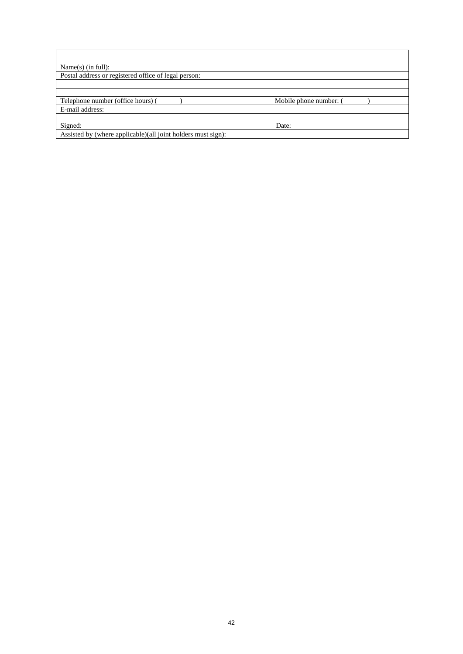| Name $(s)$ (in full):                                        |                        |  |
|--------------------------------------------------------------|------------------------|--|
| Postal address or registered office of legal person:         |                        |  |
|                                                              |                        |  |
|                                                              |                        |  |
| Telephone number (office hours) (                            | Mobile phone number: ( |  |
| E-mail address:                                              |                        |  |
|                                                              |                        |  |
| Signed:                                                      | Date:                  |  |
| Assisted by (where applicable)(all joint holders must sign): |                        |  |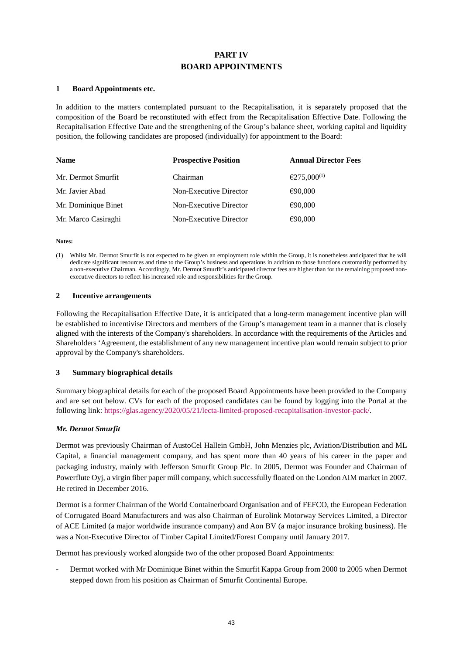## **PART IV BOARD APPOINTMENTS**

#### **1 Board Appointments etc.**

In addition to the matters contemplated pursuant to the Recapitalisation, it is separately proposed that the composition of the Board be reconstituted with effect from the Recapitalisation Effective Date. Following the Recapitalisation Effective Date and the strengthening of the Group's balance sheet, working capital and liquidity position, the following candidates are proposed (individually) for appointment to the Board:

| <b>Name</b>         | <b>Prospective Position</b> | <b>Annual Director Fees</b> |
|---------------------|-----------------------------|-----------------------------|
| Mr. Dermot Smurfit  | Chairman                    | $£275,000^{(1)}$            |
| Mr. Javier Abad     | Non-Executive Director      | €90,000                     |
| Mr. Dominique Binet | Non-Executive Director      | €90,000                     |
| Mr. Marco Casiraghi | Non-Executive Director      | €90,000                     |

**Notes:** 

#### **2 Incentive arrangements**

Following the Recapitalisation Effective Date, it is anticipated that a long-term management incentive plan will be established to incentivise Directors and members of the Group's management team in a manner that is closely aligned with the interests of the Company's shareholders. In accordance with the requirements of the Articles and Shareholders 'Agreement, the establishment of any new management incentive plan would remain subject to prior approval by the Company's shareholders.

## **3 Summary biographical details**

Summary biographical details for each of the proposed Board Appointments have been provided to the Company and are set out below. CVs for each of the proposed candidates can be found by logging into the Portal at the following link: [https://glas.agency/2020/05/21/lecta-limited-proposed-recapitalisation-investor-pack/.](https://glas.agency/2020/05/21/lecta-limited-proposed-recapitalisation-investor-pack/) 

## *Mr. Dermot Smurfit*

Dermot was previously Chairman of AustoCel Hallein GmbH, John Menzies plc, Aviation/Distribution and ML Capital, a financial management company, and has spent more than 40 years of his career in the paper and packaging industry, mainly with Jefferson Smurfit Group Plc. In 2005, Dermot was Founder and Chairman of Powerflute Oyj, a virgin fiber paper mill company, which successfully floated on the London AIM market in 2007. He retired in December 2016.

Dermot is a former Chairman of the World Containerboard Organisation and of FEFCO, the European Federation of Corrugated Board Manufacturers and was also Chairman of Eurolink Motorway Services Limited, a Director of ACE Limited (a major worldwide insurance company) and Aon BV (a major insurance broking business). He was a Non-Executive Director of Timber Capital Limited/Forest Company until January 2017.

Dermot has previously worked alongside two of the other proposed Board Appointments:

- Dermot worked with Mr Dominique Binet within the Smurfit Kappa Group from 2000 to 2005 when Dermot stepped down from his position as Chairman of Smurfit Continental Europe.

<sup>(1)</sup> Whilst Mr. Dermot Smurfit is not expected to be given an employment role within the Group, it is nonetheless anticipated that he will dedicate significant resources and time to the Group's business and operations in addition to those functions customarily performed by a non-executive Chairman. Accordingly, Mr. Dermot Smurfit's anticipated director fees are higher than for the remaining proposed nonexecutive directors to reflect his increased role and responsibilities for the Group.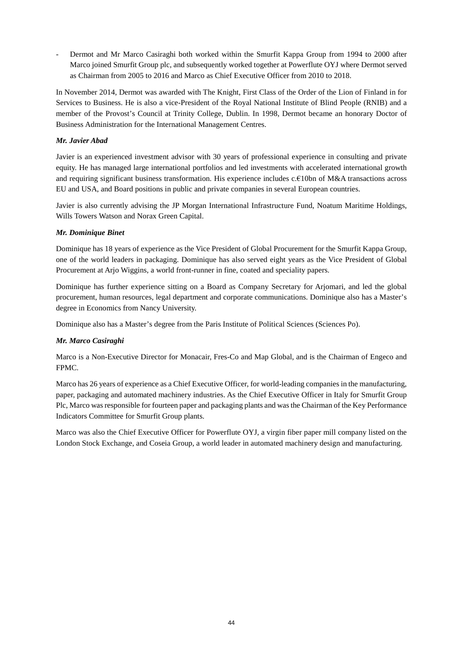Dermot and Mr Marco Casiraghi both worked within the Smurfit Kappa Group from 1994 to 2000 after Marco joined Smurfit Group plc, and subsequently worked together at Powerflute OYJ where Dermot served as Chairman from 2005 to 2016 and Marco as Chief Executive Officer from 2010 to 2018.

In November 2014, Dermot was awarded with The Knight, First Class of the Order of the Lion of Finland in for Services to Business. He is also a vice-President of the Royal National Institute of Blind People (RNIB) and a member of the Provost's Council at Trinity College, Dublin. In 1998, Dermot became an honorary Doctor of Business Administration for the International Management Centres.

## *Mr. Javier Abad*

Javier is an experienced investment advisor with 30 years of professional experience in consulting and private equity. He has managed large international portfolios and led investments with accelerated international growth and requiring significant business transformation. His experience includes c.€10bn of M&A transactions across EU and USA, and Board positions in public and private companies in several European countries.

Javier is also currently advising the JP Morgan International Infrastructure Fund, Noatum Maritime Holdings, Wills Towers Watson and Norax Green Capital.

## *Mr. Dominique Binet*

Dominique has 18 years of experience as the Vice President of Global Procurement for the Smurfit Kappa Group, one of the world leaders in packaging. Dominique has also served eight years as the Vice President of Global Procurement at Arjo Wiggins, a world front-runner in fine, coated and speciality papers.

Dominique has further experience sitting on a Board as Company Secretary for Arjomari, and led the global procurement, human resources, legal department and corporate communications. Dominique also has a Master's degree in Economics from Nancy University.

Dominique also has a Master's degree from the Paris Institute of Political Sciences (Sciences Po).

## *Mr. Marco Casiraghi*

Marco is a Non-Executive Director for Monacair, Fres-Co and Map Global, and is the Chairman of Engeco and FPMC.

Marco has 26 years of experience as a Chief Executive Officer, for world-leading companies in the manufacturing, paper, packaging and automated machinery industries. As the Chief Executive Officer in Italy for Smurfit Group Plc, Marco was responsible for fourteen paper and packaging plants and was the Chairman of the Key Performance Indicators Committee for Smurfit Group plants.

Marco was also the Chief Executive Officer for Powerflute OYJ, a virgin fiber paper mill company listed on the London Stock Exchange, and Coseia Group, a world leader in automated machinery design and manufacturing.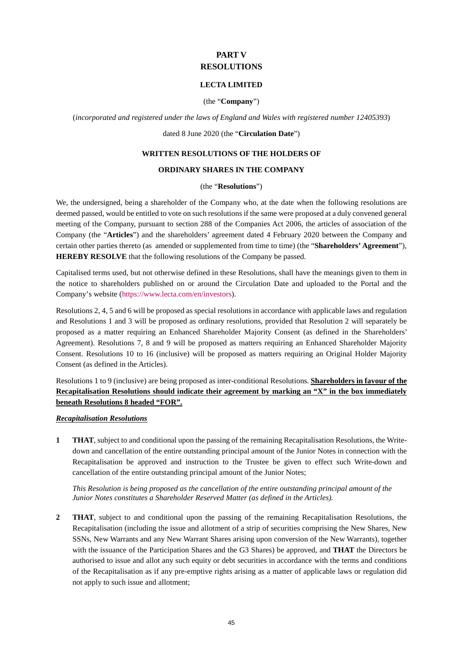## **PART V RESOLUTIONS**

## **LECTA LIMITED**

## (the "**Company**")

(*incorporated and registered under the laws of England and Wales with registered number 12405393*)

### dated 8 June 2020 (the "**Circulation Date**")

### **WRITTEN RESOLUTIONS OF THE HOLDERS OF**

### **ORDINARY SHARES IN THE COMPANY**

## (the "**Resolutions**")

We, the undersigned, being a shareholder of the Company who, at the date when the following resolutions are deemed passed, would be entitled to vote on such resolutions if the same were proposed at a duly convened general meeting of the Company, pursuant to section 288 of the Companies Act 2006, the articles of association of the Company (the "**Articles**") and the shareholders' agreement dated 4 February 2020 between the Company and certain other parties thereto (as amended or supplemented from time to time) (the "**Shareholders' Agreement**"), **HEREBY RESOLVE** that the following resolutions of the Company be passed.

Capitalised terms used, but not otherwise defined in these Resolutions, shall have the meanings given to them in the notice to shareholders published on or around the Circulation Date and uploaded to the Portal and the Company's website [\(https://www.lecta.com/en/investors\)](https://www.lecta.com/en/investors).

Resolution[s 2,](#page-47-0) [4,](#page-48-0) [5 a](#page-48-1)n[d 6](#page-48-2) will be proposed as special resolutions in accordance with applicable laws and regulation and Resolutions [1](#page-47-1) and [3](#page-48-3) will be proposed as ordinary resolutions, provided that Resolution [2](#page-47-0) will separately be proposed as a matter requiring an Enhanced Shareholder Majority Consent (as defined in the Shareholders' Agreement). Resolutions [7,](#page-50-0) [8](#page-51-0) and [9](#page-52-0) will be proposed as matters requiring an Enhanced Shareholder Majority Consent. Resolutions [10](#page-52-1) to [16](#page-54-0) (inclusive) will be proposed as matters requiring an Original Holder Majority Consent (as defined in the Articles).

Resolution[s 1 t](#page-47-1)[o 9](#page-52-0) (inclusive) are being proposed as inter-conditional Resolutions. **Shareholders in favour of the Recapitalisation Resolutions should indicate their agreement by marking an "X" in the box immediately beneath Resolutions [8 h](#page-51-0)eaded "FOR".**

## *Recapitalisation Resolutions*

<span id="page-47-1"></span>**1 THAT**, subject to and conditional upon the passing of the remaining Recapitalisation Resolutions, the Writedown and cancellation of the entire outstanding principal amount of the Junior Notes in connection with the Recapitalisation be approved and instruction to the Trustee be given to effect such Write-down and cancellation of the entire outstanding principal amount of the Junior Notes;

*This Resolution is being proposed as the cancellation of the entire outstanding principal amount of the Junior Notes constitutes a Shareholder Reserved Matter (as defined in the Articles).*

<span id="page-47-0"></span>**2 THAT**, subject to and conditional upon the passing of the remaining Recapitalisation Resolutions, the Recapitalisation (including the issue and allotment of a strip of securities comprising the New Shares, New SSNs, New Warrants and any New Warrant Shares arising upon conversion of the New Warrants), together with the issuance of the Participation Shares and the G3 Shares) be approved, and **THAT** the Directors be authorised to issue and allot any such equity or debt securities in accordance with the terms and conditions of the Recapitalisation as if any pre-emptive rights arising as a matter of applicable laws or regulation did not apply to such issue and allotment;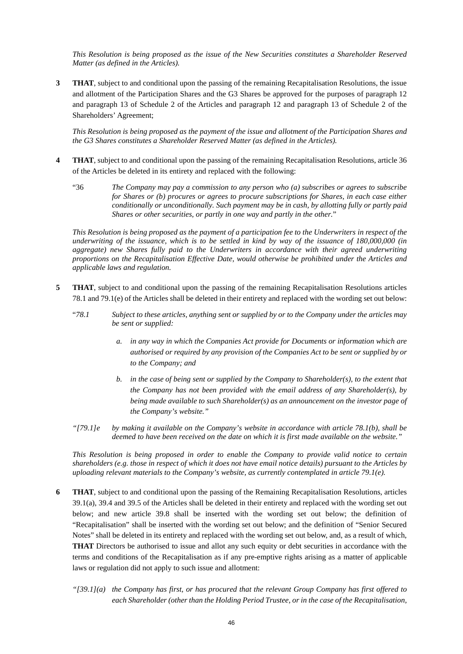*This Resolution is being proposed as the issue of the New Securities constitutes a Shareholder Reserved Matter (as defined in the Articles).*

<span id="page-48-3"></span>**3 THAT**, subject to and conditional upon the passing of the remaining Recapitalisation Resolutions, the issue and allotment of the Participation Shares and the G3 Shares be approved for the purposes of paragraph 12 and paragraph 13 of Schedule 2 of the Articles and paragraph 12 and paragraph 13 of Schedule 2 of the Shareholders' Agreement;

*This Resolution is being proposed as the payment of the issue and allotment of the Participation Shares and the G3 Shares constitutes a Shareholder Reserved Matter (as defined in the Articles).*

- <span id="page-48-0"></span>**4 THAT**, subject to and conditional upon the passing of the remaining Recapitalisation Resolutions, article 36 of the Articles be deleted in its entirety and replaced with the following:
	- "36 *The Company may pay a commission to any person who (a) subscribes or agrees to subscribe for Shares or (b) procures or agrees to procure subscriptions for Shares, in each case either conditionally or unconditionally. Such payment may be in cash, by allotting fully or partly paid Shares or other securities, or partly in one way and partly in the other.*"

*This Resolution is being proposed as the payment of a participation fee to the Underwriters in respect of the underwriting of the issuance, which is to be settled in kind by way of the issuance of 180,000,000 (in aggregate) new Shares fully paid to the Underwriters in accordance with their agreed underwriting proportions on the Recapitalisation Effective Date, would otherwise be prohibited under the Articles and applicable laws and regulation.*

- <span id="page-48-1"></span>**5 THAT**, subject to and conditional upon the passing of the remaining Recapitalisation Resolutions articles 78.1 and 79.1(e) of the Articles shall be deleted in their entirety and replaced with the wording set out below:
	- "*78.1 Subject to these articles, anything sent or supplied by or to the Company under the articles may be sent or supplied:*
		- *a. in any way in which the Companies Act provide for Documents or information which are authorised or required by any provision of the Companies Act to be sent or supplied by or to the Company; and*
		- *b. in the case of being sent or supplied by the Company to Shareholder(s), to the extent that the Company has not been provided with the email address of any Shareholder(s), by being made available to such Shareholder(s) as an announcement on the investor page of the Company's website."*
	- *"[79.1]e by making it available on the Company's website in accordance with article 78.1(b), shall be deemed to have been received on the date on which it is first made available on the website."*

*This Resolution is being proposed in order to enable the Company to provide valid notice to certain shareholders (e.g. those in respect of which it does not have email notice details) pursuant to the Articles by uploading relevant materials to the Company's website, as currently contemplated in article 79.1(e).*

- <span id="page-48-2"></span>**6 THAT**, subject to and conditional upon the passing of the Remaining Recapitalisation Resolutions, articles 39.1(a), 39.4 and 39.5 of the Articles shall be deleted in their entirety and replaced with the wording set out below; and new article 39.8 shall be inserted with the wording set out below; the definition of "Recapitalisation" shall be inserted with the wording set out below; and the definition of "Senior Secured Notes" shall be deleted in its entirety and replaced with the wording set out below, and, as a result of which, **THAT** Directors be authorised to issue and allot any such equity or debt securities in accordance with the terms and conditions of the Recapitalisation as if any pre-emptive rights arising as a matter of applicable laws or regulation did not apply to such issue and allotment:
	- *"[39.1](a) the Company has first, or has procured that the relevant Group Company has first offered to each Shareholder (other than the Holding Period Trustee, or in the case of the Recapitalisation,*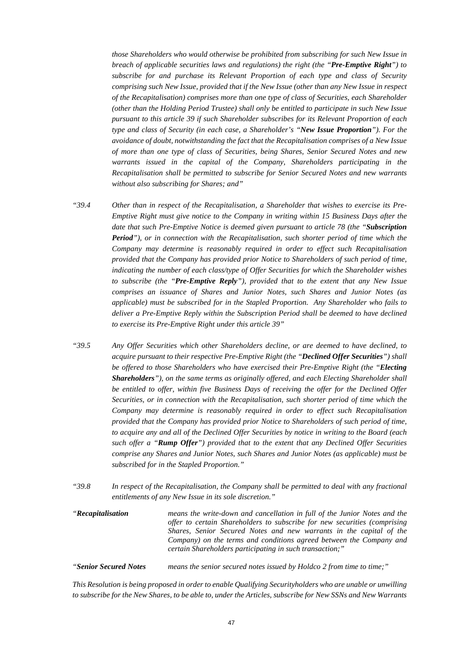*those Shareholders who would otherwise be prohibited from subscribing for such New Issue in breach of applicable securities laws and regulations) the right (the "Pre-Emptive Right") to subscribe for and purchase its Relevant Proportion of each type and class of Security comprising such New Issue, provided that if the New Issue (other than any New Issue in respect of the Recapitalisation) comprises more than one type of class of Securities, each Shareholder (other than the Holding Period Trustee) shall only be entitled to participate in such New Issue pursuant to this article 39 if such Shareholder subscribes for its Relevant Proportion of each type and class of Security (in each case, a Shareholder's "New Issue Proportion"). For the avoidance of doubt, notwithstanding the fact that the Recapitalisation comprises of a New Issue of more than one type of class of Securities, being Shares, Senior Secured Notes and new warrants issued in the capital of the Company, Shareholders participating in the Recapitalisation shall be permitted to subscribe for Senior Secured Notes and new warrants without also subscribing for Shares; and"*

- *"39.4 Other than in respect of the Recapitalisation, a Shareholder that wishes to exercise its Pre-Emptive Right must give notice to the Company in writing within 15 Business Days after the date that such Pre-Emptive Notice is deemed given pursuant to article 78 (the "Subscription Period"), or in connection with the Recapitalisation, such shorter period of time which the Company may determine is reasonably required in order to effect such Recapitalisation provided that the Company has provided prior Notice to Shareholders of such period of time, indicating the number of each class/type of Offer Securities for which the Shareholder wishes to subscribe (the "Pre-Emptive Reply"), provided that to the extent that any New Issue comprises an issuance of Shares and Junior Notes, such Shares and Junior Notes (as applicable) must be subscribed for in the Stapled Proportion. Any Shareholder who fails to deliver a Pre-Emptive Reply within the Subscription Period shall be deemed to have declined to exercise its Pre-Emptive Right under this article 39"*
- *"39.5 Any Offer Securities which other Shareholders decline, or are deemed to have declined, to acquire pursuant to their respective Pre-Emptive Right (the "Declined Offer Securities") shall be offered to those Shareholders who have exercised their Pre-Emptive Right (the "Electing Shareholders"), on the same terms as originally offered, and each Electing Shareholder shall be entitled to offer, within five Business Days of receiving the offer for the Declined Offer Securities, or in connection with the Recapitalisation, such shorter period of time which the Company may determine is reasonably required in order to effect such Recapitalisation provided that the Company has provided prior Notice to Shareholders of such period of time, to acquire any and all of the Declined Offer Securities by notice in writing to the Board (each such offer a "Rump Offer") provided that to the extent that any Declined Offer Securities comprise any Shares and Junior Notes, such Shares and Junior Notes (as applicable) must be subscribed for in the Stapled Proportion."*
- *"39.8 In respect of the Recapitalisation, the Company shall be permitted to deal with any fractional entitlements of any New Issue in its sole discretion."*
- *"Recapitalisation means the write-down and cancellation in full of the Junior Notes and the offer to certain Shareholders to subscribe for new securities (comprising Shares, Senior Secured Notes and new warrants in the capital of the Company) on the terms and conditions agreed between the Company and certain Shareholders participating in such transaction;"*

*"Senior Secured Notes means the senior secured notes issued by Holdco 2 from time to time;"* 

*This Resolution is being proposed in order to enable Qualifying Securityholders who are unable or unwilling to subscribe for the New Shares, to be able to, under the Articles, subscribe for New SSNs and New Warrants*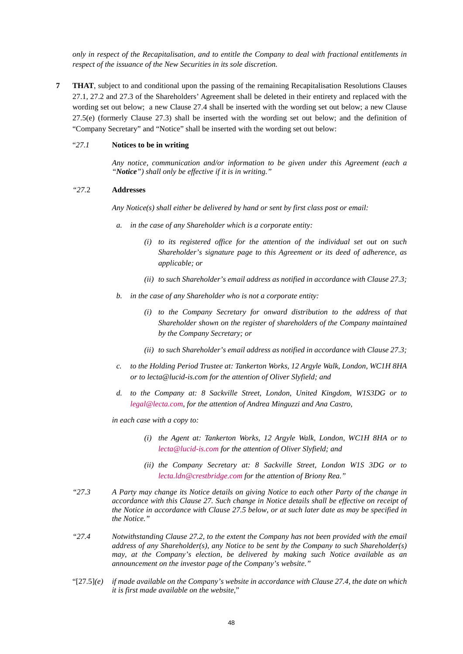*only in respect of the Recapitalisation, and to entitle the Company to deal with fractional entitlements in respect of the issuance of the New Securities in its sole discretion.* 

<span id="page-50-0"></span>**7 THAT**, subject to and conditional upon the passing of the remaining Recapitalisation Resolutions Clauses 27.1, 27.2 and 27.3 of the Shareholders' Agreement shall be deleted in their entirety and replaced with the wording set out below; a new Clause 27.4 shall be inserted with the wording set out below; a new Clause 27.5(e) (formerly Clause 27.3) shall be inserted with the wording set out below; and the definition of "Company Secretary" and "Notice" shall be inserted with the wording set out below:

### "*27.1* **Notices to be in writing**

*Any notice, communication and/or information to be given under this Agreement (each a "Notice") shall only be effective if it is in writing."* 

#### *"27.*2 **Addresses**

*Any Notice(s) shall either be delivered by hand or sent by first class post or email:* 

- *a. in the case of any Shareholder which is a corporate entity:*
	- *(i) to its registered office for the attention of the individual set out on such Shareholder's signature page to this Agreement or its deed of adherence, as applicable; or*
	- *(ii) to such Shareholder's email address as notified in accordance with Clause 27.3;*
- *b. in the case of any Shareholder who is not a corporate entity:*
	- *(i) to the Company Secretary for onward distribution to the address of that Shareholder shown on the register of shareholders of the Company maintained by the Company Secretary; or*
	- *(ii) to such Shareholder's email address as notified in accordance with Clause 27.3;*
- *c. to the Holding Period Trustee at: Tankerton Works, 12 Argyle Walk, London, WC1H 8HA or to lecta@lucid-is.com for the attention of Oliver Slyfield; and*
- *d. to the Company at: 8 Sackville Street, London, United Kingdom, W1S3DG or to [legal@lecta.com,](mailto:legal@lecta.com) for the attention of Andrea Minguzzi and Ana Castro,*

*in each case with a copy to:* 

- *(i) the Agent at: Tankerton Works, 12 Argyle Walk, London, WC1H 8HA or to [lecta@lucid-is.com f](mailto:lecta@lucid-is.com)or the attention of Oliver Slyfield; and*
- *(ii) the Company Secretary at: 8 Sackville Street, London W1S 3DG or to [lecta.ldn@crestbridge.com](mailto:lecta.ldn@crestbridge.com) for the attention of Briony Rea."*
- *"27.3 A Party may change its Notice details on giving Notice to each other Party of the change in accordance with this Clause 27. Such change in Notice details shall be effective on receipt of the Notice in accordance with Clause 27.5 below, or at such later date as may be specified in the Notice."*
- *"27.4 Notwithstanding Clause 27.2, to the extent the Company has not been provided with the email address of any Shareholder(s), any Notice to be sent by the Company to such Shareholder(s) may, at the Company's election, be delivered by making such Notice available as an announcement on the investor page of the Company's website."*
- "[27.5]*(e) if made available on the Company's website in accordance with Clause 27.4, the date on which it is first made available on the website,*"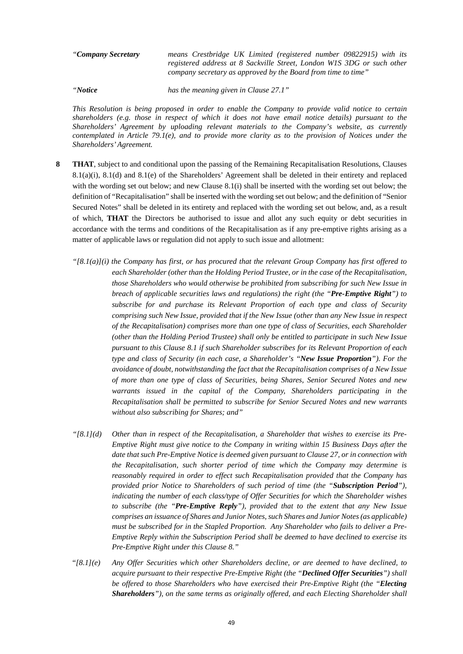*"Company Secretary means Crestbridge UK Limited (registered number 09822915) with its registered address at 8 Sackville Street, London W1S 3DG or such other company secretary as approved by the Board from time to time"* 

*"Notice has the meaning given in Clause 27.1"* 

*This Resolution is being proposed in order to enable the Company to provide valid notice to certain shareholders (e.g. those in respect of which it does not have email notice details) pursuant to the Shareholders' Agreement by uploading relevant materials to the Company's website, as currently contemplated in Article 79.1(e), and to provide more clarity as to the provision of Notices under the Shareholders' Agreement.*

- <span id="page-51-0"></span>**8 THAT**, subject to and conditional upon the passing of the Remaining Recapitalisation Resolutions, Clauses 8.1(a)(i), 8.1(d) and 8.1(e) of the Shareholders' Agreement shall be deleted in their entirety and replaced with the wording set out below; and new Clause 8.1(i) shall be inserted with the wording set out below; the definition of "Recapitalisation" shall be inserted with the wording set out below; and the definition of "Senior Secured Notes" shall be deleted in its entirety and replaced with the wording set out below, and, as a result of which, **THAT** the Directors be authorised to issue and allot any such equity or debt securities in accordance with the terms and conditions of the Recapitalisation as if any pre-emptive rights arising as a matter of applicable laws or regulation did not apply to such issue and allotment:
	- *"[8.1(a)](i) the Company has first, or has procured that the relevant Group Company has first offered to each Shareholder (other than the Holding Period Trustee, or in the case of the Recapitalisation, those Shareholders who would otherwise be prohibited from subscribing for such New Issue in breach of applicable securities laws and regulations) the right (the "Pre-Emptive Right") to subscribe for and purchase its Relevant Proportion of each type and class of Security comprising such New Issue, provided that if the New Issue (other than any New Issue in respect of the Recapitalisation) comprises more than one type of class of Securities, each Shareholder (other than the Holding Period Trustee) shall only be entitled to participate in such New Issue pursuant to this Clause 8.1 if such Shareholder subscribes for its Relevant Proportion of each type and class of Security (in each case, a Shareholder's "New Issue Proportion"). For the avoidance of doubt, notwithstanding the fact that the Recapitalisation comprises of a New Issue of more than one type of class of Securities, being Shares, Senior Secured Notes and new warrants issued in the capital of the Company, Shareholders participating in the Recapitalisation shall be permitted to subscribe for Senior Secured Notes and new warrants without also subscribing for Shares; and"*
	- *"[8.1](d) Other than in respect of the Recapitalisation, a Shareholder that wishes to exercise its Pre-Emptive Right must give notice to the Company in writing within 15 Business Days after the date that such Pre-Emptive Notice is deemed given pursuant to Clause 27, or in connection with the Recapitalisation, such shorter period of time which the Company may determine is reasonably required in order to effect such Recapitalisation provided that the Company has provided prior Notice to Shareholders of such period of time (the "Subscription Period"), indicating the number of each class/type of Offer Securities for which the Shareholder wishes to subscribe (the "Pre-Emptive Reply"), provided that to the extent that any New Issue comprises an issuance of Shares and Junior Notes, such Shares and Junior Notes (as applicable) must be subscribed for in the Stapled Proportion. Any Shareholder who fails to deliver a Pre-Emptive Reply within the Subscription Period shall be deemed to have declined to exercise its Pre-Emptive Right under this Clause 8."*
	- "*[8.1](e) Any Offer Securities which other Shareholders decline, or are deemed to have declined, to acquire pursuant to their respective Pre-Emptive Right (the "Declined Offer Securities") shall be offered to those Shareholders who have exercised their Pre-Emptive Right (the "Electing Shareholders"), on the same terms as originally offered, and each Electing Shareholder shall*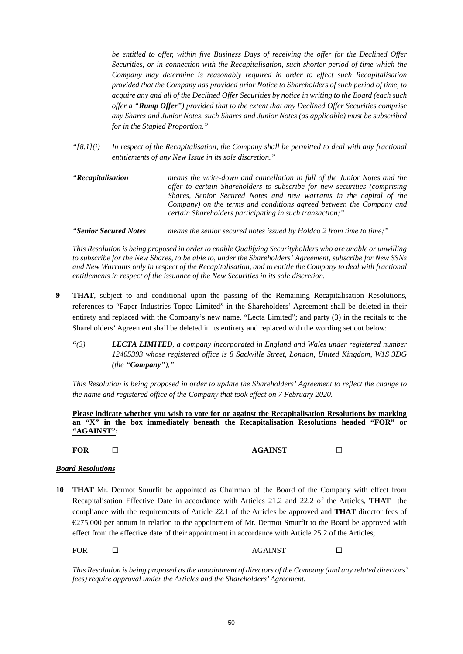*be entitled to offer, within five Business Days of receiving the offer for the Declined Offer Securities, or in connection with the Recapitalisation, such shorter period of time which the Company may determine is reasonably required in order to effect such Recapitalisation provided that the Company has provided prior Notice to Shareholders of such period of time, to acquire any and all of the Declined Offer Securities by notice in writing to the Board (each such offer a "Rump Offer") provided that to the extent that any Declined Offer Securities comprise any Shares and Junior Notes, such Shares and Junior Notes (as applicable) must be subscribed for in the Stapled Proportion."*

*"[8.1](i) In respect of the Recapitalisation, the Company shall be permitted to deal with any fractional entitlements of any New Issue in its sole discretion."* 

| <i>"Recapitalisation</i> " | means the write-down and cancellation in full of the Junior Notes and the |  |  |
|----------------------------|---------------------------------------------------------------------------|--|--|
|                            | offer to certain Shareholders to subscribe for new securities (comprising |  |  |
|                            | Shares, Senior Secured Notes and new warrants in the capital of the       |  |  |
|                            | Company) on the terms and conditions agreed between the Company and       |  |  |
|                            | certain Shareholders participating in such transaction;"                  |  |  |
|                            |                                                                           |  |  |

*"Senior Secured Notes means the senior secured notes issued by Holdco 2 from time to time;"* 

*This Resolution is being proposed in order to enable Qualifying Securityholders who are unable or unwilling to subscribe for the New Shares, to be able to, under the Shareholders' Agreement, subscribe for New SSNs and New Warrants only in respect of the Recapitalisation, and to entitle the Company to deal with fractional entitlements in respect of the issuance of the New Securities in its sole discretion.* 

- <span id="page-52-0"></span>**9 THAT**, subject to and conditional upon the passing of the Remaining Recapitalisation Resolutions, references to "Paper Industries Topco Limited" in the Shareholders' Agreement shall be deleted in their entirety and replaced with the Company's new name, "Lecta Limited"; and party (3) in the recitals to the Shareholders' Agreement shall be deleted in its entirety and replaced with the wording set out below:
	- **"***(3) LECTA LIMITED, a company incorporated in England and Wales under registered number 12405393 whose registered office is 8 Sackville Street, London, United Kingdom, W1S 3DG (the "Company"),"*

*This Resolution is being proposed in order to update the Shareholders' Agreement to reflect the change to the name and registered office of the Company that took effect on 7 February 2020.* 

**Please indicate whether you wish to vote for or against the Recapitalisation Resolutions by marking an "X" in the box immediately beneath the Recapitalisation Resolutions headed "FOR" or "AGAINST":** 

## **FOR** ☐ **AGAINST** ☐

## *Board Resolutions*

<span id="page-52-1"></span>**10 THAT** Mr. Dermot Smurfit be appointed as Chairman of the Board of the Company with effect from Recapitalisation Effective Date in accordance with Articles 21.2 and 22.2 of the Articles, **THAT** the compliance with the requirements of Article 22.1 of the Articles be approved and **THAT** director fees of €275,000 per annum in relation to the appointment of Mr. Dermot Smurfit to the Board be approved with effect from the effective date of their appointment in accordance with Article 25.2 of the Articles;

FOR □ AGAINST □

*This Resolution is being proposed as the appointment of directors of the Company (and any related directors' fees) require approval under the Articles and the Shareholders' Agreement.*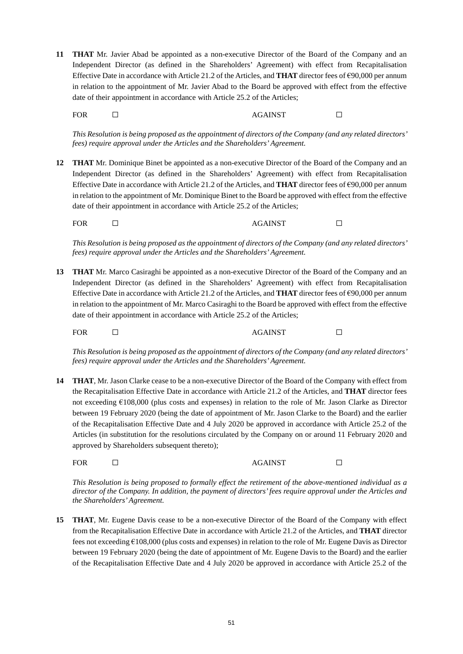**11 THAT** Mr. Javier Abad be appointed as a non-executive Director of the Board of the Company and an Independent Director (as defined in the Shareholders' Agreement) with effect from Recapitalisation Effective Date in accordance with Article 21.2 of the Articles, and **THAT** director fees of €90,000 per annum in relation to the appointment of Mr. Javier Abad to the Board be approved with effect from the effective date of their appointment in accordance with Article 25.2 of the Articles;

FOR □ AGAINST □

*This Resolution is being proposed as the appointment of directors of the Company (and any related directors' fees) require approval under the Articles and the Shareholders' Agreement.*

**12 THAT** Mr. Dominique Binet be appointed as a non-executive Director of the Board of the Company and an Independent Director (as defined in the Shareholders' Agreement) with effect from Recapitalisation Effective Date in accordance with Article 21.2 of the Articles, and **THAT** director fees of €90,000 per annum in relation to the appointment of Mr. Dominique Binet to the Board be approved with effect from the effective date of their appointment in accordance with Article 25.2 of the Articles;

FOR □ AGAINST □

*This Resolution is being proposed as the appointment of directors of the Company (and any related directors' fees) require approval under the Articles and the Shareholders' Agreement.*

**13 THAT** Mr. Marco Casiraghi be appointed as a non-executive Director of the Board of the Company and an Independent Director (as defined in the Shareholders' Agreement) with effect from Recapitalisation Effective Date in accordance with Article 21.2 of the Articles, and **THAT** director fees of €90,000 per annum in relation to the appointment of Mr. Marco Casiraghi to the Board be approved with effect from the effective date of their appointment in accordance with Article 25.2 of the Articles;

FOR □ AGAINST □

*This Resolution is being proposed as the appointment of directors of the Company (and any related directors' fees) require approval under the Articles and the Shareholders' Agreement.*

**14 THAT**, Mr. Jason Clarke cease to be a non-executive Director of the Board of the Company with effect from the Recapitalisation Effective Date in accordance with Article 21.2 of the Articles, and **THAT** director fees not exceeding €108,000 (plus costs and expenses) in relation to the role of Mr. Jason Clarke as Director between 19 February 2020 (being the date of appointment of Mr. Jason Clarke to the Board) and the earlier of the Recapitalisation Effective Date and 4 July 2020 be approved in accordance with Article 25.2 of the Articles (in substitution for the resolutions circulated by the Company on or around 11 February 2020 and approved by Shareholders subsequent thereto);

FOR □ AGAINST □

*This Resolution is being proposed to formally effect the retirement of the above-mentioned individual as a director of the Company. In addition, the payment of directors' fees require approval under the Articles and the Shareholders' Agreement.*

**15 THAT**, Mr. Eugene Davis cease to be a non-executive Director of the Board of the Company with effect from the Recapitalisation Effective Date in accordance with Article 21.2 of the Articles, and **THAT** director fees not exceeding €108,000 (plus costs and expenses) in relation to the role of Mr. Eugene Davis as Director between 19 February 2020 (being the date of appointment of Mr. Eugene Davis to the Board) and the earlier of the Recapitalisation Effective Date and 4 July 2020 be approved in accordance with Article 25.2 of the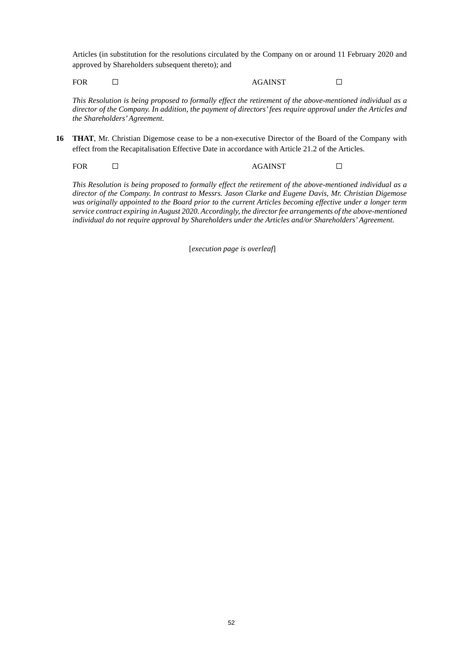Articles (in substitution for the resolutions circulated by the Company on or around 11 February 2020 and approved by Shareholders subsequent thereto); and

FOR □ AGAINST □

*This Resolution is being proposed to formally effect the retirement of the above-mentioned individual as a director of the Company. In addition, the payment of directors' fees require approval under the Articles and the Shareholders' Agreement.*

<span id="page-54-0"></span>**16 THAT**, Mr. Christian Digemose cease to be a non-executive Director of the Board of the Company with effect from the Recapitalisation Effective Date in accordance with Article 21.2 of the Articles.

FOR □ AGAINST □

*This Resolution is being proposed to formally effect the retirement of the above-mentioned individual as a director of the Company. In contrast to Messrs. Jason Clarke and Eugene Davis, Mr. Christian Digemose was originally appointed to the Board prior to the current Articles becoming effective under a longer term service contract expiring in August 2020. Accordingly, the director fee arrangements of the above-mentioned individual do not require approval by Shareholders under the Articles and/or Shareholders' Agreement.*

[*execution page is overleaf*]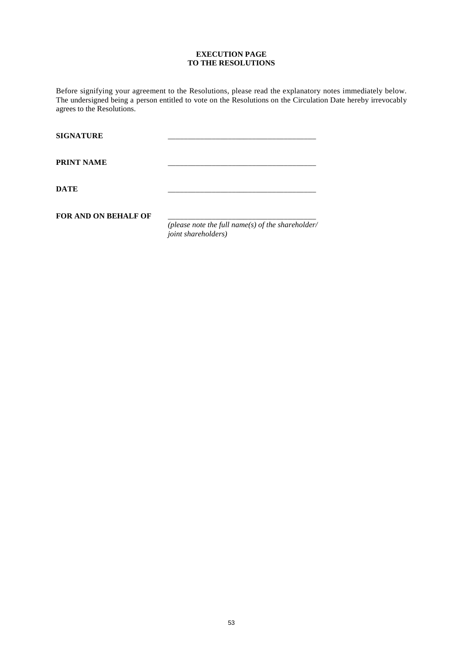## **EXECUTION PAGE TO THE RESOLUTIONS**

Before signifying your agreement to the Resolutions, please read the explanatory notes immediately below. The undersigned being a person entitled to vote on the Resolutions on the Circulation Date hereby irrevocably agrees to the Resolutions.

| <b>SIGNATURE</b>            |                                                   |
|-----------------------------|---------------------------------------------------|
| <b>PRINT NAME</b>           |                                                   |
| <b>DATE</b>                 |                                                   |
| <b>FOR AND ON BEHALF OF</b> | (please note the full name(s) of the shareholder/ |
|                             | joint shareholders)                               |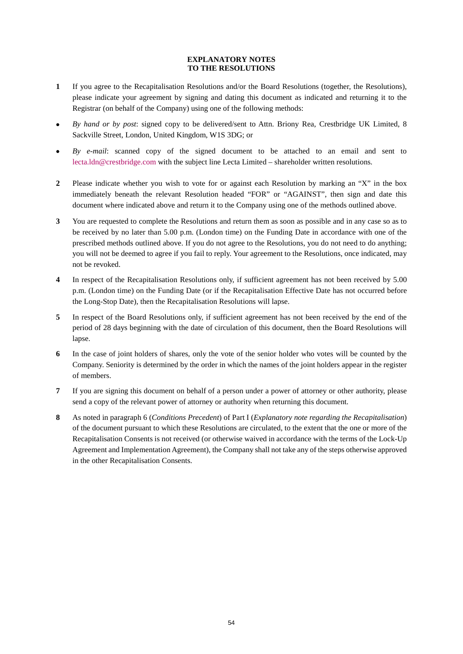## **EXPLANATORY NOTES TO THE RESOLUTIONS**

- **1** If you agree to the Recapitalisation Resolutions and/or the Board Resolutions (together, the Resolutions), please indicate your agreement by signing and dating this document as indicated and returning it to the Registrar (on behalf of the Company) using one of the following methods:
- *By hand or by post*: signed copy to be delivered/sent to Attn. Briony Rea, Crestbridge UK Limited, 8 Sackville Street, London, United Kingdom, W1S 3DG; or
- *By e-mail*: scanned copy of the signed document to be attached to an email and sent to [lecta.ldn@crestbridge.com](mailto:lecta.ldn@crestbridge.com) with the subject line Lecta Limited – shareholder written resolutions.
- **2** Please indicate whether you wish to vote for or against each Resolution by marking an "X" in the box immediately beneath the relevant Resolution headed "FOR" or "AGAINST", then sign and date this document where indicated above and return it to the Company using one of the methods outlined above.
- **3** You are requested to complete the Resolutions and return them as soon as possible and in any case so as to be received by no later than 5.00 p.m. (London time) on the Funding Date in accordance with one of the prescribed methods outlined above. If you do not agree to the Resolutions, you do not need to do anything; you will not be deemed to agree if you fail to reply. Your agreement to the Resolutions, once indicated, may not be revoked.
- **4** In respect of the Recapitalisation Resolutions only, if sufficient agreement has not been received by 5.00 p.m. (London time) on the Funding Date (or if the Recapitalisation Effective Date has not occurred before the Long-Stop Date), then the Recapitalisation Resolutions will lapse.
- **5** In respect of the Board Resolutions only, if sufficient agreement has not been received by the end of the period of 28 days beginning with the date of circulation of this document, then the Board Resolutions will lapse.
- **6** In the case of joint holders of shares, only the vote of the senior holder who votes will be counted by the Company. Seniority is determined by the order in which the names of the joint holders appear in the register of members.
- **7** If you are signing this document on behalf of a person under a power of attorney or other authority, please send a copy of the relevant power of attorney or authority when returning this document.
- **8** As noted in paragraph [6 \(](#page-10-0)*Conditions Precedent*) of Part I (*Explanatory note regarding the Recapitalisation*) of the document pursuant to which these Resolutions are circulated, to the extent that the one or more of the Recapitalisation Consents is not received (or otherwise waived in accordance with the terms of the Lock-Up Agreement and Implementation Agreement), the Company shall not take any of the steps otherwise approved in the other Recapitalisation Consents.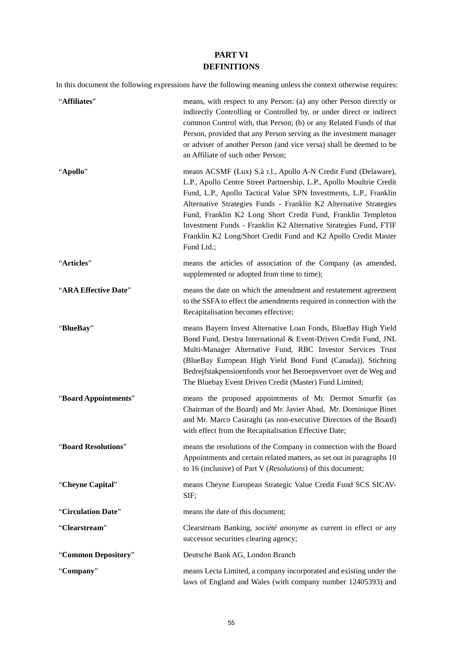## **PART VI DEFINITIONS**

In this document the following expressions have the following meaning unless the context otherwise requires:

| "Affiliates"         | means, with respect to any Person: (a) any other Person directly or<br>indirectly Controlling or Controlled by, or under direct or indirect<br>common Control with, that Person; (b) or any Related Funds of that<br>Person, provided that any Person serving as the investment manager<br>or adviser of another Person (and vice versa) shall be deemed to be<br>an Affiliate of such other Person;                                                                                                 |
|----------------------|------------------------------------------------------------------------------------------------------------------------------------------------------------------------------------------------------------------------------------------------------------------------------------------------------------------------------------------------------------------------------------------------------------------------------------------------------------------------------------------------------|
| "Apollo"             | means ACSMF (Lux) S.à r.l., Apollo A-N Credit Fund (Delaware),<br>L.P., Apollo Centre Street Partnership, L.P., Apollo Moultrie Credit<br>Fund, L.P., Apollo Tactical Value SPN Investments, L.P., Franklin<br>Alternative Strategies Funds - Franklin K2 Alternative Strategies<br>Fund, Franklin K2 Long Short Credit Fund, Franklin Templeton<br>Investment Funds - Franklin K2 Alternative Strategies Fund, FTIF<br>Franklin K2 Long/Short Credit Fund and K2 Apollo Credit Master<br>Fund Ltd.; |
| "Articles"           | means the articles of association of the Company (as amended,<br>supplemented or adopted from time to time);                                                                                                                                                                                                                                                                                                                                                                                         |
| "ARA Effective Date" | means the date on which the amendment and restatement agreement<br>to the SSFA to effect the amendments required in connection with the<br>Recapitalisation becomes effective;                                                                                                                                                                                                                                                                                                                       |
| "BlueBay"            | means Bayern Invest Alternative Loan Fonds, BlueBay High Yield<br>Bond Fund, Destra International & Event-Driven Credit Fund, JNL<br>Multi-Manager Alternative Fund, RBC Investor Services Trust<br>(BlueBay European High Yield Bond Fund (Canada)), Stichting<br>Bedrejfstakpensioenfonds voor het Beroepsvervoer over de Weg and<br>The Bluebay Event Driven Credit (Master) Fund Limited;                                                                                                        |
| "Board Appointments" | means the proposed appointments of Mr. Dermot Smurfit (as<br>Chairman of the Board) and Mr. Javier Abad, Mr. Dominique Binet<br>and Mr. Marco Casiraghi (as non-executive Directors of the Board)<br>with effect from the Recapitalisation Effective Date;                                                                                                                                                                                                                                           |
| "Board Resolutions"  | means the resolutions of the Company in connection with the Board<br>Appointments and certain related matters, as set out in paragraphs 10<br>to 16 (inclusive) of Part V (Resolutions) of this document;                                                                                                                                                                                                                                                                                            |
| "Cheyne Capital"     | means Cheyne European Strategic Value Credit Fund SCS SICAV-<br>SIF;                                                                                                                                                                                                                                                                                                                                                                                                                                 |
| "Circulation Date"   | means the date of this document;                                                                                                                                                                                                                                                                                                                                                                                                                                                                     |
| "Clearstream"        | Clearstream Banking, société anonyme as current in effect or any<br>successor securities clearing agency;                                                                                                                                                                                                                                                                                                                                                                                            |
| "Common Depository"  | Deutsche Bank AG, London Branch                                                                                                                                                                                                                                                                                                                                                                                                                                                                      |
| "Company"            | means Lecta Limited, a company incorporated and existing under the<br>laws of England and Wales (with company number 12405393) and                                                                                                                                                                                                                                                                                                                                                                   |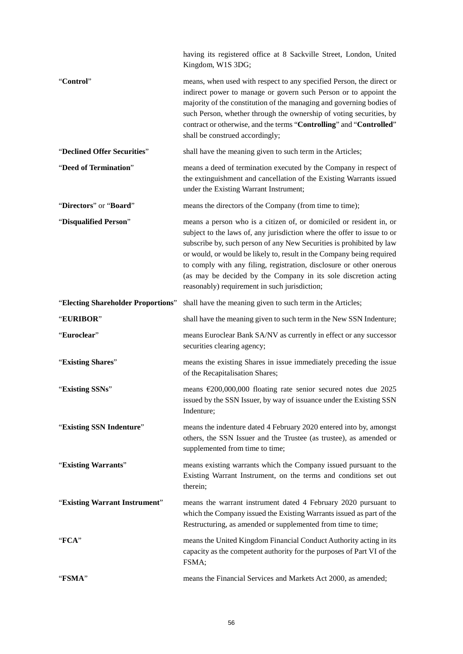|                                    | having its registered office at 8 Sackville Street, London, United<br>Kingdom, W1S 3DG;                                                                                                                                                                                                                                                                                                                                                                                                     |  |
|------------------------------------|---------------------------------------------------------------------------------------------------------------------------------------------------------------------------------------------------------------------------------------------------------------------------------------------------------------------------------------------------------------------------------------------------------------------------------------------------------------------------------------------|--|
| "Control"                          | means, when used with respect to any specified Person, the direct or<br>indirect power to manage or govern such Person or to appoint the<br>majority of the constitution of the managing and governing bodies of<br>such Person, whether through the ownership of voting securities, by<br>contract or otherwise, and the terms "Controlling" and "Controlled"<br>shall be construed accordingly;                                                                                           |  |
| "Declined Offer Securities"        | shall have the meaning given to such term in the Articles;                                                                                                                                                                                                                                                                                                                                                                                                                                  |  |
| "Deed of Termination"              | means a deed of termination executed by the Company in respect of<br>the extinguishment and cancellation of the Existing Warrants issued<br>under the Existing Warrant Instrument;                                                                                                                                                                                                                                                                                                          |  |
| "Directors" or "Board"             | means the directors of the Company (from time to time);                                                                                                                                                                                                                                                                                                                                                                                                                                     |  |
| "Disqualified Person"              | means a person who is a citizen of, or domiciled or resident in, or<br>subject to the laws of, any jurisdiction where the offer to issue to or<br>subscribe by, such person of any New Securities is prohibited by law<br>or would, or would be likely to, result in the Company being required<br>to comply with any filing, registration, disclosure or other onerous<br>(as may be decided by the Company in its sole discretion acting<br>reasonably) requirement in such jurisdiction; |  |
| "Electing Shareholder Proportions" | shall have the meaning given to such term in the Articles;                                                                                                                                                                                                                                                                                                                                                                                                                                  |  |
| "EURIBOR"                          | shall have the meaning given to such term in the New SSN Indenture;                                                                                                                                                                                                                                                                                                                                                                                                                         |  |
| "Euroclear"                        | means Euroclear Bank SA/NV as currently in effect or any successor<br>securities clearing agency;                                                                                                                                                                                                                                                                                                                                                                                           |  |
| "Existing Shares"                  | means the existing Shares in issue immediately preceding the issue<br>of the Recapitalisation Shares;                                                                                                                                                                                                                                                                                                                                                                                       |  |
| "Existing SSNs"                    | means $\epsilon$ 200,000,000 floating rate senior secured notes due 2025<br>issued by the SSN Issuer, by way of issuance under the Existing SSN<br>Indenture;                                                                                                                                                                                                                                                                                                                               |  |
| "Existing SSN Indenture"           | means the indenture dated 4 February 2020 entered into by, amongst<br>others, the SSN Issuer and the Trustee (as trustee), as amended or<br>supplemented from time to time;                                                                                                                                                                                                                                                                                                                 |  |
| "Existing Warrants"                | means existing warrants which the Company issued pursuant to the<br>Existing Warrant Instrument, on the terms and conditions set out<br>therein;                                                                                                                                                                                                                                                                                                                                            |  |
| "Existing Warrant Instrument"      | means the warrant instrument dated 4 February 2020 pursuant to<br>which the Company issued the Existing Warrants issued as part of the<br>Restructuring, as amended or supplemented from time to time;                                                                                                                                                                                                                                                                                      |  |
| "FCA"                              | means the United Kingdom Financial Conduct Authority acting in its<br>capacity as the competent authority for the purposes of Part VI of the<br>FSMA;                                                                                                                                                                                                                                                                                                                                       |  |
| "FSMA"                             | means the Financial Services and Markets Act 2000, as amended;                                                                                                                                                                                                                                                                                                                                                                                                                              |  |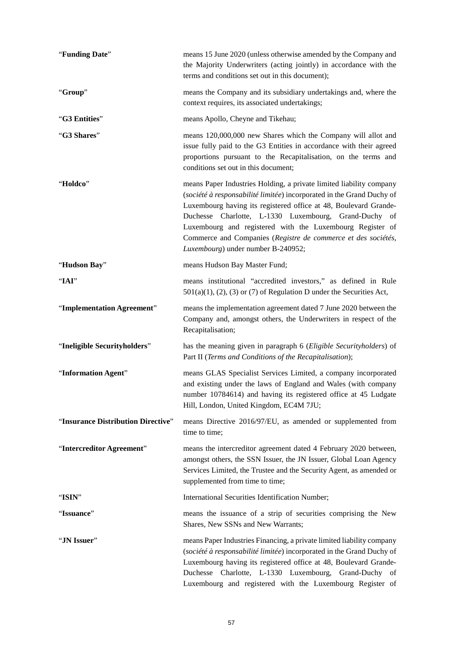| "Funding Date"                     | means 15 June 2020 (unless otherwise amended by the Company and<br>the Majority Underwriters (acting jointly) in accordance with the<br>terms and conditions set out in this document);                                                                                                                                                                                                                                                       |
|------------------------------------|-----------------------------------------------------------------------------------------------------------------------------------------------------------------------------------------------------------------------------------------------------------------------------------------------------------------------------------------------------------------------------------------------------------------------------------------------|
| "Group"                            | means the Company and its subsidiary undertakings and, where the<br>context requires, its associated undertakings;                                                                                                                                                                                                                                                                                                                            |
| "G3 Entities"                      | means Apollo, Cheyne and Tikehau;                                                                                                                                                                                                                                                                                                                                                                                                             |
| "G3 Shares"                        | means 120,000,000 new Shares which the Company will allot and<br>issue fully paid to the G3 Entities in accordance with their agreed<br>proportions pursuant to the Recapitalisation, on the terms and<br>conditions set out in this document;                                                                                                                                                                                                |
| "Holdco"                           | means Paper Industries Holding, a private limited liability company<br>(société à responsabilité limitée) incorporated in the Grand Duchy of<br>Luxembourg having its registered office at 48, Boulevard Grande-<br>Duchesse Charlotte, L-1330 Luxembourg, Grand-Duchy of<br>Luxembourg and registered with the Luxembourg Register of<br>Commerce and Companies (Registre de commerce et des sociétés,<br>Luxembourg) under number B-240952; |
| "Hudson Bay"                       | means Hudson Bay Master Fund;                                                                                                                                                                                                                                                                                                                                                                                                                 |
| "IAI"                              | means institutional "accredited investors," as defined in Rule<br>$501(a)(1)$ , (2), (3) or (7) of Regulation D under the Securities Act,                                                                                                                                                                                                                                                                                                     |
| "Implementation Agreement"         | means the implementation agreement dated 7 June 2020 between the<br>Company and, amongst others, the Underwriters in respect of the<br>Recapitalisation;                                                                                                                                                                                                                                                                                      |
| "Ineligible Securityholders"       | has the meaning given in paragraph 6 (Eligible Securityholders) of<br>Part II (Terms and Conditions of the Recapitalisation);                                                                                                                                                                                                                                                                                                                 |
| "Information Agent"                | means GLAS Specialist Services Limited, a company incorporated<br>and existing under the laws of England and Wales (with company<br>number 10784614) and having its registered office at 45 Ludgate<br>Hill, London, United Kingdom, EC4M 7JU;                                                                                                                                                                                                |
| "Insurance Distribution Directive" | means Directive 2016/97/EU, as amended or supplemented from<br>time to time;                                                                                                                                                                                                                                                                                                                                                                  |
| "Intercreditor Agreement"          | means the intercreditor agreement dated 4 February 2020 between,<br>amongst others, the SSN Issuer, the JN Issuer, Global Loan Agency<br>Services Limited, the Trustee and the Security Agent, as amended or<br>supplemented from time to time;                                                                                                                                                                                               |
| "ISIN"                             | International Securities Identification Number;                                                                                                                                                                                                                                                                                                                                                                                               |
| "Issuance"                         | means the issuance of a strip of securities comprising the New<br>Shares, New SSNs and New Warrants;                                                                                                                                                                                                                                                                                                                                          |
| "JN Issuer"                        | means Paper Industries Financing, a private limited liability company<br>(société à responsabilité limitée) incorporated in the Grand Duchy of<br>Luxembourg having its registered office at 48, Boulevard Grande-<br>Duchesse Charlotte, L-1330 Luxembourg, Grand-Duchy of<br>Luxembourg and registered with the Luxembourg Register of                                                                                                      |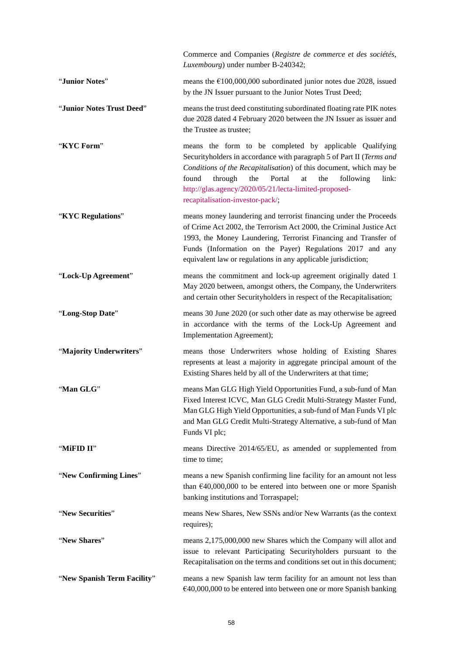|                             | Commerce and Companies (Registre de commerce et des sociétés,<br>Luxembourg) under number B-240342;                                                                                                                                                                                                                                                                        |
|-----------------------------|----------------------------------------------------------------------------------------------------------------------------------------------------------------------------------------------------------------------------------------------------------------------------------------------------------------------------------------------------------------------------|
| "Junior Notes"              | means the $\text{\e}100,000,000$ subordinated junior notes due 2028, issued<br>by the JN Issuer pursuant to the Junior Notes Trust Deed;                                                                                                                                                                                                                                   |
| "Junior Notes Trust Deed"   | means the trust deed constituting subordinated floating rate PIK notes<br>due 2028 dated 4 February 2020 between the JN Issuer as issuer and<br>the Trustee as trustee;                                                                                                                                                                                                    |
| "KYC Form"                  | means the form to be completed by applicable Qualifying<br>Securityholders in accordance with paragraph 5 of Part II (Terms and<br>Conditions of the Recapitalisation) of this document, which may be<br>found<br>through<br>the<br>Portal<br>the<br>following<br>link:<br>at<br>http://glas.agency/2020/05/21/lecta-limited-proposed-<br>recapitalisation-investor-pack/; |
| "KYC Regulations"           | means money laundering and terrorist financing under the Proceeds<br>of Crime Act 2002, the Terrorism Act 2000, the Criminal Justice Act<br>1993, the Money Laundering, Terrorist Financing and Transfer of<br>Funds (Information on the Payer) Regulations 2017 and any<br>equivalent law or regulations in any applicable jurisdiction;                                  |
| "Lock-Up Agreement"         | means the commitment and lock-up agreement originally dated 1<br>May 2020 between, amongst others, the Company, the Underwriters<br>and certain other Securityholders in respect of the Recapitalisation;                                                                                                                                                                  |
| "Long-Stop Date"            | means 30 June 2020 (or such other date as may otherwise be agreed<br>in accordance with the terms of the Lock-Up Agreement and<br>Implementation Agreement);                                                                                                                                                                                                               |
| "Majority Underwriters"     | means those Underwriters whose holding of Existing Shares<br>represents at least a majority in aggregate principal amount of the<br>Existing Shares held by all of the Underwriters at that time;                                                                                                                                                                          |
| "Man GLG"                   | means Man GLG High Yield Opportunities Fund, a sub-fund of Man<br>Fixed Interest ICVC, Man GLG Credit Multi-Strategy Master Fund,<br>Man GLG High Yield Opportunities, a sub-fund of Man Funds VI plc<br>and Man GLG Credit Multi-Strategy Alternative, a sub-fund of Man<br>Funds VI plc;                                                                                 |
| "MiFID II"                  | means Directive 2014/65/EU, as amended or supplemented from<br>time to time;                                                                                                                                                                                                                                                                                               |
| "New Confirming Lines"      | means a new Spanish confirming line facility for an amount not less<br>than $\text{\textsterling}40,000,000$ to be entered into between one or more Spanish<br>banking institutions and Torraspapel;                                                                                                                                                                       |
| "New Securities"            | means New Shares, New SSNs and/or New Warrants (as the context<br>requires);                                                                                                                                                                                                                                                                                               |
| "New Shares"                | means 2,175,000,000 new Shares which the Company will allot and<br>issue to relevant Participating Securityholders pursuant to the<br>Recapitalisation on the terms and conditions set out in this document;                                                                                                                                                               |
| "New Spanish Term Facility" | means a new Spanish law term facility for an amount not less than<br>€40,000,000 to be entered into between one or more Spanish banking                                                                                                                                                                                                                                    |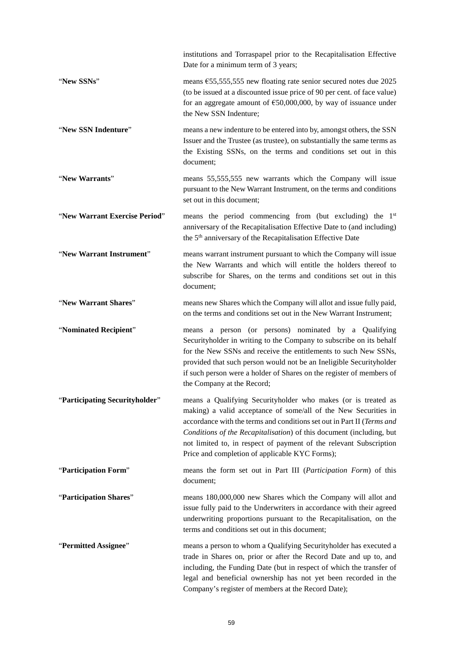|                                | institutions and Torraspapel prior to the Recapitalisation Effective<br>Date for a minimum term of 3 years;                                                                                                                                                                                                                                                                                                |
|--------------------------------|------------------------------------------------------------------------------------------------------------------------------------------------------------------------------------------------------------------------------------------------------------------------------------------------------------------------------------------------------------------------------------------------------------|
| "New SSNs"                     | means $\epsilon$ 55,555,555 new floating rate senior secured notes due 2025<br>(to be issued at a discounted issue price of 90 per cent. of face value)<br>for an aggregate amount of $\epsilon$ 50,000,000, by way of issuance under<br>the New SSN Indenture;                                                                                                                                            |
| "New SSN Indenture"            | means a new indenture to be entered into by, amongst others, the SSN<br>Issuer and the Trustee (as trustee), on substantially the same terms as<br>the Existing SSNs, on the terms and conditions set out in this<br>document;                                                                                                                                                                             |
| "New Warrants"                 | means 55,555,555 new warrants which the Company will issue<br>pursuant to the New Warrant Instrument, on the terms and conditions<br>set out in this document;                                                                                                                                                                                                                                             |
| "New Warrant Exercise Period"  | means the period commencing from (but excluding) the 1 <sup>st</sup><br>anniversary of the Recapitalisation Effective Date to (and including)<br>the 5 <sup>th</sup> anniversary of the Recapitalisation Effective Date                                                                                                                                                                                    |
| "New Warrant Instrument"       | means warrant instrument pursuant to which the Company will issue<br>the New Warrants and which will entitle the holders thereof to<br>subscribe for Shares, on the terms and conditions set out in this<br>document;                                                                                                                                                                                      |
| "New Warrant Shares"           | means new Shares which the Company will allot and issue fully paid,<br>on the terms and conditions set out in the New Warrant Instrument;                                                                                                                                                                                                                                                                  |
| "Nominated Recipient"          | means a person (or persons) nominated by a Qualifying<br>Securityholder in writing to the Company to subscribe on its behalf<br>for the New SSNs and receive the entitlements to such New SSNs,<br>provided that such person would not be an Ineligible Securityholder<br>if such person were a holder of Shares on the register of members of<br>the Company at the Record;                               |
| 'Participating Securityholder' | means a Qualifying Securityholder who makes (or is treated as<br>making) a valid acceptance of some/all of the New Securities in<br>accordance with the terms and conditions set out in Part II (Terms and<br>Conditions of the Recapitalisation) of this document (including, but<br>not limited to, in respect of payment of the relevant Subscription<br>Price and completion of applicable KYC Forms); |
| "Participation Form"           | means the form set out in Part III (Participation Form) of this<br>document;                                                                                                                                                                                                                                                                                                                               |
| "Participation Shares"         | means 180,000,000 new Shares which the Company will allot and<br>issue fully paid to the Underwriters in accordance with their agreed<br>underwriting proportions pursuant to the Recapitalisation, on the<br>terms and conditions set out in this document;                                                                                                                                               |
| "Permitted Assignee"           | means a person to whom a Qualifying Securityholder has executed a<br>trade in Shares on, prior or after the Record Date and up to, and<br>including, the Funding Date (but in respect of which the transfer of<br>legal and beneficial ownership has not yet been recorded in the<br>Company's register of members at the Record Date);                                                                    |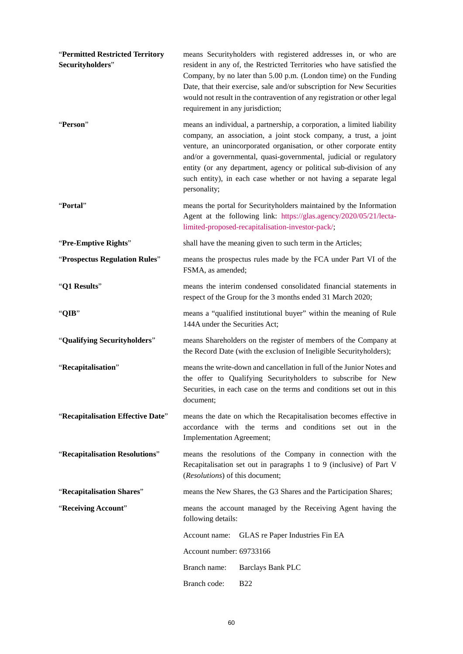| "Permitted Restricted Territory<br>Securityholders" | means Securityholders with registered addresses in, or who are<br>resident in any of, the Restricted Territories who have satisfied the<br>Company, by no later than 5.00 p.m. (London time) on the Funding<br>Date, that their exercise, sale and/or subscription for New Securities<br>would not result in the contravention of any registration or other legal<br>requirement in any jurisdiction;                                            |  |
|-----------------------------------------------------|--------------------------------------------------------------------------------------------------------------------------------------------------------------------------------------------------------------------------------------------------------------------------------------------------------------------------------------------------------------------------------------------------------------------------------------------------|--|
| "Person"                                            | means an individual, a partnership, a corporation, a limited liability<br>company, an association, a joint stock company, a trust, a joint<br>venture, an unincorporated organisation, or other corporate entity<br>and/or a governmental, quasi-governmental, judicial or regulatory<br>entity (or any department, agency or political sub-division of any<br>such entity), in each case whether or not having a separate legal<br>personality; |  |
| "Portal"                                            | means the portal for Securityholders maintained by the Information<br>Agent at the following link: https://glas.agency/2020/05/21/lecta-<br>limited-proposed-recapitalisation-investor-pack/;                                                                                                                                                                                                                                                    |  |
| "Pre-Emptive Rights"                                | shall have the meaning given to such term in the Articles;                                                                                                                                                                                                                                                                                                                                                                                       |  |
| "Prospectus Regulation Rules"                       | means the prospectus rules made by the FCA under Part VI of the<br>FSMA, as amended;                                                                                                                                                                                                                                                                                                                                                             |  |
| "Q1 Results"                                        | means the interim condensed consolidated financial statements in<br>respect of the Group for the 3 months ended 31 March 2020;                                                                                                                                                                                                                                                                                                                   |  |
| "QIB"                                               | means a "qualified institutional buyer" within the meaning of Rule<br>144A under the Securities Act;                                                                                                                                                                                                                                                                                                                                             |  |
| "Qualifying Securityholders"                        | means Shareholders on the register of members of the Company at<br>the Record Date (with the exclusion of Ineligible Securityholders);                                                                                                                                                                                                                                                                                                           |  |
| "Recapitalisation"                                  | means the write-down and cancellation in full of the Junior Notes and<br>the offer to Qualifying Securityholders to subscribe for New<br>Securities, in each case on the terms and conditions set out in this<br>document;                                                                                                                                                                                                                       |  |
| "Recapitalisation Effective Date"                   | means the date on which the Recapitalisation becomes effective in<br>accordance with the terms and conditions set out in the<br>Implementation Agreement;                                                                                                                                                                                                                                                                                        |  |
| "Recapitalisation Resolutions"                      | means the resolutions of the Company in connection with the<br>Recapitalisation set out in paragraphs 1 to 9 (inclusive) of Part V<br>(Resolutions) of this document;                                                                                                                                                                                                                                                                            |  |
| "Recapitalisation Shares"                           | means the New Shares, the G3 Shares and the Participation Shares;                                                                                                                                                                                                                                                                                                                                                                                |  |
| "Receiving Account"                                 | means the account managed by the Receiving Agent having the<br>following details:                                                                                                                                                                                                                                                                                                                                                                |  |
|                                                     | GLAS re Paper Industries Fin EA<br>Account name:                                                                                                                                                                                                                                                                                                                                                                                                 |  |
|                                                     | Account number: 69733166                                                                                                                                                                                                                                                                                                                                                                                                                         |  |
|                                                     | Branch name:<br><b>Barclays Bank PLC</b>                                                                                                                                                                                                                                                                                                                                                                                                         |  |
|                                                     | Branch code:<br><b>B22</b>                                                                                                                                                                                                                                                                                                                                                                                                                       |  |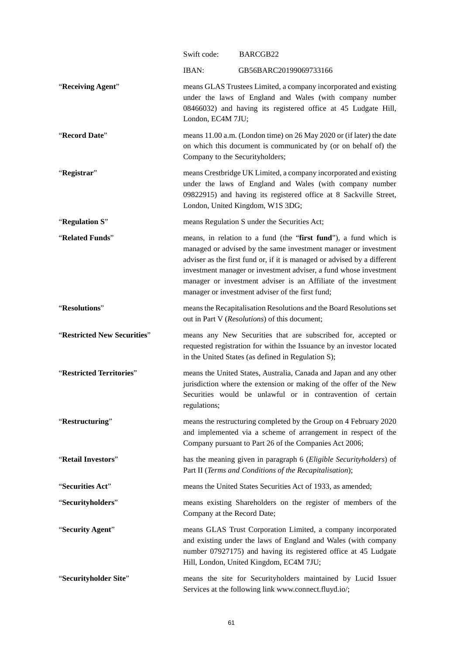|                             | Swift code:                     | BARCGB22                                                                                                                                                                                                                                                                                                                                                                                                    |
|-----------------------------|---------------------------------|-------------------------------------------------------------------------------------------------------------------------------------------------------------------------------------------------------------------------------------------------------------------------------------------------------------------------------------------------------------------------------------------------------------|
|                             | IBAN:                           | GB56BARC20199069733166                                                                                                                                                                                                                                                                                                                                                                                      |
| "Receiving Agent"           | London, EC4M 7JU;               | means GLAS Trustees Limited, a company incorporated and existing<br>under the laws of England and Wales (with company number<br>08466032) and having its registered office at 45 Ludgate Hill,                                                                                                                                                                                                              |
| "Record Date"               | Company to the Securityholders; | means 11.00 a.m. (London time) on 26 May 2020 or (if later) the date<br>on which this document is communicated by (or on behalf of) the                                                                                                                                                                                                                                                                     |
| "Registrar"                 |                                 | means Crestbridge UK Limited, a company incorporated and existing<br>under the laws of England and Wales (with company number<br>09822915) and having its registered office at 8 Sackville Street,<br>London, United Kingdom, W1S 3DG;                                                                                                                                                                      |
| "Regulation S"              |                                 | means Regulation S under the Securities Act;                                                                                                                                                                                                                                                                                                                                                                |
| "Related Funds"             |                                 | means, in relation to a fund (the "first fund"), a fund which is<br>managed or advised by the same investment manager or investment<br>adviser as the first fund or, if it is managed or advised by a different<br>investment manager or investment adviser, a fund whose investment<br>manager or investment adviser is an Affiliate of the investment<br>manager or investment adviser of the first fund; |
| "Resolutions"               |                                 | means the Recapitalisation Resolutions and the Board Resolutions set<br>out in Part V (Resolutions) of this document;                                                                                                                                                                                                                                                                                       |
| "Restricted New Securities" |                                 | means any New Securities that are subscribed for, accepted or<br>requested registration for within the Issuance by an investor located<br>in the United States (as defined in Regulation S);                                                                                                                                                                                                                |
| "Restricted Territories"    | regulations;                    | means the United States, Australia, Canada and Japan and any other<br>jurisdiction where the extension or making of the offer of the New<br>Securities would be unlawful or in contravention of certain                                                                                                                                                                                                     |
| "Restructuring"             |                                 | means the restructuring completed by the Group on 4 February 2020<br>and implemented via a scheme of arrangement in respect of the<br>Company pursuant to Part 26 of the Companies Act 2006;                                                                                                                                                                                                                |
| "Retail Investors"          |                                 | has the meaning given in paragraph 6 (Eligible Securityholders) of<br>Part II (Terms and Conditions of the Recapitalisation);                                                                                                                                                                                                                                                                               |
| "Securities Act"            |                                 | means the United States Securities Act of 1933, as amended;                                                                                                                                                                                                                                                                                                                                                 |
| "Securityholders"           | Company at the Record Date;     | means existing Shareholders on the register of members of the                                                                                                                                                                                                                                                                                                                                               |
| "Security Agent"            |                                 | means GLAS Trust Corporation Limited, a company incorporated<br>and existing under the laws of England and Wales (with company<br>number 07927175) and having its registered office at 45 Ludgate<br>Hill, London, United Kingdom, EC4M 7JU;                                                                                                                                                                |
| "Securityholder Site"       |                                 | means the site for Securityholders maintained by Lucid Issuer<br>Services at the following link www.connect.fluyd.io/;                                                                                                                                                                                                                                                                                      |